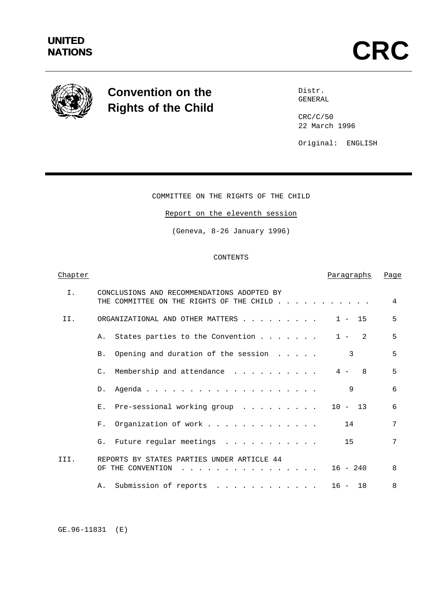

# **Convention on the Rights of the Child**

Distr. GENERAL

CRC/C/50 22 March 1996

Original: ENGLISH

# COMMITTEE ON THE RIGHTS OF THE CHILD

# Report on the eleventh session

(Geneva, 8-26 January 1996)

CONTENTS

# Chapter **Paragraphs Page** I. CONCLUSIONS AND RECOMMENDATIONS ADOPTED BY THE COMMITTEE ON THE RIGHTS OF THE CHILD . . . . . . . . . . 4 II. ORGANIZATIONAL AND OTHER MATTERS . . . . . . . . 1 - 15 5 A. States parties to the Convention  $\ldots$ ..... 1 - 2 5 B. Opening and duration of the session . . . . . 3 5 C. Membership and attendance . . . . . . . . . 4 - 8 5 D. Agenda.................... 9 6 E. Pre-sessional working group . . . . . . . . 10 - 13 6 F. Organization of work . . . . . . . . . . . . . 14 7 G. Future regular meetings . . . . . . . . . . 15 7 III. REPORTS BY STATES PARTIES UNDER ARTICLE 44 OF THE CONVENTION . . . . . . . . . . . . . . . . 16 - 240 8 A. Submission of reports . . . . . . . . . . . 16 - 18 8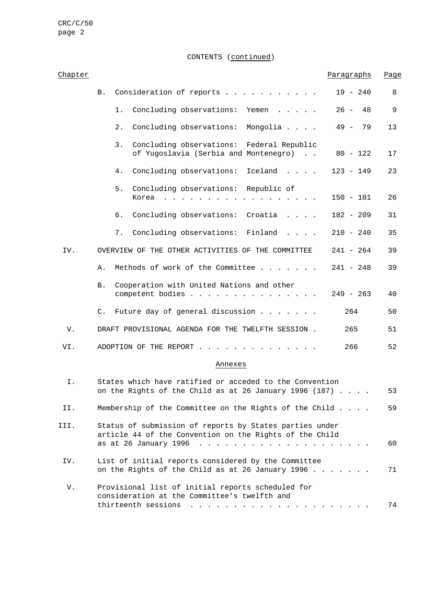CRC/C/50 page 2

CONTENTS (continued)

| Chapter |    |                                                                                                                                    |                                                                                                                                             | Paragraphs   | Page |  |
|---------|----|------------------------------------------------------------------------------------------------------------------------------------|---------------------------------------------------------------------------------------------------------------------------------------------|--------------|------|--|
|         | В. |                                                                                                                                    | Consideration of reports                                                                                                                    | $19 - 240$   | 8    |  |
|         |    | 1.                                                                                                                                 | Concluding observations:<br>Yemen                                                                                                           | $26 -$<br>48 | 9    |  |
|         |    | 2.                                                                                                                                 | Concluding observations:<br>Mongolia                                                                                                        | 49 –<br>79   | 13   |  |
|         |    | 3.                                                                                                                                 | Concluding observations: Federal Republic<br>of Yugoslavia (Serbia and Montenegro)                                                          | $80 - 122$   | 17   |  |
|         |    | 4.                                                                                                                                 | Concluding observations:<br>Iceland                                                                                                         | $123 - 149$  | 23   |  |
|         |    | 5.                                                                                                                                 | Concluding observations: Republic of<br>Korea<br>$\cdot$ $\cdot$ $\cdot$ $\cdot$ $\cdot$ $\cdot$ $\cdot$ $\cdot$                            | $150 - 181$  | 26   |  |
|         |    | б.                                                                                                                                 | Concluding observations: Croatia                                                                                                            | $182 - 209$  | 31   |  |
|         |    | 7.                                                                                                                                 | Concluding observations: Finland<br>$\cdots$ $\cdots$                                                                                       | $210 - 240$  | 35   |  |
| IV.     |    |                                                                                                                                    | OVERVIEW OF THE OTHER ACTIVITIES OF THE COMMITTEE                                                                                           | 241 - 264    | 39   |  |
|         | Α. |                                                                                                                                    | Methods of work of the Committee                                                                                                            | $241 - 248$  | 39   |  |
|         | В. |                                                                                                                                    | Cooperation with United Nations and other<br>competent bodies                                                                               | $249 - 263$  | 40   |  |
|         | C. |                                                                                                                                    | Future day of general discussion                                                                                                            | 264          | 50   |  |
| V.      |    |                                                                                                                                    | DRAFT PROVISIONAL AGENDA FOR THE TWELFTH SESSION.                                                                                           | 265          | 51   |  |
| VI.     |    |                                                                                                                                    | ADOPTION OF THE REPORT.                                                                                                                     | 266          | 52   |  |
|         |    |                                                                                                                                    | Annexes                                                                                                                                     |              |      |  |
| Ι.      |    | States which have ratified or acceded to the Convention<br>on the Rights of the Child as at 26 January 1996 (187) $\ldots$ .<br>53 |                                                                                                                                             |              |      |  |
| II.     |    |                                                                                                                                    | Membership of the Committee on the Rights of the Child                                                                                      |              | 59   |  |
| III.    |    |                                                                                                                                    | Status of submission of reports by States parties under<br>article 44 of the Convention on the Rights of the Child<br>as at 26 January 1996 |              | 60   |  |
| IV.     |    |                                                                                                                                    | List of initial reports considered by the Committee<br>on the Rights of the Child as at 26 January 1996                                     |              | 71   |  |
| V.      |    |                                                                                                                                    | Provisional list of initial reports scheduled for<br>consideration at the Committee's twelfth and                                           |              |      |  |
|         |    |                                                                                                                                    | thirteenth sessions<br>$\mathbf{r}$ , and $\mathbf{r}$ , and $\mathbf{r}$ , and $\mathbf{r}$ , and $\mathbf{r}$                             |              | 74   |  |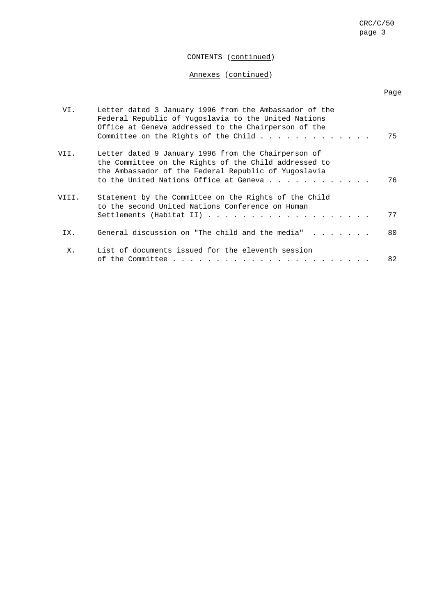# CONTENTS (continued)

# Annexes (continued)

| VI.   | Letter dated 3 January 1996 from the Ambassador of the<br>Federal Republic of Yuqoslavia to the United Nations<br>Office at Geneva addressed to the Chairperson of the                                         | 75 |
|-------|----------------------------------------------------------------------------------------------------------------------------------------------------------------------------------------------------------------|----|
| VII.  | Letter dated 9 January 1996 from the Chairperson of<br>the Committee on the Rights of the Child addressed to<br>the Ambassador of the Federal Republic of Yugoslavia<br>to the United Nations Office at Geneva | 76 |
| VIII. | Statement by the Committee on the Rights of the Child<br>to the second United Nations Conference on Human                                                                                                      | 77 |
| IX.   | General discussion on "The child and the media" $\ldots$                                                                                                                                                       | 80 |
| Х.    | List of documents issued for the eleventh session                                                                                                                                                              | 82 |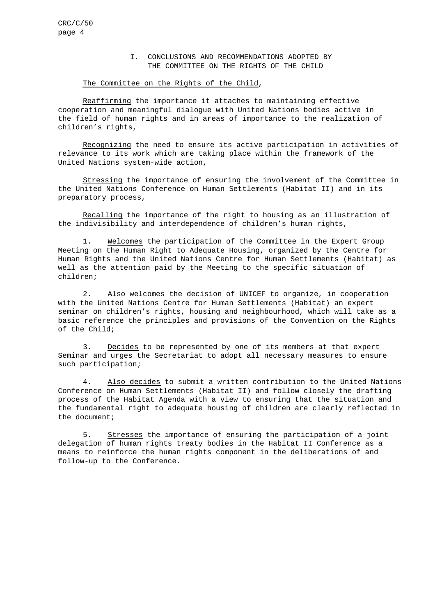#### I. CONCLUSIONS AND RECOMMENDATIONS ADOPTED BY THE COMMITTEE ON THE RIGHTS OF THE CHILD

# The Committee on the Rights of the Child,

Reaffirming the importance it attaches to maintaining effective cooperation and meaningful dialogue with United Nations bodies active in the field of human rights and in areas of importance to the realization of children's rights,

Recognizing the need to ensure its active participation in activities of relevance to its work which are taking place within the framework of the United Nations system-wide action,

Stressing the importance of ensuring the involvement of the Committee in the United Nations Conference on Human Settlements (Habitat II) and in its preparatory process,

Recalling the importance of the right to housing as an illustration of the indivisibility and interdependence of children's human rights,

1. Welcomes the participation of the Committee in the Expert Group Meeting on the Human Right to Adequate Housing, organized by the Centre for Human Rights and the United Nations Centre for Human Settlements (Habitat) as well as the attention paid by the Meeting to the specific situation of children;

2. Also welcomes the decision of UNICEF to organize, in cooperation with the United Nations Centre for Human Settlements (Habitat) an expert seminar on children's rights, housing and neighbourhood, which will take as a basic reference the principles and provisions of the Convention on the Rights of the Child;

3. Decides to be represented by one of its members at that expert Seminar and urges the Secretariat to adopt all necessary measures to ensure such participation;

4. Also decides to submit a written contribution to the United Nations Conference on Human Settlements (Habitat II) and follow closely the drafting process of the Habitat Agenda with a view to ensuring that the situation and the fundamental right to adequate housing of children are clearly reflected in the document;

5. Stresses the importance of ensuring the participation of a joint delegation of human rights treaty bodies in the Habitat II Conference as a means to reinforce the human rights component in the deliberations of and follow-up to the Conference.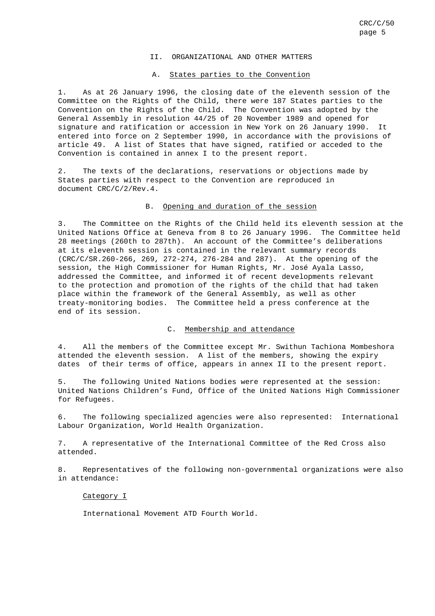#### II. ORGANIZATIONAL AND OTHER MATTERS

#### A. States parties to the Convention

1. As at 26 January 1996, the closing date of the eleventh session of the Committee on the Rights of the Child, there were 187 States parties to the Convention on the Rights of the Child. The Convention was adopted by the General Assembly in resolution 44/25 of 20 November 1989 and opened for signature and ratification or accession in New York on 26 January 1990. It entered into force on 2 September 1990, in accordance with the provisions of article 49. A list of States that have signed, ratified or acceded to the Convention is contained in annex I to the present report.

2. The texts of the declarations, reservations or objections made by States parties with respect to the Convention are reproduced in document CRC/C/2/Rev.4.

#### B. Opening and duration of the session

3. The Committee on the Rights of the Child held its eleventh session at the United Nations Office at Geneva from 8 to 26 January 1996. The Committee held 28 meetings (260th to 287th). An account of the Committee's deliberations at its eleventh session is contained in the relevant summary records (CRC/C/SR.260-266, 269, 272-274, 276-284 and 287). At the opening of the session, the High Commissioner for Human Rights, Mr. José Ayala Lasso, addressed the Committee, and informed it of recent developments relevant to the protection and promotion of the rights of the child that had taken place within the framework of the General Assembly, as well as other treaty-monitoring bodies. The Committee held a press conference at the end of its session.

# C. Membership and attendance

4. All the members of the Committee except Mr. Swithun Tachiona Mombeshora attended the eleventh session. A list of the members, showing the expiry dates of their terms of office, appears in annex II to the present report.

5. The following United Nations bodies were represented at the session: United Nations Children's Fund, Office of the United Nations High Commissioner for Refugees.

6. The following specialized agencies were also represented: International Labour Organization, World Health Organization.

7. A representative of the International Committee of the Red Cross also attended.

8. Representatives of the following non-governmental organizations were also in attendance:

#### Category I

International Movement ATD Fourth World.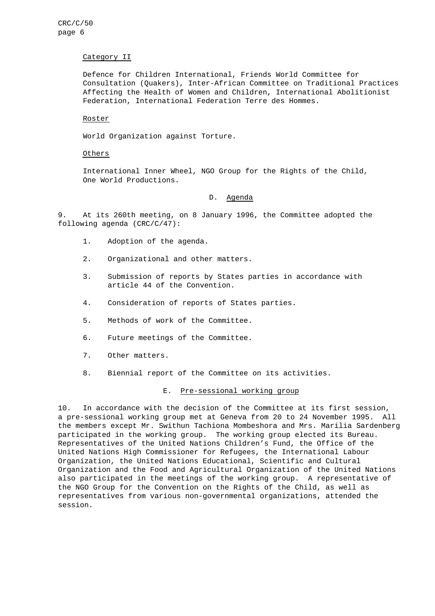#### Category II

Defence for Children International, Friends World Committee for Consultation (Quakers), Inter-African Committee on Traditional Practices Affecting the Health of Women and Children, International Abolitionist Federation, International Federation Terre des Hommes.

#### Roster

World Organization against Torture.

#### Others

International Inner Wheel, NGO Group for the Rights of the Child, One World Productions.

# D. Agenda

9. At its 260th meeting, on 8 January 1996, the Committee adopted the following agenda (CRC/C/47):

- 1. Adoption of the agenda.
- 2. Organizational and other matters.
- 3. Submission of reports by States parties in accordance with article 44 of the Convention.
- 4. Consideration of reports of States parties.
- 5. Methods of work of the Committee.
- 6. Future meetings of the Committee.
- 7. Other matters.
- 8. Biennial report of the Committee on its activities.

#### E. Pre-sessional working group

10. In accordance with the decision of the Committee at its first session, a pre-sessional working group met at Geneva from 20 to 24 November 1995. All the members except Mr. Swithun Tachiona Mombeshora and Mrs. Marilia Sardenberg participated in the working group. The working group elected its Bureau. Representatives of the United Nations Children's Fund, the Office of the United Nations High Commissioner for Refugees, the International Labour Organization, the United Nations Educational, Scientific and Cultural Organization and the Food and Agricultural Organization of the United Nations also participated in the meetings of the working group. A representative of the NGO Group for the Convention on the Rights of the Child, as well as representatives from various non-governmental organizations, attended the session.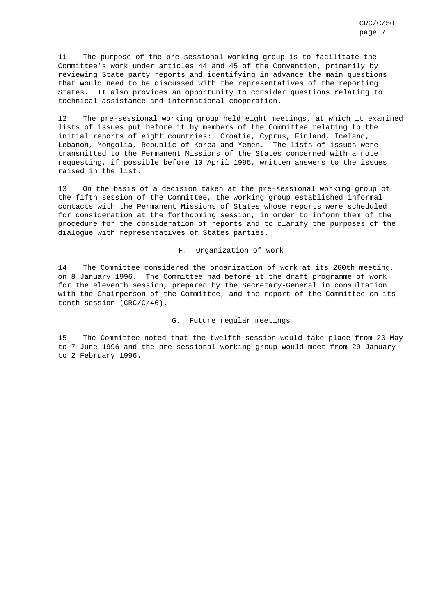11. The purpose of the pre-sessional working group is to facilitate the Committee's work under articles 44 and 45 of the Convention, primarily by reviewing State party reports and identifying in advance the main questions that would need to be discussed with the representatives of the reporting States. It also provides an opportunity to consider questions relating to technical assistance and international cooperation.

12. The pre-sessional working group held eight meetings, at which it examined lists of issues put before it by members of the Committee relating to the initial reports of eight countries: Croatia, Cyprus, Finland, Iceland, Lebanon, Mongolia, Republic of Korea and Yemen. The lists of issues were transmitted to the Permanent Missions of the States concerned with a note requesting, if possible before 10 April 1995, written answers to the issues raised in the list.

13. On the basis of a decision taken at the pre-sessional working group of the fifth session of the Committee, the working group established informal contacts with the Permanent Missions of States whose reports were scheduled for consideration at the forthcoming session, in order to inform them of the procedure for the consideration of reports and to clarify the purposes of the dialogue with representatives of States parties.

#### F. Organization of work

14. The Committee considered the organization of work at its 260th meeting, on 8 January 1996. The Committee had before it the draft programme of work for the eleventh session, prepared by the Secretary-General in consultation with the Chairperson of the Committee, and the report of the Committee on its tenth session (CRC/C/46).

#### G. Future regular meetings

15. The Committee noted that the twelfth session would take place from 20 May to 7 June 1996 and the pre-sessional working group would meet from 29 January to 2 February 1996.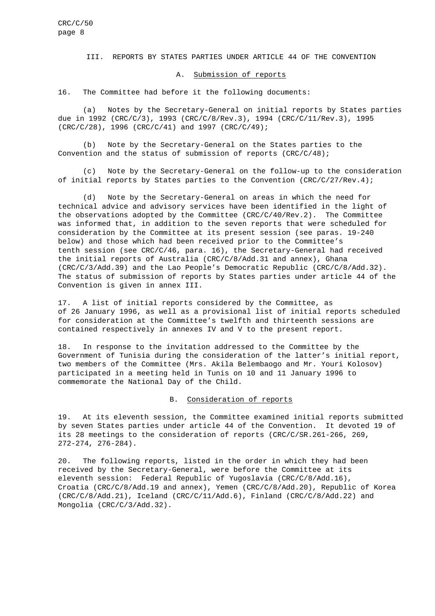#### III. REPORTS BY STATES PARTIES UNDER ARTICLE 44 OF THE CONVENTION

#### A. Submission of reports

16. The Committee had before it the following documents:

(a) Notes by the Secretary-General on initial reports by States parties due in 1992 (CRC/C/3), 1993 (CRC/C/8/Rev.3), 1994 (CRC/C/11/Rev.3), 1995 (CRC/C/28), 1996 (CRC/C/41) and 1997 (CRC/C/49);

(b) Note by the Secretary-General on the States parties to the Convention and the status of submission of reports  $(CRC/C/48)$ ;

(c) Note by the Secretary-General on the follow-up to the consideration of initial reports by States parties to the Convention (CRC/C/27/Rev.4);

(d) Note by the Secretary-General on areas in which the need for technical advice and advisory services have been identified in the light of the observations adopted by the Committee (CRC/C/40/Rev.2). The Committee was informed that, in addition to the seven reports that were scheduled for consideration by the Committee at its present session (see paras. 19-240 below) and those which had been received prior to the Committee's tenth session (see CRC/C/46, para. 16), the Secretary-General had received the initial reports of Australia (CRC/C/8/Add.31 and annex), Ghana (CRC/C/3/Add.39) and the Lao People's Democratic Republic (CRC/C/8/Add.32). The status of submission of reports by States parties under article 44 of the Convention is given in annex III.

17. A list of initial reports considered by the Committee, as of 26 January 1996, as well as a provisional list of initial reports scheduled for consideration at the Committee's twelfth and thirteenth sessions are contained respectively in annexes IV and V to the present report.

18. In response to the invitation addressed to the Committee by the Government of Tunisia during the consideration of the latter's initial report, two members of the Committee (Mrs. Akila Belembaogo and Mr. Youri Kolosov) participated in a meeting held in Tunis on 10 and 11 January 1996 to commemorate the National Day of the Child.

#### B. Consideration of reports

19. At its eleventh session, the Committee examined initial reports submitted by seven States parties under article 44 of the Convention. It devoted 19 of its 28 meetings to the consideration of reports (CRC/C/SR.261-266, 269, 272-274, 276-284).

20. The following reports, listed in the order in which they had been received by the Secretary-General, were before the Committee at its eleventh session: Federal Republic of Yugoslavia (CRC/C/8/Add.16), Croatia (CRC/C/8/Add.19 and annex), Yemen (CRC/C/8/Add.20), Republic of Korea (CRC/C/8/Add.21), Iceland (CRC/C/11/Add.6), Finland (CRC/C/8/Add.22) and Mongolia (CRC/C/3/Add.32).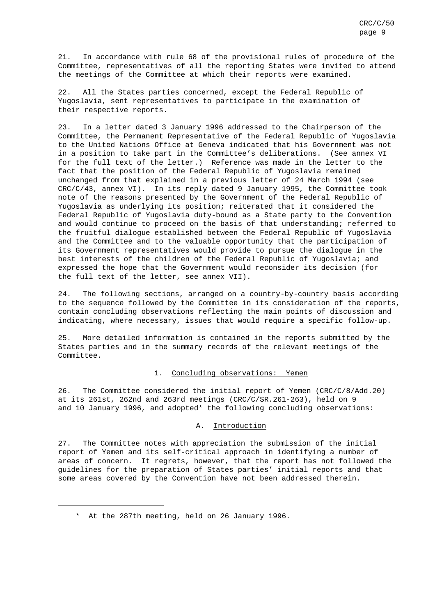21. In accordance with rule 68 of the provisional rules of procedure of the Committee, representatives of all the reporting States were invited to attend the meetings of the Committee at which their reports were examined.

22. All the States parties concerned, except the Federal Republic of Yugoslavia, sent representatives to participate in the examination of their respective reports.

23. In a letter dated 3 January 1996 addressed to the Chairperson of the Committee, the Permanent Representative of the Federal Republic of Yugoslavia to the United Nations Office at Geneva indicated that his Government was not in a position to take part in the Committee's deliberations. (See annex VI for the full text of the letter.) Reference was made in the letter to the fact that the position of the Federal Republic of Yugoslavia remained unchanged from that explained in a previous letter of 24 March 1994 (see CRC/C/43, annex VI). In its reply dated 9 January 1995, the Committee took note of the reasons presented by the Government of the Federal Republic of Yugoslavia as underlying its position; reiterated that it considered the Federal Republic of Yugoslavia duty-bound as a State party to the Convention and would continue to proceed on the basis of that understanding; referred to the fruitful dialogue established between the Federal Republic of Yugoslavia and the Committee and to the valuable opportunity that the participation of its Government representatives would provide to pursue the dialogue in the best interests of the children of the Federal Republic of Yugoslavia; and expressed the hope that the Government would reconsider its decision (for the full text of the letter, see annex VII).

24. The following sections, arranged on a country-by-country basis according to the sequence followed by the Committee in its consideration of the reports, contain concluding observations reflecting the main points of discussion and indicating, where necessary, issues that would require a specific follow-up.

25. More detailed information is contained in the reports submitted by the States parties and in the summary records of the relevant meetings of the Committee.

#### 1. Concluding observations: Yemen

26. The Committee considered the initial report of Yemen (CRC/C/8/Add.20) at its 261st, 262nd and 263rd meetings (CRC/C/SR.261-263), held on 9 and 10 January 1996, and adopted\* the following concluding observations:

#### A. Introduction

27. The Committee notes with appreciation the submission of the initial report of Yemen and its self-critical approach in identifying a number of areas of concern. It regrets, however, that the report has not followed the guidelines for the preparation of States parties' initial reports and that some areas covered by the Convention have not been addressed therein.

<sup>\*</sup> At the 287th meeting, held on 26 January 1996.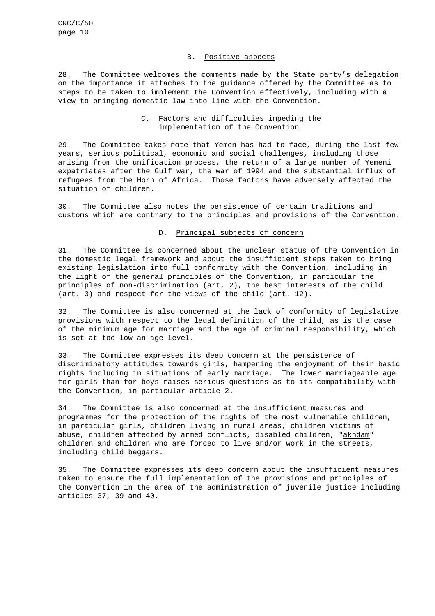#### B. Positive aspects

28. The Committee welcomes the comments made by the State party's delegation on the importance it attaches to the guidance offered by the Committee as to steps to be taken to implement the Convention effectively, including with a view to bringing domestic law into line with the Convention.

# C. Factors and difficulties impeding the implementation of the Convention

29. The Committee takes note that Yemen has had to face, during the last few years, serious political, economic and social challenges, including those arising from the unification process, the return of a large number of Yemeni expatriates after the Gulf war, the war of 1994 and the substantial influx of refugees from the Horn of Africa. Those factors have adversely affected the situation of children.

30. The Committee also notes the persistence of certain traditions and customs which are contrary to the principles and provisions of the Convention.

#### D. Principal subjects of concern

31. The Committee is concerned about the unclear status of the Convention in the domestic legal framework and about the insufficient steps taken to bring existing legislation into full conformity with the Convention, including in the light of the general principles of the Convention, in particular the principles of non-discrimination (art. 2), the best interests of the child (art. 3) and respect for the views of the child (art. 12).

32. The Committee is also concerned at the lack of conformity of legislative provisions with respect to the legal definition of the child, as is the case of the minimum age for marriage and the age of criminal responsibility, which is set at too low an age level.

33. The Committee expresses its deep concern at the persistence of discriminatory attitudes towards girls, hampering the enjoyment of their basic rights including in situations of early marriage. The lower marriageable age for girls than for boys raises serious questions as to its compatibility with the Convention, in particular article 2.

34. The Committee is also concerned at the insufficient measures and programmes for the protection of the rights of the most vulnerable children, in particular girls, children living in rural areas, children victims of abuse, children affected by armed conflicts, disabled children, "akhdam" children and children who are forced to live and/or work in the streets, including child beggars.

35. The Committee expresses its deep concern about the insufficient measures taken to ensure the full implementation of the provisions and principles of the Convention in the area of the administration of juvenile justice including articles 37, 39 and 40.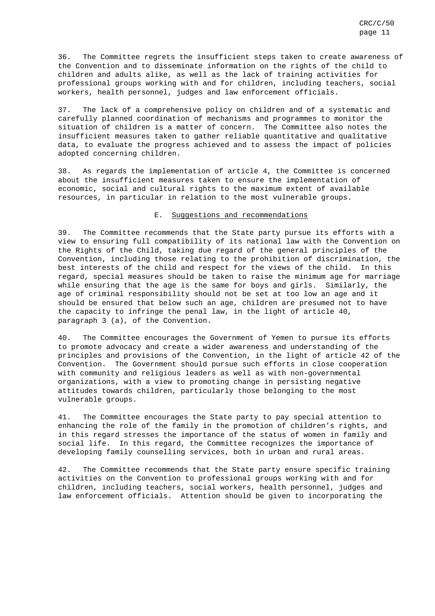36. The Committee regrets the insufficient steps taken to create awareness of the Convention and to disseminate information on the rights of the child to children and adults alike, as well as the lack of training activities for professional groups working with and for children, including teachers, social workers, health personnel, judges and law enforcement officials.

37. The lack of a comprehensive policy on children and of a systematic and carefully planned coordination of mechanisms and programmes to monitor the situation of children is a matter of concern. The Committee also notes the insufficient measures taken to gather reliable quantitative and qualitative data, to evaluate the progress achieved and to assess the impact of policies adopted concerning children.

38. As regards the implementation of article 4, the Committee is concerned about the insufficient measures taken to ensure the implementation of economic, social and cultural rights to the maximum extent of available resources, in particular in relation to the most vulnerable groups.

#### E. Suggestions and recommendations

39. The Committee recommends that the State party pursue its efforts with a view to ensuring full compatibility of its national law with the Convention on the Rights of the Child, taking due regard of the general principles of the Convention, including those relating to the prohibition of discrimination, the best interests of the child and respect for the views of the child. In this regard, special measures should be taken to raise the minimum age for marriage while ensuring that the age is the same for boys and girls. Similarly, the age of criminal responsibility should not be set at too low an age and it should be ensured that below such an age, children are presumed not to have the capacity to infringe the penal law, in the light of article 40, paragraph 3 (a), of the Convention.

40. The Committee encourages the Government of Yemen to pursue its efforts to promote advocacy and create a wider awareness and understanding of the principles and provisions of the Convention, in the light of article 42 of the Convention. The Government should pursue such efforts in close cooperation with community and religious leaders as well as with non-governmental organizations, with a view to promoting change in persisting negative attitudes towards children, particularly those belonging to the most vulnerable groups.

41. The Committee encourages the State party to pay special attention to enhancing the role of the family in the promotion of children's rights, and in this regard stresses the importance of the status of women in family and social life. In this regard, the Committee recognizes the importance of developing family counselling services, both in urban and rural areas.

42. The Committee recommends that the State party ensure specific training activities on the Convention to professional groups working with and for children, including teachers, social workers, health personnel, judges and law enforcement officials. Attention should be given to incorporating the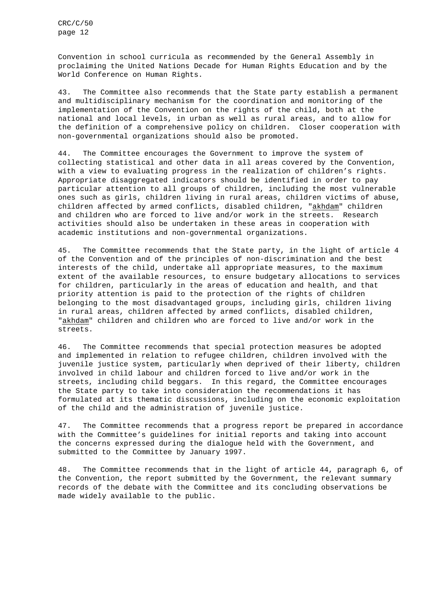Convention in school curricula as recommended by the General Assembly in proclaiming the United Nations Decade for Human Rights Education and by the World Conference on Human Rights.

43. The Committee also recommends that the State party establish a permanent and multidisciplinary mechanism for the coordination and monitoring of the implementation of the Convention on the rights of the child, both at the national and local levels, in urban as well as rural areas, and to allow for the definition of a comprehensive policy on children. Closer cooperation with non-governmental organizations should also be promoted.

44. The Committee encourages the Government to improve the system of collecting statistical and other data in all areas covered by the Convention, with a view to evaluating progress in the realization of children's rights. Appropriate disaggregated indicators should be identified in order to pay particular attention to all groups of children, including the most vulnerable ones such as girls, children living in rural areas, children victims of abuse, children affected by armed conflicts, disabled children, "akhdam" children and children who are forced to live and/or work in the streets. Research activities should also be undertaken in these areas in cooperation with academic institutions and non-governmental organizations.

45. The Committee recommends that the State party, in the light of article 4 of the Convention and of the principles of non-discrimination and the best interests of the child, undertake all appropriate measures, to the maximum extent of the available resources, to ensure budgetary allocations to services for children, particularly in the areas of education and health, and that priority attention is paid to the protection of the rights of children belonging to the most disadvantaged groups, including girls, children living in rural areas, children affected by armed conflicts, disabled children, "akhdam" children and children who are forced to live and/or work in the streets.

46. The Committee recommends that special protection measures be adopted and implemented in relation to refugee children, children involved with the juvenile justice system, particularly when deprived of their liberty, children involved in child labour and children forced to live and/or work in the streets, including child beggars. In this regard, the Committee encourages the State party to take into consideration the recommendations it has formulated at its thematic discussions, including on the economic exploitation of the child and the administration of juvenile justice.

47. The Committee recommends that a progress report be prepared in accordance with the Committee's guidelines for initial reports and taking into account the concerns expressed during the dialogue held with the Government, and submitted to the Committee by January 1997.

48. The Committee recommends that in the light of article 44, paragraph 6, of the Convention, the report submitted by the Government, the relevant summary records of the debate with the Committee and its concluding observations be made widely available to the public.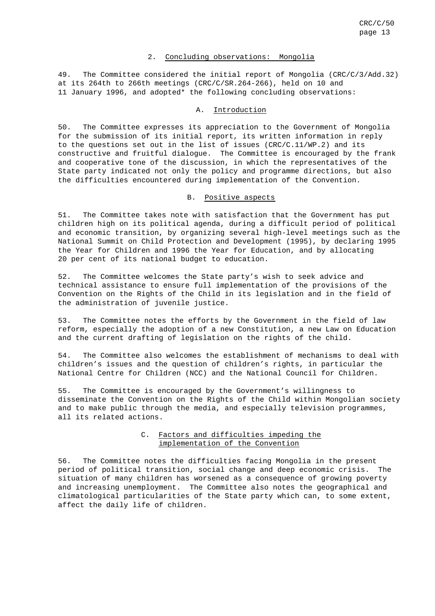# 2. Concluding observations: Mongolia

49. The Committee considered the initial report of Mongolia (CRC/C/3/Add.32) at its 264th to 266th meetings (CRC/C/SR.264-266), held on 10 and 11 January 1996, and adopted\* the following concluding observations:

#### A. Introduction

50. The Committee expresses its appreciation to the Government of Mongolia for the submission of its initial report, its written information in reply to the questions set out in the list of issues  $(CRC/C.11/WP.2)$  and its constructive and fruitful dialogue. The Committee is encouraged by the frank and cooperative tone of the discussion, in which the representatives of the State party indicated not only the policy and programme directions, but also the difficulties encountered during implementation of the Convention.

# B. Positive aspects

51. The Committee takes note with satisfaction that the Government has put children high on its political agenda, during a difficult period of political and economic transition, by organizing several high-level meetings such as the National Summit on Child Protection and Development (1995), by declaring 1995 the Year for Children and 1996 the Year for Education, and by allocating 20 per cent of its national budget to education.

52. The Committee welcomes the State party's wish to seek advice and technical assistance to ensure full implementation of the provisions of the Convention on the Rights of the Child in its legislation and in the field of the administration of juvenile justice.

53. The Committee notes the efforts by the Government in the field of law reform, especially the adoption of a new Constitution, a new Law on Education and the current drafting of legislation on the rights of the child.

54. The Committee also welcomes the establishment of mechanisms to deal with children's issues and the question of children's rights, in particular the National Centre for Children (NCC) and the National Council for Children.

55. The Committee is encouraged by the Government's willingness to disseminate the Convention on the Rights of the Child within Mongolian society and to make public through the media, and especially television programmes, all its related actions.

# C. Factors and difficulties impeding the implementation of the Convention

56. The Committee notes the difficulties facing Mongolia in the present period of political transition, social change and deep economic crisis. The situation of many children has worsened as a consequence of growing poverty and increasing unemployment. The Committee also notes the geographical and climatological particularities of the State party which can, to some extent, affect the daily life of children.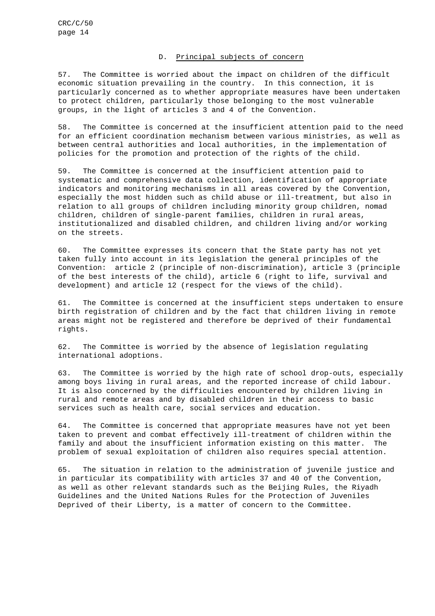#### D. Principal subjects of concern

57. The Committee is worried about the impact on children of the difficult economic situation prevailing in the country. In this connection, it is particularly concerned as to whether appropriate measures have been undertaken to protect children, particularly those belonging to the most vulnerable groups, in the light of articles 3 and 4 of the Convention.

58. The Committee is concerned at the insufficient attention paid to the need for an efficient coordination mechanism between various ministries, as well as between central authorities and local authorities, in the implementation of policies for the promotion and protection of the rights of the child.

59. The Committee is concerned at the insufficient attention paid to systematic and comprehensive data collection, identification of appropriate indicators and monitoring mechanisms in all areas covered by the Convention, especially the most hidden such as child abuse or ill-treatment, but also in relation to all groups of children including minority group children, nomad children, children of single-parent families, children in rural areas, institutionalized and disabled children, and children living and/or working on the streets.

60. The Committee expresses its concern that the State party has not yet taken fully into account in its legislation the general principles of the Convention: article 2 (principle of non-discrimination), article 3 (principle of the best interests of the child), article 6 (right to life, survival and development) and article 12 (respect for the views of the child).

61. The Committee is concerned at the insufficient steps undertaken to ensure birth registration of children and by the fact that children living in remote areas might not be registered and therefore be deprived of their fundamental rights.

62. The Committee is worried by the absence of legislation regulating international adoptions.

63. The Committee is worried by the high rate of school drop-outs, especially among boys living in rural areas, and the reported increase of child labour. It is also concerned by the difficulties encountered by children living in rural and remote areas and by disabled children in their access to basic services such as health care, social services and education.

64. The Committee is concerned that appropriate measures have not yet been taken to prevent and combat effectively ill-treatment of children within the family and about the insufficient information existing on this matter. The problem of sexual exploitation of children also requires special attention.

65. The situation in relation to the administration of juvenile justice and in particular its compatibility with articles 37 and 40 of the Convention, as well as other relevant standards such as the Beijing Rules, the Riyadh Guidelines and the United Nations Rules for the Protection of Juveniles Deprived of their Liberty, is a matter of concern to the Committee.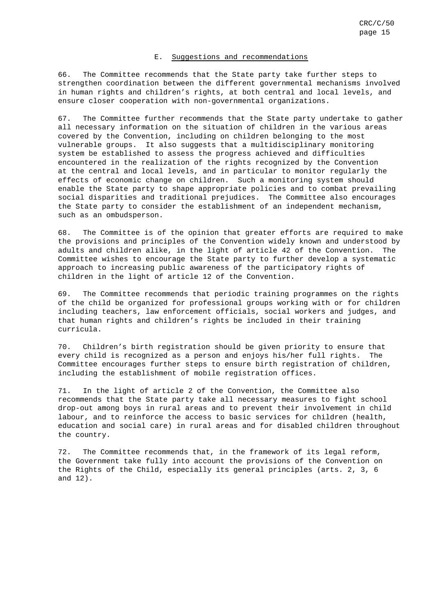#### E. Suggestions and recommendations

66. The Committee recommends that the State party take further steps to strengthen coordination between the different governmental mechanisms involved in human rights and children's rights, at both central and local levels, and ensure closer cooperation with non-governmental organizations.

67. The Committee further recommends that the State party undertake to gather all necessary information on the situation of children in the various areas covered by the Convention, including on children belonging to the most vulnerable groups. It also suggests that a multidisciplinary monitoring system be established to assess the progress achieved and difficulties encountered in the realization of the rights recognized by the Convention at the central and local levels, and in particular to monitor regularly the effects of economic change on children. Such a monitoring system should enable the State party to shape appropriate policies and to combat prevailing social disparities and traditional prejudices. The Committee also encourages the State party to consider the establishment of an independent mechanism, such as an ombudsperson.

68. The Committee is of the opinion that greater efforts are required to make the provisions and principles of the Convention widely known and understood by adults and children alike, in the light of article 42 of the Convention. The Committee wishes to encourage the State party to further develop a systematic approach to increasing public awareness of the participatory rights of children in the light of article 12 of the Convention.

69. The Committee recommends that periodic training programmes on the rights of the child be organized for professional groups working with or for children including teachers, law enforcement officials, social workers and judges, and that human rights and children's rights be included in their training curricula.

70. Children's birth registration should be given priority to ensure that every child is recognized as a person and enjoys his/her full rights. The Committee encourages further steps to ensure birth registration of children, including the establishment of mobile registration offices.

71. In the light of article 2 of the Convention, the Committee also recommends that the State party take all necessary measures to fight school drop-out among boys in rural areas and to prevent their involvement in child labour, and to reinforce the access to basic services for children (health, education and social care) in rural areas and for disabled children throughout the country.

72. The Committee recommends that, in the framework of its legal reform, the Government take fully into account the provisions of the Convention on the Rights of the Child, especially its general principles (arts. 2, 3, 6 and 12).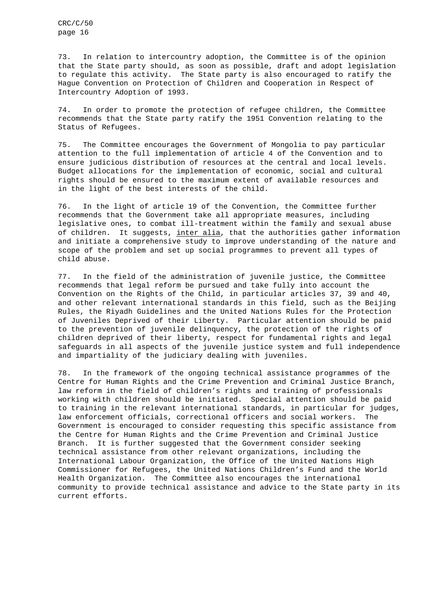73. In relation to intercountry adoption, the Committee is of the opinion that the State party should, as soon as possible, draft and adopt legislation to regulate this activity. The State party is also encouraged to ratify the Hague Convention on Protection of Children and Cooperation in Respect of Intercountry Adoption of 1993.

74. In order to promote the protection of refugee children, the Committee recommends that the State party ratify the 1951 Convention relating to the Status of Refugees.

75. The Committee encourages the Government of Mongolia to pay particular attention to the full implementation of article 4 of the Convention and to ensure judicious distribution of resources at the central and local levels. Budget allocations for the implementation of economic, social and cultural rights should be ensured to the maximum extent of available resources and in the light of the best interests of the child.

76. In the light of article 19 of the Convention, the Committee further recommends that the Government take all appropriate measures, including legislative ones, to combat ill-treatment within the family and sexual abuse of children. It suggests, inter alia, that the authorities gather information and initiate a comprehensive study to improve understanding of the nature and scope of the problem and set up social programmes to prevent all types of child abuse.

77. In the field of the administration of juvenile justice, the Committee recommends that legal reform be pursued and take fully into account the Convention on the Rights of the Child, in particular articles 37, 39 and 40, and other relevant international standards in this field, such as the Beijing Rules, the Riyadh Guidelines and the United Nations Rules for the Protection of Juveniles Deprived of their Liberty. Particular attention should be paid to the prevention of juvenile delinquency, the protection of the rights of children deprived of their liberty, respect for fundamental rights and legal safeguards in all aspects of the juvenile justice system and full independence and impartiality of the judiciary dealing with juveniles.

78. In the framework of the ongoing technical assistance programmes of the Centre for Human Rights and the Crime Prevention and Criminal Justice Branch, law reform in the field of children's rights and training of professionals working with children should be initiated. Special attention should be paid to training in the relevant international standards, in particular for judges, law enforcement officials, correctional officers and social workers. The Government is encouraged to consider requesting this specific assistance from the Centre for Human Rights and the Crime Prevention and Criminal Justice Branch. It is further suggested that the Government consider seeking technical assistance from other relevant organizations, including the International Labour Organization, the Office of the United Nations High Commissioner for Refugees, the United Nations Children's Fund and the World Health Organization. The Committee also encourages the international community to provide technical assistance and advice to the State party in its current efforts.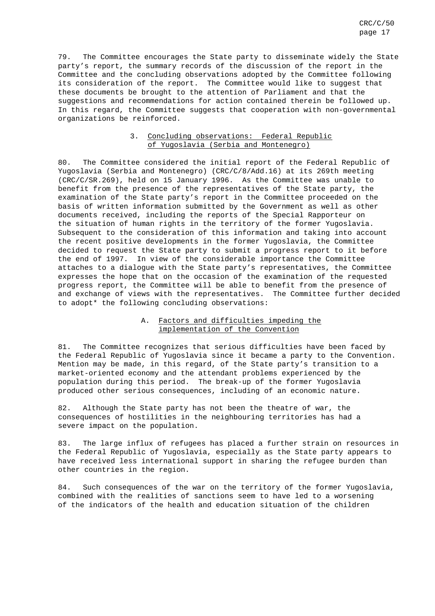79. The Committee encourages the State party to disseminate widely the State party's report, the summary records of the discussion of the report in the Committee and the concluding observations adopted by the Committee following its consideration of the report. The Committee would like to suggest that these documents be brought to the attention of Parliament and that the suggestions and recommendations for action contained therein be followed up. In this regard, the Committee suggests that cooperation with non-governmental organizations be reinforced.

# 3. Concluding observations: Federal Republic of Yugoslavia (Serbia and Montenegro)

80. The Committee considered the initial report of the Federal Republic of Yugoslavia (Serbia and Montenegro) (CRC/C/8/Add.16) at its 269th meeting (CRC/C/SR.269), held on 15 January 1996. As the Committee was unable to benefit from the presence of the representatives of the State party, the examination of the State party's report in the Committee proceeded on the basis of written information submitted by the Government as well as other documents received, including the reports of the Special Rapporteur on the situation of human rights in the territory of the former Yugoslavia. Subsequent to the consideration of this information and taking into account the recent positive developments in the former Yugoslavia, the Committee decided to request the State party to submit a progress report to it before the end of 1997. In view of the considerable importance the Committee attaches to a dialogue with the State party's representatives, the Committee expresses the hope that on the occasion of the examination of the requested progress report, the Committee will be able to benefit from the presence of and exchange of views with the representatives. The Committee further decided to adopt\* the following concluding observations:

# A. Factors and difficulties impeding the implementation of the Convention

81. The Committee recognizes that serious difficulties have been faced by the Federal Republic of Yugoslavia since it became a party to the Convention. Mention may be made, in this regard, of the State party's transition to a market-oriented economy and the attendant problems experienced by the population during this period. The break-up of the former Yugoslavia produced other serious consequences, including of an economic nature.

82. Although the State party has not been the theatre of war, the consequences of hostilities in the neighbouring territories has had a severe impact on the population.

83. The large influx of refugees has placed a further strain on resources in the Federal Republic of Yugoslavia, especially as the State party appears to have received less international support in sharing the refugee burden than other countries in the region.

84. Such consequences of the war on the territory of the former Yugoslavia, combined with the realities of sanctions seem to have led to a worsening of the indicators of the health and education situation of the children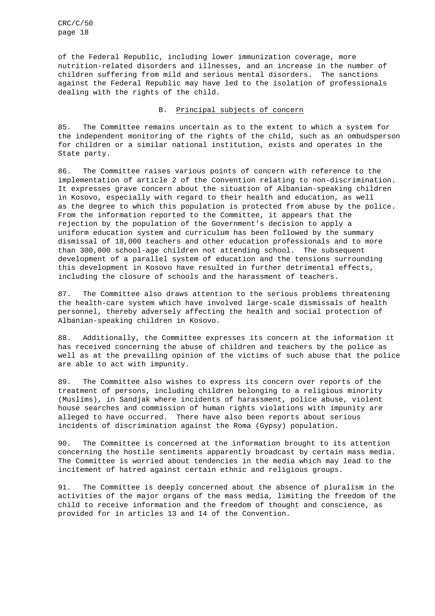CRC/C/50 page 18

of the Federal Republic, including lower immunization coverage, more nutrition-related disorders and illnesses, and an increase in the number of children suffering from mild and serious mental disorders. The sanctions against the Federal Republic may have led to the isolation of professionals dealing with the rights of the child.

#### B. Principal subjects of concern

85. The Committee remains uncertain as to the extent to which a system for the independent monitoring of the rights of the child, such as an ombudsperson for children or a similar national institution, exists and operates in the State party.

86. The Committee raises various points of concern with reference to the implementation of article 2 of the Convention relating to non-discrimination. It expresses grave concern about the situation of Albanian-speaking children in Kosovo, especially with regard to their health and education, as well as the degree to which this population is protected from abuse by the police. From the information reported to the Committee, it appears that the rejection by the population of the Government's decision to apply a uniform education system and curriculum has been followed by the summary dismissal of 18,000 teachers and other education professionals and to more than 300,000 school-age children not attending school. The subsequent development of a parallel system of education and the tensions surrounding this development in Kosovo have resulted in further detrimental effects, including the closure of schools and the harassment of teachers.

87. The Committee also draws attention to the serious problems threatening the health-care system which have involved large-scale dismissals of health personnel, thereby adversely affecting the health and social protection of Albanian-speaking children in Kosovo.

88. Additionally, the Committee expresses its concern at the information it has received concerning the abuse of children and teachers by the police as well as at the prevailing opinion of the victims of such abuse that the police are able to act with impunity.

89. The Committee also wishes to express its concern over reports of the treatment of persons, including children belonging to a religious minority (Muslims), in Sandjak where incidents of harassment, police abuse, violent house searches and commission of human rights violations with impunity are alleged to have occurred. There have also been reports about serious incidents of discrimination against the Roma (Gypsy) population.

90. The Committee is concerned at the information brought to its attention concerning the hostile sentiments apparently broadcast by certain mass media. The Committee is worried about tendencies in the media which may lead to the incitement of hatred against certain ethnic and religious groups.

91. The Committee is deeply concerned about the absence of pluralism in the activities of the major organs of the mass media, limiting the freedom of the child to receive information and the freedom of thought and conscience, as provided for in articles 13 and 14 of the Convention.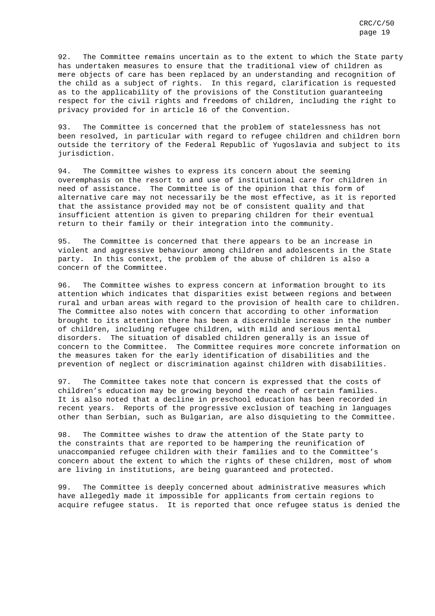92. The Committee remains uncertain as to the extent to which the State party has undertaken measures to ensure that the traditional view of children as mere objects of care has been replaced by an understanding and recognition of the child as a subject of rights. In this regard, clarification is requested as to the applicability of the provisions of the Constitution guaranteeing respect for the civil rights and freedoms of children, including the right to privacy provided for in article 16 of the Convention.

93. The Committee is concerned that the problem of statelessness has not been resolved, in particular with regard to refugee children and children born outside the territory of the Federal Republic of Yugoslavia and subject to its jurisdiction.

94. The Committee wishes to express its concern about the seeming overemphasis on the resort to and use of institutional care for children in need of assistance. The Committee is of the opinion that this form of alternative care may not necessarily be the most effective, as it is reported that the assistance provided may not be of consistent quality and that insufficient attention is given to preparing children for their eventual return to their family or their integration into the community.

95. The Committee is concerned that there appears to be an increase in violent and aggressive behaviour among children and adolescents in the State party. In this context, the problem of the abuse of children is also a concern of the Committee.

96. The Committee wishes to express concern at information brought to its attention which indicates that disparities exist between regions and between rural and urban areas with regard to the provision of health care to children. The Committee also notes with concern that according to other information brought to its attention there has been a discernible increase in the number of children, including refugee children, with mild and serious mental disorders. The situation of disabled children generally is an issue of concern to the Committee. The Committee requires more concrete information on the measures taken for the early identification of disabilities and the prevention of neglect or discrimination against children with disabilities.

97. The Committee takes note that concern is expressed that the costs of children's education may be growing beyond the reach of certain families. It is also noted that a decline in preschool education has been recorded in recent years. Reports of the progressive exclusion of teaching in languages other than Serbian, such as Bulgarian, are also disquieting to the Committee.

98. The Committee wishes to draw the attention of the State party to the constraints that are reported to be hampering the reunification of unaccompanied refugee children with their families and to the Committee's concern about the extent to which the rights of these children, most of whom are living in institutions, are being guaranteed and protected.

99. The Committee is deeply concerned about administrative measures which have allegedly made it impossible for applicants from certain regions to acquire refugee status. It is reported that once refugee status is denied the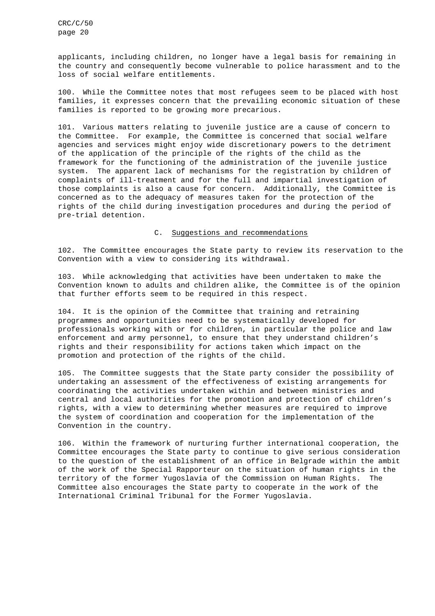applicants, including children, no longer have a legal basis for remaining in the country and consequently become vulnerable to police harassment and to the loss of social welfare entitlements.

100. While the Committee notes that most refugees seem to be placed with host families, it expresses concern that the prevailing economic situation of these families is reported to be growing more precarious.

101. Various matters relating to juvenile justice are a cause of concern to the Committee. For example, the Committee is concerned that social welfare agencies and services might enjoy wide discretionary powers to the detriment of the application of the principle of the rights of the child as the framework for the functioning of the administration of the juvenile justice system. The apparent lack of mechanisms for the registration by children of complaints of ill-treatment and for the full and impartial investigation of those complaints is also a cause for concern. Additionally, the Committee is concerned as to the adequacy of measures taken for the protection of the rights of the child during investigation procedures and during the period of pre-trial detention.

# C. Suggestions and recommendations

102. The Committee encourages the State party to review its reservation to the Convention with a view to considering its withdrawal.

103. While acknowledging that activities have been undertaken to make the Convention known to adults and children alike, the Committee is of the opinion that further efforts seem to be required in this respect.

104. It is the opinion of the Committee that training and retraining programmes and opportunities need to be systematically developed for professionals working with or for children, in particular the police and law enforcement and army personnel, to ensure that they understand children's rights and their responsibility for actions taken which impact on the promotion and protection of the rights of the child.

105. The Committee suggests that the State party consider the possibility of undertaking an assessment of the effectiveness of existing arrangements for coordinating the activities undertaken within and between ministries and central and local authorities for the promotion and protection of children's rights, with a view to determining whether measures are required to improve the system of coordination and cooperation for the implementation of the Convention in the country.

106. Within the framework of nurturing further international cooperation, the Committee encourages the State party to continue to give serious consideration to the question of the establishment of an office in Belgrade within the ambit of the work of the Special Rapporteur on the situation of human rights in the territory of the former Yugoslavia of the Commission on Human Rights. The Committee also encourages the State party to cooperate in the work of the International Criminal Tribunal for the Former Yugoslavia.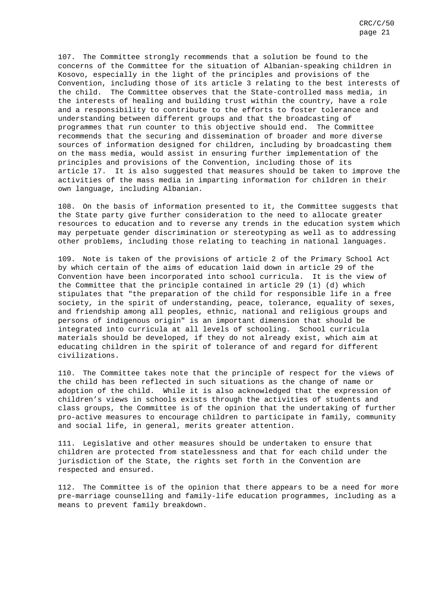107. The Committee strongly recommends that a solution be found to the concerns of the Committee for the situation of Albanian-speaking children in Kosovo, especially in the light of the principles and provisions of the Convention, including those of its article 3 relating to the best interests of the child. The Committee observes that the State-controlled mass media, in the interests of healing and building trust within the country, have a role and a responsibility to contribute to the efforts to foster tolerance and understanding between different groups and that the broadcasting of programmes that run counter to this objective should end. The Committee recommends that the securing and dissemination of broader and more diverse sources of information designed for children, including by broadcasting them on the mass media, would assist in ensuring further implementation of the principles and provisions of the Convention, including those of its article 17. It is also suggested that measures should be taken to improve the activities of the mass media in imparting information for children in their own language, including Albanian.

108. On the basis of information presented to it, the Committee suggests that the State party give further consideration to the need to allocate greater resources to education and to reverse any trends in the education system which may perpetuate gender discrimination or stereotyping as well as to addressing other problems, including those relating to teaching in national languages.

109. Note is taken of the provisions of article 2 of the Primary School Act by which certain of the aims of education laid down in article 29 of the Convention have been incorporated into school curricula. It is the view of the Committee that the principle contained in article 29 (1) (d) which stipulates that "the preparation of the child for responsible life in a free society, in the spirit of understanding, peace, tolerance, equality of sexes, and friendship among all peoples, ethnic, national and religious groups and persons of indigenous origin" is an important dimension that should be integrated into curricula at all levels of schooling. School curricula materials should be developed, if they do not already exist, which aim at educating children in the spirit of tolerance of and regard for different civilizations.

110. The Committee takes note that the principle of respect for the views of the child has been reflected in such situations as the change of name or adoption of the child. While it is also acknowledged that the expression of children's views in schools exists through the activities of students and class groups, the Committee is of the opinion that the undertaking of further pro-active measures to encourage children to participate in family, community and social life, in general, merits greater attention.

111. Legislative and other measures should be undertaken to ensure that children are protected from statelessness and that for each child under the jurisdiction of the State, the rights set forth in the Convention are respected and ensured.

112. The Committee is of the opinion that there appears to be a need for more pre-marriage counselling and family-life education programmes, including as a means to prevent family breakdown.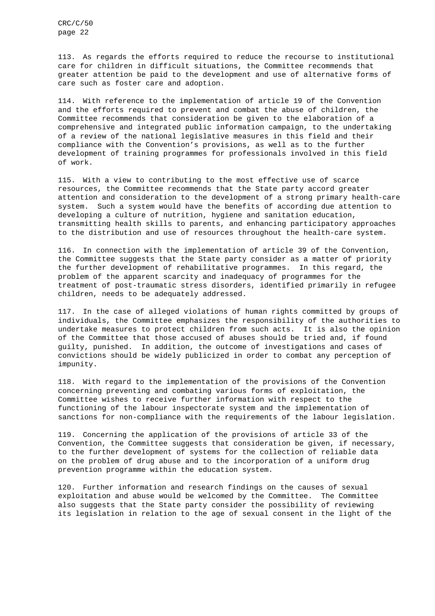113. As regards the efforts required to reduce the recourse to institutional care for children in difficult situations, the Committee recommends that greater attention be paid to the development and use of alternative forms of care such as foster care and adoption.

114. With reference to the implementation of article 19 of the Convention and the efforts required to prevent and combat the abuse of children, the Committee recommends that consideration be given to the elaboration of a comprehensive and integrated public information campaign, to the undertaking of a review of the national legislative measures in this field and their compliance with the Convention's provisions, as well as to the further development of training programmes for professionals involved in this field of work.

115. With a view to contributing to the most effective use of scarce resources, the Committee recommends that the State party accord greater attention and consideration to the development of a strong primary health-care system. Such a system would have the benefits of according due attention to developing a culture of nutrition, hygiene and sanitation education, transmitting health skills to parents, and enhancing participatory approaches to the distribution and use of resources throughout the health-care system.

116. In connection with the implementation of article 39 of the Convention, the Committee suggests that the State party consider as a matter of priority the further development of rehabilitative programmes. In this regard, the problem of the apparent scarcity and inadequacy of programmes for the treatment of post-traumatic stress disorders, identified primarily in refugee children, needs to be adequately addressed.

117. In the case of alleged violations of human rights committed by groups of individuals, the Committee emphasizes the responsibility of the authorities to undertake measures to protect children from such acts. It is also the opinion of the Committee that those accused of abuses should be tried and, if found guilty, punished. In addition, the outcome of investigations and cases of convictions should be widely publicized in order to combat any perception of impunity.

118. With regard to the implementation of the provisions of the Convention concerning preventing and combating various forms of exploitation, the Committee wishes to receive further information with respect to the functioning of the labour inspectorate system and the implementation of sanctions for non-compliance with the requirements of the labour legislation.

119. Concerning the application of the provisions of article 33 of the Convention, the Committee suggests that consideration be given, if necessary, to the further development of systems for the collection of reliable data on the problem of drug abuse and to the incorporation of a uniform drug prevention programme within the education system.

120. Further information and research findings on the causes of sexual exploitation and abuse would be welcomed by the Committee. The Committee also suggests that the State party consider the possibility of reviewing its legislation in relation to the age of sexual consent in the light of the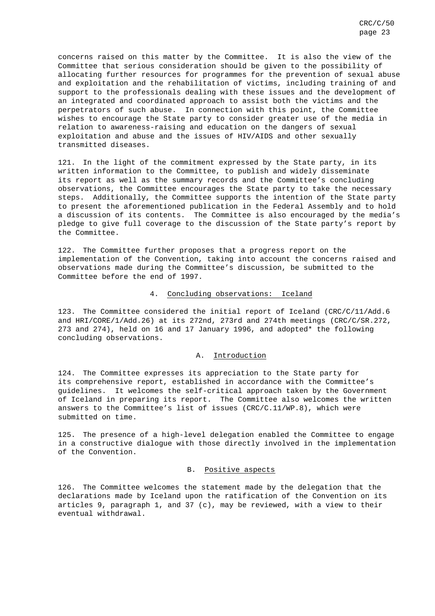concerns raised on this matter by the Committee. It is also the view of the Committee that serious consideration should be given to the possibility of allocating further resources for programmes for the prevention of sexual abuse and exploitation and the rehabilitation of victims, including training of and support to the professionals dealing with these issues and the development of an integrated and coordinated approach to assist both the victims and the perpetrators of such abuse. In connection with this point, the Committee wishes to encourage the State party to consider greater use of the media in relation to awareness-raising and education on the dangers of sexual exploitation and abuse and the issues of HIV/AIDS and other sexually transmitted diseases.

121. In the light of the commitment expressed by the State party, in its written information to the Committee, to publish and widely disseminate its report as well as the summary records and the Committee's concluding observations, the Committee encourages the State party to take the necessary steps. Additionally, the Committee supports the intention of the State party to present the aforementioned publication in the Federal Assembly and to hold a discussion of its contents. The Committee is also encouraged by the media's pledge to give full coverage to the discussion of the State party's report by the Committee.

122. The Committee further proposes that a progress report on the implementation of the Convention, taking into account the concerns raised and observations made during the Committee's discussion, be submitted to the Committee before the end of 1997.

# 4. Concluding observations: Iceland

123. The Committee considered the initial report of Iceland (CRC/C/11/Add.6 and HRI/CORE/1/Add.26) at its 272nd, 273rd and 274th meetings (CRC/C/SR.272, 273 and 274), held on 16 and 17 January 1996, and adopted\* the following concluding observations.

### A. Introduction

124. The Committee expresses its appreciation to the State party for its comprehensive report, established in accordance with the Committee's guidelines. It welcomes the self-critical approach taken by the Government of Iceland in preparing its report. The Committee also welcomes the written answers to the Committee's list of issues (CRC/C.11/WP.8), which were submitted on time.

125. The presence of a high-level delegation enabled the Committee to engage in a constructive dialogue with those directly involved in the implementation of the Convention.

#### B. Positive aspects

126. The Committee welcomes the statement made by the delegation that the declarations made by Iceland upon the ratification of the Convention on its articles 9, paragraph 1, and 37 (c), may be reviewed, with a view to their eventual withdrawal.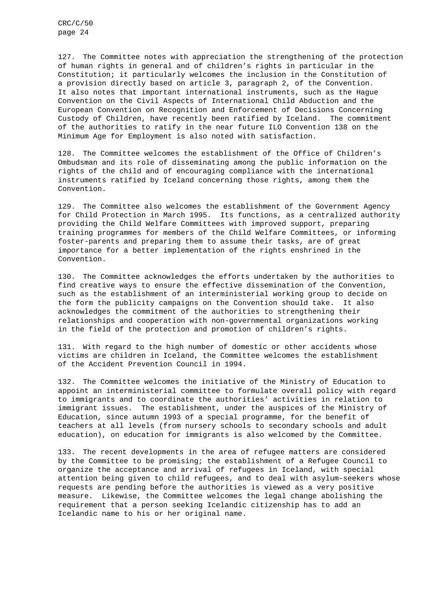127. The Committee notes with appreciation the strengthening of the protection of human rights in general and of children's rights in particular in the Constitution; it particularly welcomes the inclusion in the Constitution of a provision directly based on article 3, paragraph 2, of the Convention. It also notes that important international instruments, such as the Hague Convention on the Civil Aspects of International Child Abduction and the European Convention on Recognition and Enforcement of Decisions Concerning Custody of Children, have recently been ratified by Iceland. The commitment of the authorities to ratify in the near future ILO Convention 138 on the Minimum Age for Employment is also noted with satisfaction.

128. The Committee welcomes the establishment of the Office of Children's Ombudsman and its role of disseminating among the public information on the rights of the child and of encouraging compliance with the international instruments ratified by Iceland concerning those rights, among them the Convention.

129. The Committee also welcomes the establishment of the Government Agency for Child Protection in March 1995. Its functions, as a centralized authority providing the Child Welfare Committees with improved support, preparing training programmes for members of the Child Welfare Committees, or informing foster-parents and preparing them to assume their tasks, are of great importance for a better implementation of the rights enshrined in the Convention.

130. The Committee acknowledges the efforts undertaken by the authorities to find creative ways to ensure the effective dissemination of the Convention, such as the establishment of an interministerial working group to decide on the form the publicity campaigns on the Convention should take. It also acknowledges the commitment of the authorities to strengthening their relationships and cooperation with non-governmental organizations working in the field of the protection and promotion of children's rights.

131. With regard to the high number of domestic or other accidents whose victims are children in Iceland, the Committee welcomes the establishment of the Accident Prevention Council in 1994.

132. The Committee welcomes the initiative of the Ministry of Education to appoint an interministerial committee to formulate overall policy with regard to immigrants and to coordinate the authorities' activities in relation to immigrant issues. The establishment, under the auspices of the Ministry of Education, since autumn 1993 of a special programme, for the benefit of teachers at all levels (from nursery schools to secondary schools and adult education), on education for immigrants is also welcomed by the Committee.

133. The recent developments in the area of refugee matters are considered by the Committee to be promising; the establishment of a Refugee Council to organize the acceptance and arrival of refugees in Iceland, with special attention being given to child refugees, and to deal with asylum-seekers whose requests are pending before the authorities is viewed as a very positive measure. Likewise, the Committee welcomes the legal change abolishing the requirement that a person seeking Icelandic citizenship has to add an Icelandic name to his or her original name.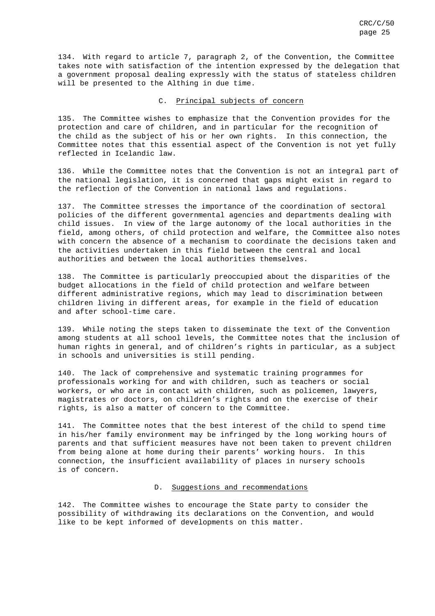134. With regard to article 7, paragraph 2, of the Convention, the Committee takes note with satisfaction of the intention expressed by the delegation that a government proposal dealing expressly with the status of stateless children will be presented to the Althing in due time.

# C. Principal subjects of concern

135. The Committee wishes to emphasize that the Convention provides for the protection and care of children, and in particular for the recognition of the child as the subject of his or her own rights. In this connection, the Committee notes that this essential aspect of the Convention is not yet fully reflected in Icelandic law.

136. While the Committee notes that the Convention is not an integral part of the national legislation, it is concerned that gaps might exist in regard to the reflection of the Convention in national laws and regulations.

137. The Committee stresses the importance of the coordination of sectoral policies of the different governmental agencies and departments dealing with child issues. In view of the large autonomy of the local authorities in the field, among others, of child protection and welfare, the Committee also notes with concern the absence of a mechanism to coordinate the decisions taken and the activities undertaken in this field between the central and local authorities and between the local authorities themselves.

138. The Committee is particularly preoccupied about the disparities of the budget allocations in the field of child protection and welfare between different administrative regions, which may lead to discrimination between children living in different areas, for example in the field of education and after school-time care.

139. While noting the steps taken to disseminate the text of the Convention among students at all school levels, the Committee notes that the inclusion of human rights in general, and of children's rights in particular, as a subject in schools and universities is still pending.

140. The lack of comprehensive and systematic training programmes for professionals working for and with children, such as teachers or social workers, or who are in contact with children, such as policemen, lawyers, magistrates or doctors, on children's rights and on the exercise of their rights, is also a matter of concern to the Committee.

141. The Committee notes that the best interest of the child to spend time in his/her family environment may be infringed by the long working hours of parents and that sufficient measures have not been taken to prevent children from being alone at home during their parents' working hours. In this connection, the insufficient availability of places in nursery schools is of concern.

# D. Suggestions and recommendations

142. The Committee wishes to encourage the State party to consider the possibility of withdrawing its declarations on the Convention, and would like to be kept informed of developments on this matter.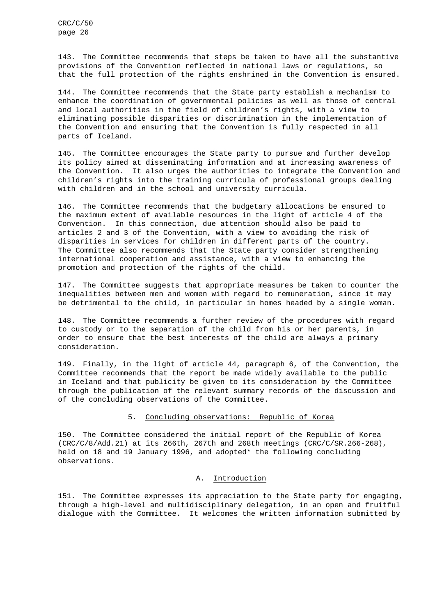143. The Committee recommends that steps be taken to have all the substantive provisions of the Convention reflected in national laws or regulations, so that the full protection of the rights enshrined in the Convention is ensured.

144. The Committee recommends that the State party establish a mechanism to enhance the coordination of governmental policies as well as those of central and local authorities in the field of children's rights, with a view to eliminating possible disparities or discrimination in the implementation of the Convention and ensuring that the Convention is fully respected in all parts of Iceland.

145. The Committee encourages the State party to pursue and further develop its policy aimed at disseminating information and at increasing awareness of the Convention. It also urges the authorities to integrate the Convention and children's rights into the training curricula of professional groups dealing with children and in the school and university curricula.

146. The Committee recommends that the budgetary allocations be ensured to the maximum extent of available resources in the light of article 4 of the Convention. In this connection, due attention should also be paid to articles 2 and 3 of the Convention, with a view to avoiding the risk of disparities in services for children in different parts of the country. The Committee also recommends that the State party consider strengthening international cooperation and assistance, with a view to enhancing the promotion and protection of the rights of the child.

147. The Committee suggests that appropriate measures be taken to counter the inequalities between men and women with regard to remuneration, since it may be detrimental to the child, in particular in homes headed by a single woman.

148. The Committee recommends a further review of the procedures with regard to custody or to the separation of the child from his or her parents, in order to ensure that the best interests of the child are always a primary consideration.

149. Finally, in the light of article 44, paragraph 6, of the Convention, the Committee recommends that the report be made widely available to the public in Iceland and that publicity be given to its consideration by the Committee through the publication of the relevant summary records of the discussion and of the concluding observations of the Committee.

#### 5. Concluding observations: Republic of Korea

150. The Committee considered the initial report of the Republic of Korea (CRC/C/8/Add.21) at its 266th, 267th and 268th meetings (CRC/C/SR.266-268), held on 18 and 19 January 1996, and adopted\* the following concluding observations.

# A. Introduction

151. The Committee expresses its appreciation to the State party for engaging, through a high-level and multidisciplinary delegation, in an open and fruitful dialogue with the Committee. It welcomes the written information submitted by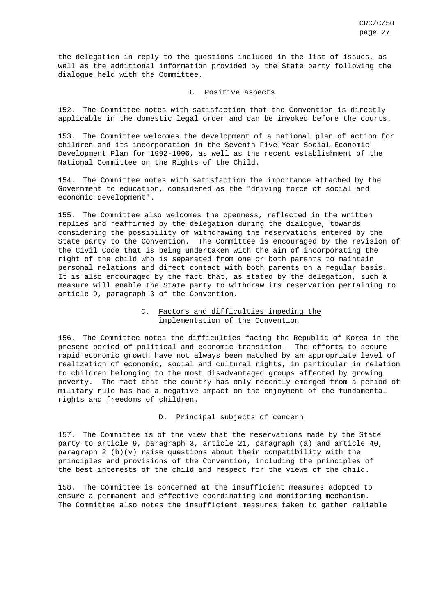the delegation in reply to the questions included in the list of issues, as well as the additional information provided by the State party following the dialogue held with the Committee.

#### B. Positive aspects

152. The Committee notes with satisfaction that the Convention is directly applicable in the domestic legal order and can be invoked before the courts.

153. The Committee welcomes the development of a national plan of action for children and its incorporation in the Seventh Five-Year Social-Economic Development Plan for 1992-1996, as well as the recent establishment of the National Committee on the Rights of the Child.

154. The Committee notes with satisfaction the importance attached by the Government to education, considered as the "driving force of social and economic development".

155. The Committee also welcomes the openness, reflected in the written replies and reaffirmed by the delegation during the dialogue, towards considering the possibility of withdrawing the reservations entered by the State party to the Convention. The Committee is encouraged by the revision of the Civil Code that is being undertaken with the aim of incorporating the right of the child who is separated from one or both parents to maintain personal relations and direct contact with both parents on a regular basis. It is also encouraged by the fact that, as stated by the delegation, such a measure will enable the State party to withdraw its reservation pertaining to article 9, paragraph 3 of the Convention.

# C. Factors and difficulties impeding the implementation of the Convention

156. The Committee notes the difficulties facing the Republic of Korea in the present period of political and economic transition. The efforts to secure rapid economic growth have not always been matched by an appropriate level of realization of economic, social and cultural rights, in particular in relation to children belonging to the most disadvantaged groups affected by growing poverty. The fact that the country has only recently emerged from a period of military rule has had a negative impact on the enjoyment of the fundamental rights and freedoms of children.

#### D. Principal subjects of concern

157. The Committee is of the view that the reservations made by the State party to article 9, paragraph 3, article 21, paragraph (a) and article 40, paragraph  $2$  (b)(v) raise questions about their compatibility with the principles and provisions of the Convention, including the principles of the best interests of the child and respect for the views of the child.

158. The Committee is concerned at the insufficient measures adopted to ensure a permanent and effective coordinating and monitoring mechanism. The Committee also notes the insufficient measures taken to gather reliable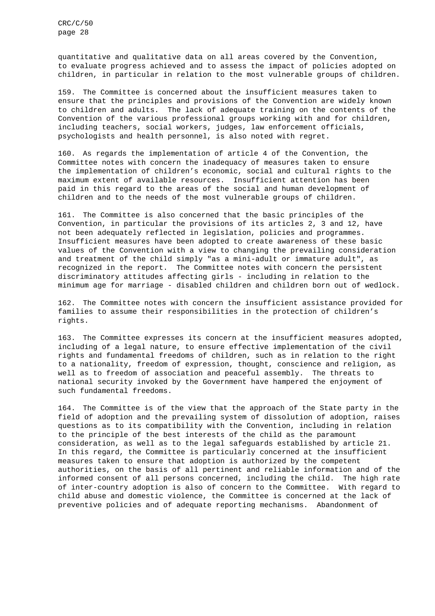quantitative and qualitative data on all areas covered by the Convention, to evaluate progress achieved and to assess the impact of policies adopted on children, in particular in relation to the most vulnerable groups of children.

159. The Committee is concerned about the insufficient measures taken to ensure that the principles and provisions of the Convention are widely known to children and adults. The lack of adequate training on the contents of the Convention of the various professional groups working with and for children, including teachers, social workers, judges, law enforcement officials, psychologists and health personnel, is also noted with regret.

160. As regards the implementation of article 4 of the Convention, the Committee notes with concern the inadequacy of measures taken to ensure the implementation of children's economic, social and cultural rights to the maximum extent of available resources. Insufficient attention has been paid in this regard to the areas of the social and human development of children and to the needs of the most vulnerable groups of children.

161. The Committee is also concerned that the basic principles of the Convention, in particular the provisions of its articles 2, 3 and 12, have not been adequately reflected in legislation, policies and programmes. Insufficient measures have been adopted to create awareness of these basic values of the Convention with a view to changing the prevailing consideration and treatment of the child simply "as a mini-adult or immature adult", as recognized in the report. The Committee notes with concern the persistent discriminatory attitudes affecting girls - including in relation to the minimum age for marriage - disabled children and children born out of wedlock.

162. The Committee notes with concern the insufficient assistance provided for families to assume their responsibilities in the protection of children's rights.

163. The Committee expresses its concern at the insufficient measures adopted, including of a legal nature, to ensure effective implementation of the civil rights and fundamental freedoms of children, such as in relation to the right to a nationality, freedom of expression, thought, conscience and religion, as well as to freedom of association and peaceful assembly. The threats to national security invoked by the Government have hampered the enjoyment of such fundamental freedoms.

164. The Committee is of the view that the approach of the State party in the field of adoption and the prevailing system of dissolution of adoption, raises questions as to its compatibility with the Convention, including in relation to the principle of the best interests of the child as the paramount consideration, as well as to the legal safeguards established by article 21. In this regard, the Committee is particularly concerned at the insufficient measures taken to ensure that adoption is authorized by the competent authorities, on the basis of all pertinent and reliable information and of the informed consent of all persons concerned, including the child. The high rate of inter-country adoption is also of concern to the Committee. With regard to child abuse and domestic violence, the Committee is concerned at the lack of preventive policies and of adequate reporting mechanisms. Abandonment of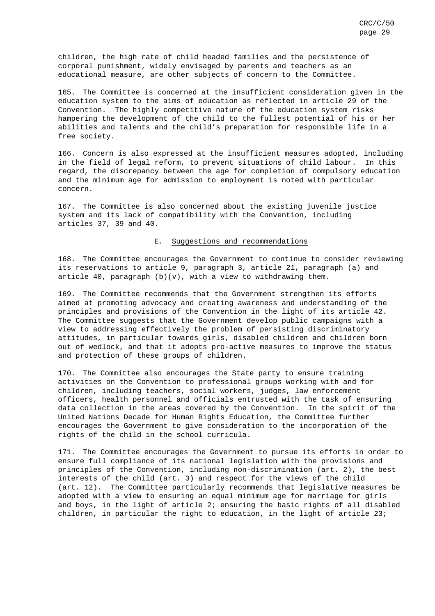children, the high rate of child headed families and the persistence of corporal punishment, widely envisaged by parents and teachers as an educational measure, are other subjects of concern to the Committee.

165. The Committee is concerned at the insufficient consideration given in the education system to the aims of education as reflected in article 29 of the Convention. The highly competitive nature of the education system risks hampering the development of the child to the fullest potential of his or her abilities and talents and the child's preparation for responsible life in a free society.

166. Concern is also expressed at the insufficient measures adopted, including in the field of legal reform, to prevent situations of child labour. In this regard, the discrepancy between the age for completion of compulsory education and the minimum age for admission to employment is noted with particular concern.

167. The Committee is also concerned about the existing juvenile justice system and its lack of compatibility with the Convention, including articles 37, 39 and 40.

# E. Suggestions and recommendations

168. The Committee encourages the Government to continue to consider reviewing its reservations to article 9, paragraph 3, article 21, paragraph (a) and article 40, paragraph  $(b)(v)$ , with a view to withdrawing them.

169. The Committee recommends that the Government strengthen its efforts aimed at promoting advocacy and creating awareness and understanding of the principles and provisions of the Convention in the light of its article 42. The Committee suggests that the Government develop public campaigns with a view to addressing effectively the problem of persisting discriminatory attitudes, in particular towards girls, disabled children and children born out of wedlock, and that it adopts pro-active measures to improve the status and protection of these groups of children.

170. The Committee also encourages the State party to ensure training activities on the Convention to professional groups working with and for children, including teachers, social workers, judges, law enforcement officers, health personnel and officials entrusted with the task of ensuring data collection in the areas covered by the Convention. In the spirit of the United Nations Decade for Human Rights Education, the Committee further encourages the Government to give consideration to the incorporation of the rights of the child in the school curricula.

171. The Committee encourages the Government to pursue its efforts in order to ensure full compliance of its national legislation with the provisions and principles of the Convention, including non-discrimination (art. 2), the best interests of the child (art. 3) and respect for the views of the child (art. 12). The Committee particularly recommends that legislative measures be adopted with a view to ensuring an equal minimum age for marriage for girls and boys, in the light of article 2; ensuring the basic rights of all disabled children, in particular the right to education, in the light of article 23;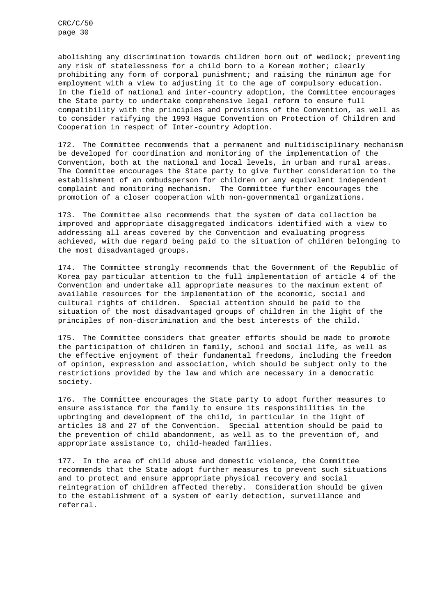abolishing any discrimination towards children born out of wedlock; preventing any risk of statelessness for a child born to a Korean mother; clearly prohibiting any form of corporal punishment; and raising the minimum age for employment with a view to adjusting it to the age of compulsory education. In the field of national and inter-country adoption, the Committee encourages the State party to undertake comprehensive legal reform to ensure full compatibility with the principles and provisions of the Convention, as well as to consider ratifying the 1993 Hague Convention on Protection of Children and Cooperation in respect of Inter-country Adoption.

172. The Committee recommends that a permanent and multidisciplinary mechanism be developed for coordination and monitoring of the implementation of the Convention, both at the national and local levels, in urban and rural areas. The Committee encourages the State party to give further consideration to the establishment of an ombudsperson for children or any equivalent independent complaint and monitoring mechanism. The Committee further encourages the promotion of a closer cooperation with non-governmental organizations.

173. The Committee also recommends that the system of data collection be improved and appropriate disaggregated indicators identified with a view to addressing all areas covered by the Convention and evaluating progress achieved, with due regard being paid to the situation of children belonging to the most disadvantaged groups.

174. The Committee strongly recommends that the Government of the Republic of Korea pay particular attention to the full implementation of article 4 of the Convention and undertake all appropriate measures to the maximum extent of available resources for the implementation of the economic, social and cultural rights of children. Special attention should be paid to the situation of the most disadvantaged groups of children in the light of the principles of non-discrimination and the best interests of the child.

175. The Committee considers that greater efforts should be made to promote the participation of children in family, school and social life, as well as the effective enjoyment of their fundamental freedoms, including the freedom of opinion, expression and association, which should be subject only to the restrictions provided by the law and which are necessary in a democratic society.

176. The Committee encourages the State party to adopt further measures to ensure assistance for the family to ensure its responsibilities in the upbringing and development of the child, in particular in the light of articles 18 and 27 of the Convention. Special attention should be paid to the prevention of child abandonment, as well as to the prevention of, and appropriate assistance to, child-headed families.

177. In the area of child abuse and domestic violence, the Committee recommends that the State adopt further measures to prevent such situations and to protect and ensure appropriate physical recovery and social reintegration of children affected thereby. Consideration should be given to the establishment of a system of early detection, surveillance and referral.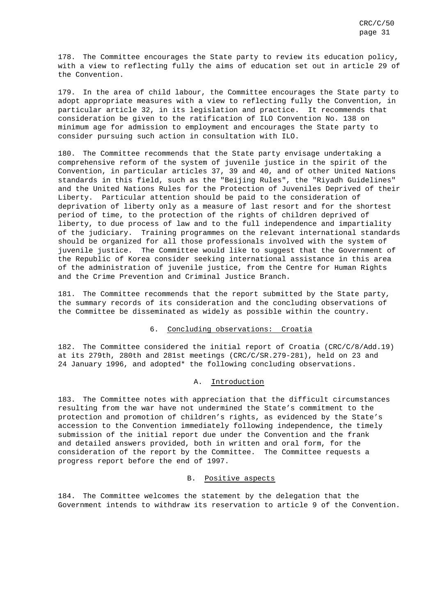178. The Committee encourages the State party to review its education policy, with a view to reflecting fully the aims of education set out in article 29 of the Convention.

179. In the area of child labour, the Committee encourages the State party to adopt appropriate measures with a view to reflecting fully the Convention, in particular article 32, in its legislation and practice. It recommends that consideration be given to the ratification of ILO Convention No. 138 on minimum age for admission to employment and encourages the State party to consider pursuing such action in consultation with ILO.

180. The Committee recommends that the State party envisage undertaking a comprehensive reform of the system of juvenile justice in the spirit of the Convention, in particular articles 37, 39 and 40, and of other United Nations standards in this field, such as the "Beijing Rules", the "Riyadh Guidelines" and the United Nations Rules for the Protection of Juveniles Deprived of their Liberty. Particular attention should be paid to the consideration of deprivation of liberty only as a measure of last resort and for the shortest period of time, to the protection of the rights of children deprived of liberty, to due process of law and to the full independence and impartiality of the judiciary. Training programmes on the relevant international standards should be organized for all those professionals involved with the system of juvenile justice. The Committee would like to suggest that the Government of the Republic of Korea consider seeking international assistance in this area of the administration of juvenile justice, from the Centre for Human Rights and the Crime Prevention and Criminal Justice Branch.

181. The Committee recommends that the report submitted by the State party, the summary records of its consideration and the concluding observations of the Committee be disseminated as widely as possible within the country.

#### 6. Concluding observations: Croatia

182. The Committee considered the initial report of Croatia (CRC/C/8/Add.19) at its 279th, 280th and 281st meetings (CRC/C/SR.279-281), held on 23 and 24 January 1996, and adopted\* the following concluding observations.

#### A. Introduction

183. The Committee notes with appreciation that the difficult circumstances resulting from the war have not undermined the State's commitment to the protection and promotion of children's rights, as evidenced by the State's accession to the Convention immediately following independence, the timely submission of the initial report due under the Convention and the frank and detailed answers provided, both in written and oral form, for the consideration of the report by the Committee. The Committee requests a progress report before the end of 1997.

#### B. Positive aspects

184. The Committee welcomes the statement by the delegation that the Government intends to withdraw its reservation to article 9 of the Convention.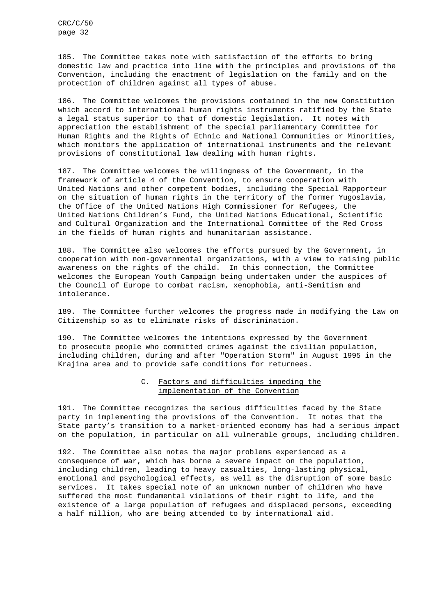185. The Committee takes note with satisfaction of the efforts to bring domestic law and practice into line with the principles and provisions of the Convention, including the enactment of legislation on the family and on the protection of children against all types of abuse.

186. The Committee welcomes the provisions contained in the new Constitution which accord to international human rights instruments ratified by the State a legal status superior to that of domestic legislation. It notes with appreciation the establishment of the special parliamentary Committee for Human Rights and the Rights of Ethnic and National Communities or Minorities, which monitors the application of international instruments and the relevant provisions of constitutional law dealing with human rights.

187. The Committee welcomes the willingness of the Government, in the framework of article 4 of the Convention, to ensure cooperation with United Nations and other competent bodies, including the Special Rapporteur on the situation of human rights in the territory of the former Yugoslavia, the Office of the United Nations High Commissioner for Refugees, the United Nations Children's Fund, the United Nations Educational, Scientific and Cultural Organization and the International Committee of the Red Cross in the fields of human rights and humanitarian assistance.

188. The Committee also welcomes the efforts pursued by the Government, in cooperation with non-governmental organizations, with a view to raising public awareness on the rights of the child. In this connection, the Committee welcomes the European Youth Campaign being undertaken under the auspices of the Council of Europe to combat racism, xenophobia, anti-Semitism and intolerance.

189. The Committee further welcomes the progress made in modifying the Law on Citizenship so as to eliminate risks of discrimination.

190. The Committee welcomes the intentions expressed by the Government to prosecute people who committed crimes against the civilian population, including children, during and after "Operation Storm" in August 1995 in the Krajina area and to provide safe conditions for returnees.

# C. Factors and difficulties impeding the implementation of the Convention

191. The Committee recognizes the serious difficulties faced by the State party in implementing the provisions of the Convention. It notes that the State party's transition to a market-oriented economy has had a serious impact on the population, in particular on all vulnerable groups, including children.

192. The Committee also notes the major problems experienced as a consequence of war, which has borne a severe impact on the population, including children, leading to heavy casualties, long-lasting physical, emotional and psychological effects, as well as the disruption of some basic services. It takes special note of an unknown number of children who have suffered the most fundamental violations of their right to life, and the existence of a large population of refugees and displaced persons, exceeding a half million, who are being attended to by international aid.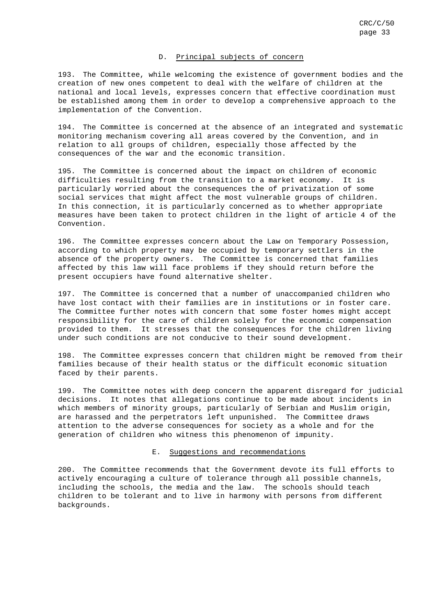# D. Principal subjects of concern

193. The Committee, while welcoming the existence of government bodies and the creation of new ones competent to deal with the welfare of children at the national and local levels, expresses concern that effective coordination must be established among them in order to develop a comprehensive approach to the implementation of the Convention.

194. The Committee is concerned at the absence of an integrated and systematic monitoring mechanism covering all areas covered by the Convention, and in relation to all groups of children, especially those affected by the consequences of the war and the economic transition.

195. The Committee is concerned about the impact on children of economic difficulties resulting from the transition to a market economy. It is particularly worried about the consequences the of privatization of some social services that might affect the most vulnerable groups of children. In this connection, it is particularly concerned as to whether appropriate measures have been taken to protect children in the light of article 4 of the Convention.

196. The Committee expresses concern about the Law on Temporary Possession, according to which property may be occupied by temporary settlers in the absence of the property owners. The Committee is concerned that families affected by this law will face problems if they should return before the present occupiers have found alternative shelter.

197. The Committee is concerned that a number of unaccompanied children who have lost contact with their families are in institutions or in foster care. The Committee further notes with concern that some foster homes might accept responsibility for the care of children solely for the economic compensation provided to them. It stresses that the consequences for the children living under such conditions are not conducive to their sound development.

198. The Committee expresses concern that children might be removed from their families because of their health status or the difficult economic situation faced by their parents.

199. The Committee notes with deep concern the apparent disregard for judicial decisions. It notes that allegations continue to be made about incidents in which members of minority groups, particularly of Serbian and Muslim origin, are harassed and the perpetrators left unpunished. The Committee draws attention to the adverse consequences for society as a whole and for the generation of children who witness this phenomenon of impunity.

#### E. Suggestions and recommendations

200. The Committee recommends that the Government devote its full efforts to actively encouraging a culture of tolerance through all possible channels, including the schools, the media and the law. The schools should teach children to be tolerant and to live in harmony with persons from different backgrounds.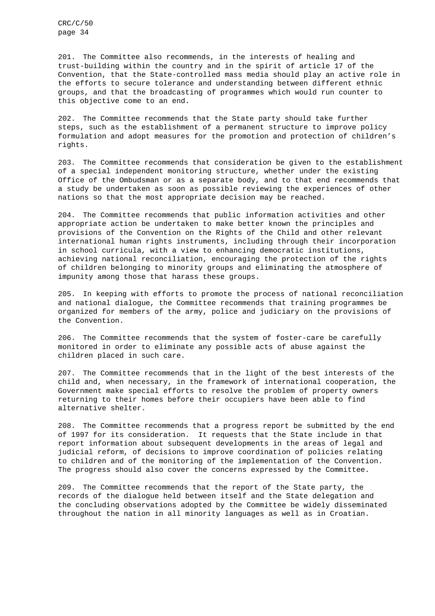201. The Committee also recommends, in the interests of healing and trust-building within the country and in the spirit of article 17 of the Convention, that the State-controlled mass media should play an active role in the efforts to secure tolerance and understanding between different ethnic groups, and that the broadcasting of programmes which would run counter to this objective come to an end.

202. The Committee recommends that the State party should take further steps, such as the establishment of a permanent structure to improve policy formulation and adopt measures for the promotion and protection of children's rights.

203. The Committee recommends that consideration be given to the establishment of a special independent monitoring structure, whether under the existing Office of the Ombudsman or as a separate body, and to that end recommends that a study be undertaken as soon as possible reviewing the experiences of other nations so that the most appropriate decision may be reached.

204. The Committee recommends that public information activities and other appropriate action be undertaken to make better known the principles and provisions of the Convention on the Rights of the Child and other relevant international human rights instruments, including through their incorporation in school curricula, with a view to enhancing democratic institutions, achieving national reconciliation, encouraging the protection of the rights of children belonging to minority groups and eliminating the atmosphere of impunity among those that harass these groups.

205. In keeping with efforts to promote the process of national reconciliation and national dialogue, the Committee recommends that training programmes be organized for members of the army, police and judiciary on the provisions of the Convention.

206. The Committee recommends that the system of foster-care be carefully monitored in order to eliminate any possible acts of abuse against the children placed in such care.

207. The Committee recommends that in the light of the best interests of the child and, when necessary, in the framework of international cooperation, the Government make special efforts to resolve the problem of property owners returning to their homes before their occupiers have been able to find alternative shelter.

208. The Committee recommends that a progress report be submitted by the end of 1997 for its consideration. It requests that the State include in that report information about subsequent developments in the areas of legal and judicial reform, of decisions to improve coordination of policies relating to children and of the monitoring of the implementation of the Convention. The progress should also cover the concerns expressed by the Committee.

209. The Committee recommends that the report of the State party, the records of the dialogue held between itself and the State delegation and the concluding observations adopted by the Committee be widely disseminated throughout the nation in all minority languages as well as in Croatian.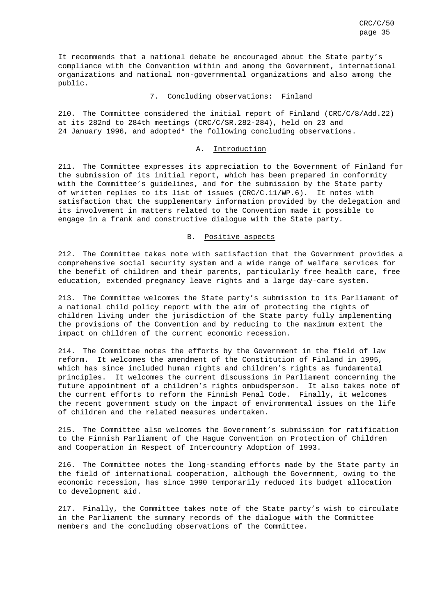It recommends that a national debate be encouraged about the State party's compliance with the Convention within and among the Government, international organizations and national non-governmental organizations and also among the public.

#### 7. Concluding observations: Finland

210. The Committee considered the initial report of Finland (CRC/C/8/Add.22) at its 282nd to 284th meetings (CRC/C/SR.282-284), held on 23 and 24 January 1996, and adopted\* the following concluding observations.

#### A. Introduction

211. The Committee expresses its appreciation to the Government of Finland for the submission of its initial report, which has been prepared in conformity with the Committee's guidelines, and for the submission by the State party of written replies to its list of issues (CRC/C.11/WP.6). It notes with satisfaction that the supplementary information provided by the delegation and its involvement in matters related to the Convention made it possible to engage in a frank and constructive dialogue with the State party.

#### B. Positive aspects

212. The Committee takes note with satisfaction that the Government provides a comprehensive social security system and a wide range of welfare services for the benefit of children and their parents, particularly free health care, free education, extended pregnancy leave rights and a large day-care system.

213. The Committee welcomes the State party's submission to its Parliament of a national child policy report with the aim of protecting the rights of children living under the jurisdiction of the State party fully implementing the provisions of the Convention and by reducing to the maximum extent the impact on children of the current economic recession.

214. The Committee notes the efforts by the Government in the field of law reform. It welcomes the amendment of the Constitution of Finland in 1995, which has since included human rights and children's rights as fundamental principles. It welcomes the current discussions in Parliament concerning the future appointment of a children's rights ombudsperson. It also takes note of the current efforts to reform the Finnish Penal Code. Finally, it welcomes the recent government study on the impact of environmental issues on the life of children and the related measures undertaken.

215. The Committee also welcomes the Government's submission for ratification to the Finnish Parliament of the Hague Convention on Protection of Children and Cooperation in Respect of Intercountry Adoption of 1993.

216. The Committee notes the long-standing efforts made by the State party in the field of international cooperation, although the Government, owing to the economic recession, has since 1990 temporarily reduced its budget allocation to development aid.

217. Finally, the Committee takes note of the State party's wish to circulate in the Parliament the summary records of the dialogue with the Committee members and the concluding observations of the Committee.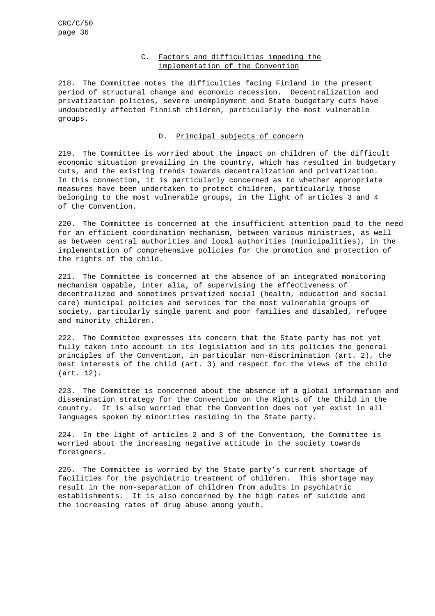# C. Factors and difficulties impeding the implementation of the Convention

218. The Committee notes the difficulties facing Finland in the present period of structural change and economic recession. Decentralization and privatization policies, severe unemployment and State budgetary cuts have undoubtedly affected Finnish children, particularly the most vulnerable groups.

# D. Principal subjects of concern

219. The Committee is worried about the impact on children of the difficult economic situation prevailing in the country, which has resulted in budgetary cuts, and the existing trends towards decentralization and privatization. In this connection, it is particularly concerned as to whether appropriate measures have been undertaken to protect children, particularly those belonging to the most vulnerable groups, in the light of articles 3 and 4 of the Convention.

220. The Committee is concerned at the insufficient attention paid to the need for an efficient coordination mechanism, between various ministries, as well as between central authorities and local authorities (municipalities), in the implementation of comprehensive policies for the promotion and protection of the rights of the child.

221. The Committee is concerned at the absence of an integrated monitoring mechanism capable, inter alia, of supervising the effectiveness of decentralized and sometimes privatized social (health, education and social care) municipal policies and services for the most vulnerable groups of society, particularly single parent and poor families and disabled, refugee and minority children.

222. The Committee expresses its concern that the State party has not yet fully taken into account in its legislation and in its policies the general principles of the Convention, in particular non-discrimination (art. 2), the best interests of the child (art. 3) and respect for the views of the child (art. 12).

223. The Committee is concerned about the absence of a global information and dissemination strategy for the Convention on the Rights of the Child in the country. It is also worried that the Convention does not yet exist in all languages spoken by minorities residing in the State party.

224. In the light of articles 2 and 3 of the Convention, the Committee is worried about the increasing negative attitude in the society towards foreigners.

225. The Committee is worried by the State party's current shortage of facilities for the psychiatric treatment of children. This shortage may result in the non-separation of children from adults in psychiatric establishments. It is also concerned by the high rates of suicide and the increasing rates of drug abuse among youth.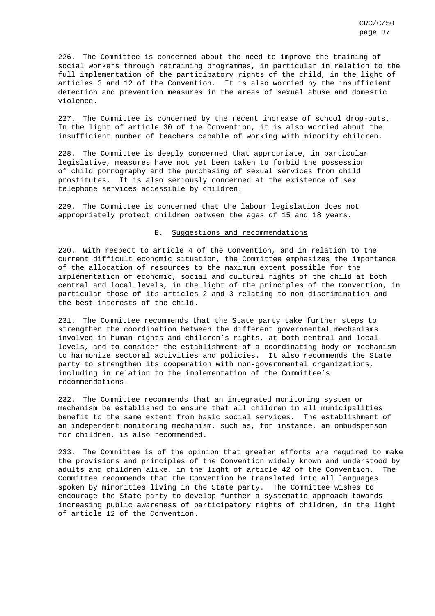226. The Committee is concerned about the need to improve the training of social workers through retraining programmes, in particular in relation to the full implementation of the participatory rights of the child, in the light of articles 3 and 12 of the Convention. It is also worried by the insufficient detection and prevention measures in the areas of sexual abuse and domestic violence.

227. The Committee is concerned by the recent increase of school drop-outs. In the light of article 30 of the Convention, it is also worried about the insufficient number of teachers capable of working with minority children.

228. The Committee is deeply concerned that appropriate, in particular legislative, measures have not yet been taken to forbid the possession of child pornography and the purchasing of sexual services from child prostitutes. It is also seriously concerned at the existence of sex telephone services accessible by children.

229. The Committee is concerned that the labour legislation does not appropriately protect children between the ages of 15 and 18 years.

#### E. Suggestions and recommendations

230. With respect to article 4 of the Convention, and in relation to the current difficult economic situation, the Committee emphasizes the importance of the allocation of resources to the maximum extent possible for the implementation of economic, social and cultural rights of the child at both central and local levels, in the light of the principles of the Convention, in particular those of its articles 2 and 3 relating to non-discrimination and the best interests of the child.

231. The Committee recommends that the State party take further steps to strengthen the coordination between the different governmental mechanisms involved in human rights and children's rights, at both central and local levels, and to consider the establishment of a coordinating body or mechanism to harmonize sectoral activities and policies. It also recommends the State party to strengthen its cooperation with non-governmental organizations, including in relation to the implementation of the Committee's recommendations.

232. The Committee recommends that an integrated monitoring system or mechanism be established to ensure that all children in all municipalities benefit to the same extent from basic social services. The establishment of an independent monitoring mechanism, such as, for instance, an ombudsperson for children, is also recommended.

233. The Committee is of the opinion that greater efforts are required to make the provisions and principles of the Convention widely known and understood by adults and children alike, in the light of article 42 of the Convention. The Committee recommends that the Convention be translated into all languages spoken by minorities living in the State party. The Committee wishes to encourage the State party to develop further a systematic approach towards increasing public awareness of participatory rights of children, in the light of article 12 of the Convention.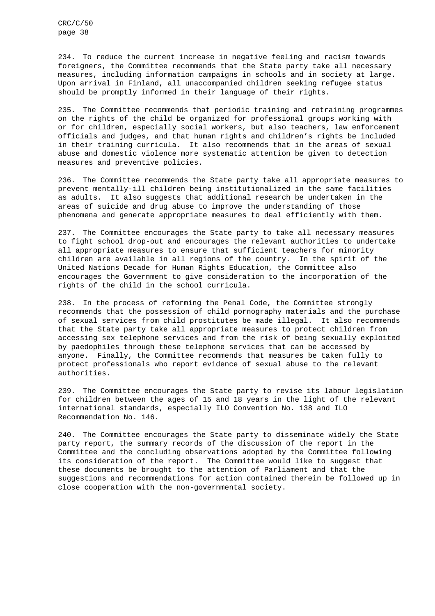234. To reduce the current increase in negative feeling and racism towards foreigners, the Committee recommends that the State party take all necessary measures, including information campaigns in schools and in society at large. Upon arrival in Finland, all unaccompanied children seeking refugee status should be promptly informed in their language of their rights.

235. The Committee recommends that periodic training and retraining programmes on the rights of the child be organized for professional groups working with or for children, especially social workers, but also teachers, law enforcement officials and judges, and that human rights and children's rights be included in their training curricula. It also recommends that in the areas of sexual abuse and domestic violence more systematic attention be given to detection measures and preventive policies.

236. The Committee recommends the State party take all appropriate measures to prevent mentally-ill children being institutionalized in the same facilities as adults. It also suggests that additional research be undertaken in the areas of suicide and drug abuse to improve the understanding of those phenomena and generate appropriate measures to deal efficiently with them.

237. The Committee encourages the State party to take all necessary measures to fight school drop-out and encourages the relevant authorities to undertake all appropriate measures to ensure that sufficient teachers for minority children are available in all regions of the country. In the spirit of the United Nations Decade for Human Rights Education, the Committee also encourages the Government to give consideration to the incorporation of the rights of the child in the school curricula.

238. In the process of reforming the Penal Code, the Committee strongly recommends that the possession of child pornography materials and the purchase of sexual services from child prostitutes be made illegal. It also recommends that the State party take all appropriate measures to protect children from accessing sex telephone services and from the risk of being sexually exploited by paedophiles through these telephone services that can be accessed by anyone. Finally, the Committee recommends that measures be taken fully to protect professionals who report evidence of sexual abuse to the relevant authorities.

239. The Committee encourages the State party to revise its labour legislation for children between the ages of 15 and 18 years in the light of the relevant international standards, especially ILO Convention No. 138 and ILO Recommendation No. 146.

240. The Committee encourages the State party to disseminate widely the State party report, the summary records of the discussion of the report in the Committee and the concluding observations adopted by the Committee following its consideration of the report. The Committee would like to suggest that these documents be brought to the attention of Parliament and that the suggestions and recommendations for action contained therein be followed up in close cooperation with the non-governmental society.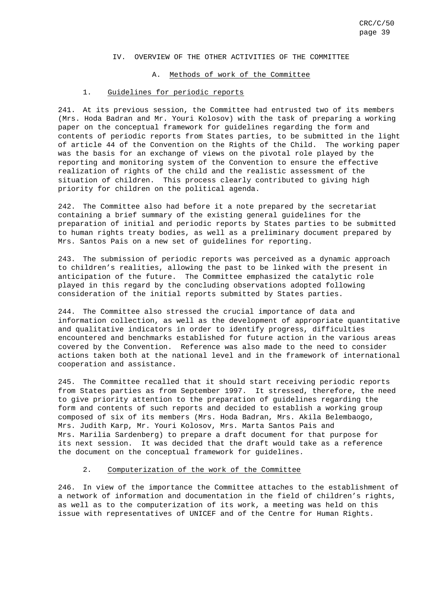#### IV. OVERVIEW OF THE OTHER ACTIVITIES OF THE COMMITTEE

#### A. Methods of work of the Committee

#### 1. Guidelines for periodic reports

241. At its previous session, the Committee had entrusted two of its members (Mrs. Hoda Badran and Mr. Youri Kolosov) with the task of preparing a working paper on the conceptual framework for guidelines regarding the form and contents of periodic reports from States parties, to be submitted in the light of article 44 of the Convention on the Rights of the Child. The working paper was the basis for an exchange of views on the pivotal role played by the reporting and monitoring system of the Convention to ensure the effective realization of rights of the child and the realistic assessment of the situation of children. This process clearly contributed to giving high priority for children on the political agenda.

242. The Committee also had before it a note prepared by the secretariat containing a brief summary of the existing general guidelines for the preparation of initial and periodic reports by States parties to be submitted to human rights treaty bodies, as well as a preliminary document prepared by Mrs. Santos Pais on a new set of guidelines for reporting.

243. The submission of periodic reports was perceived as a dynamic approach to children's realities, allowing the past to be linked with the present in anticipation of the future. The Committee emphasized the catalytic role played in this regard by the concluding observations adopted following consideration of the initial reports submitted by States parties.

244. The Committee also stressed the crucial importance of data and information collection, as well as the development of appropriate quantitative and qualitative indicators in order to identify progress, difficulties encountered and benchmarks established for future action in the various areas covered by the Convention. Reference was also made to the need to consider actions taken both at the national level and in the framework of international cooperation and assistance.

245. The Committee recalled that it should start receiving periodic reports from States parties as from September 1997. It stressed, therefore, the need to give priority attention to the preparation of guidelines regarding the form and contents of such reports and decided to establish a working group composed of six of its members (Mrs. Hoda Badran, Mrs. Akila Belembaogo, Mrs. Judith Karp, Mr. Youri Kolosov, Mrs. Marta Santos Pais and Mrs. Marilia Sardenberg) to prepare a draft document for that purpose for its next session. It was decided that the draft would take as a reference the document on the conceptual framework for guidelines.

#### 2. Computerization of the work of the Committee

246. In view of the importance the Committee attaches to the establishment of a network of information and documentation in the field of children's rights, as well as to the computerization of its work, a meeting was held on this issue with representatives of UNICEF and of the Centre for Human Rights.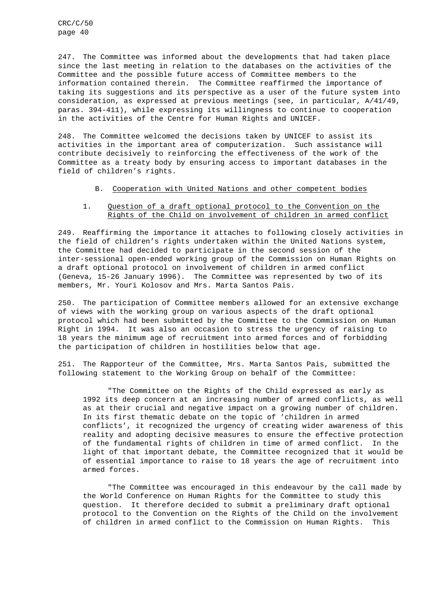247. The Committee was informed about the developments that had taken place since the last meeting in relation to the databases on the activities of the Committee and the possible future access of Committee members to the information contained therein. The Committee reaffirmed the importance of taking its suggestions and its perspective as a user of the future system into consideration, as expressed at previous meetings (see, in particular, A/41/49, paras. 394-411), while expressing its willingness to continue to cooperation in the activities of the Centre for Human Rights and UNICEF.

248. The Committee welcomed the decisions taken by UNICEF to assist its activities in the important area of computerization. Such assistance will contribute decisively to reinforcing the effectiveness of the work of the Committee as a treaty body by ensuring access to important databases in the field of children's rights.

#### B. Cooperation with United Nations and other competent bodies

#### 1. Question of a draft optional protocol to the Convention on the Rights of the Child on involvement of children in armed conflict

249. Reaffirming the importance it attaches to following closely activities in the field of children's rights undertaken within the United Nations system, the Committee had decided to participate in the second session of the inter-sessional open-ended working group of the Commission on Human Rights on a draft optional protocol on involvement of children in armed conflict (Geneva, 15-26 January 1996). The Committee was represented by two of its members, Mr. Youri Kolosov and Mrs. Marta Santos Pais.

250. The participation of Committee members allowed for an extensive exchange of views with the working group on various aspects of the draft optional protocol which had been submitted by the Committee to the Commission on Human Right in 1994. It was also an occasion to stress the urgency of raising to 18 years the minimum age of recruitment into armed forces and of forbidding the participation of children in hostilities below that age.

251. The Rapporteur of the Committee, Mrs. Marta Santos Pais, submitted the following statement to the Working Group on behalf of the Committee:

"The Committee on the Rights of the Child expressed as early as 1992 its deep concern at an increasing number of armed conflicts, as well as at their crucial and negative impact on a growing number of children. In its first thematic debate on the topic of 'children in armed conflicts', it recognized the urgency of creating wider awareness of this reality and adopting decisive measures to ensure the effective protection of the fundamental rights of children in time of armed conflict. In the light of that important debate, the Committee recognized that it would be of essential importance to raise to 18 years the age of recruitment into armed forces.

"The Committee was encouraged in this endeavour by the call made by the World Conference on Human Rights for the Committee to study this question. It therefore decided to submit a preliminary draft optional protocol to the Convention on the Rights of the Child on the involvement of children in armed conflict to the Commission on Human Rights. This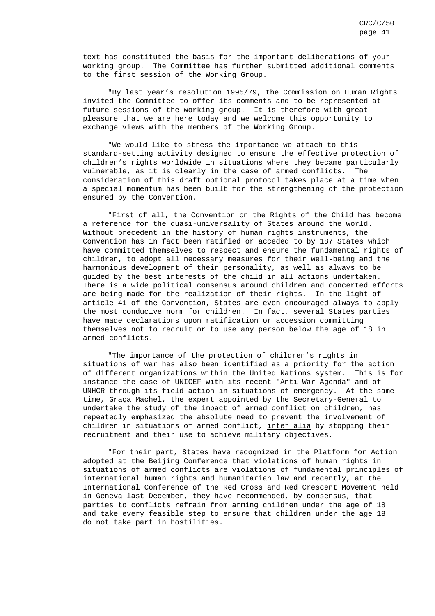text has constituted the basis for the important deliberations of your working group. The Committee has further submitted additional comments to the first session of the Working Group.

"By last year's resolution 1995/79, the Commission on Human Rights invited the Committee to offer its comments and to be represented at future sessions of the working group. It is therefore with great pleasure that we are here today and we welcome this opportunity to exchange views with the members of the Working Group.

"We would like to stress the importance we attach to this standard-setting activity designed to ensure the effective protection of children's rights worldwide in situations where they became particularly vulnerable, as it is clearly in the case of armed conflicts. The consideration of this draft optional protocol takes place at a time when a special momentum has been built for the strengthening of the protection ensured by the Convention.

"First of all, the Convention on the Rights of the Child has become a reference for the quasi-universality of States around the world. Without precedent in the history of human rights instruments, the Convention has in fact been ratified or acceded to by 187 States which have committed themselves to respect and ensure the fundamental rights of children, to adopt all necessary measures for their well-being and the harmonious development of their personality, as well as always to be guided by the best interests of the child in all actions undertaken. There is a wide political consensus around children and concerted efforts are being made for the realization of their rights. In the light of article 41 of the Convention, States are even encouraged always to apply the most conducive norm for children. In fact, several States parties have made declarations upon ratification or accession committing themselves not to recruit or to use any person below the age of 18 in armed conflicts.

"The importance of the protection of children's rights in situations of war has also been identified as a priority for the action of different organizations within the United Nations system. This is for instance the case of UNICEF with its recent "Anti-War Agenda" and of UNHCR through its field action in situations of emergency. At the same time, Graça Machel, the expert appointed by the Secretary-General to undertake the study of the impact of armed conflict on children, has repeatedly emphasized the absolute need to prevent the involvement of children in situations of armed conflict, inter alia by stopping their recruitment and their use to achieve military objectives.

"For their part, States have recognized in the Platform for Action adopted at the Beijing Conference that violations of human rights in situations of armed conflicts are violations of fundamental principles of international human rights and humanitarian law and recently, at the International Conference of the Red Cross and Red Crescent Movement held in Geneva last December, they have recommended, by consensus, that parties to conflicts refrain from arming children under the age of 18 and take every feasible step to ensure that children under the age 18 do not take part in hostilities.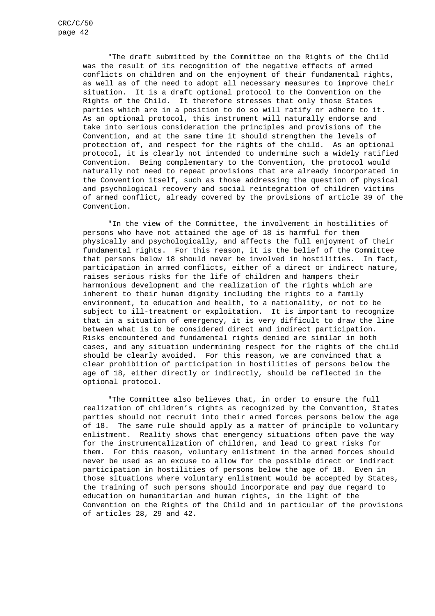"The draft submitted by the Committee on the Rights of the Child was the result of its recognition of the negative effects of armed conflicts on children and on the enjoyment of their fundamental rights, as well as of the need to adopt all necessary measures to improve their situation. It is a draft optional protocol to the Convention on the Rights of the Child. It therefore stresses that only those States parties which are in a position to do so will ratify or adhere to it. As an optional protocol, this instrument will naturally endorse and take into serious consideration the principles and provisions of the Convention, and at the same time it should strengthen the levels of protection of, and respect for the rights of the child. As an optional protocol, it is clearly not intended to undermine such a widely ratified Convention. Being complementary to the Convention, the protocol would naturally not need to repeat provisions that are already incorporated in the Convention itself, such as those addressing the question of physical and psychological recovery and social reintegration of children victims of armed conflict, already covered by the provisions of article 39 of the Convention.

"In the view of the Committee, the involvement in hostilities of persons who have not attained the age of 18 is harmful for them physically and psychologically, and affects the full enjoyment of their fundamental rights. For this reason, it is the belief of the Committee that persons below 18 should never be involved in hostilities. In fact, participation in armed conflicts, either of a direct or indirect nature, raises serious risks for the life of children and hampers their harmonious development and the realization of the rights which are inherent to their human dignity including the rights to a family environment, to education and health, to a nationality, or not to be subject to ill-treatment or exploitation. It is important to recognize that in a situation of emergency, it is very difficult to draw the line between what is to be considered direct and indirect participation. Risks encountered and fundamental rights denied are similar in both cases, and any situation undermining respect for the rights of the child should be clearly avoided. For this reason, we are convinced that a clear prohibition of participation in hostilities of persons below the age of 18, either directly or indirectly, should be reflected in the optional protocol.

"The Committee also believes that, in order to ensure the full realization of children's rights as recognized by the Convention, States parties should not recruit into their armed forces persons below the age of 18. The same rule should apply as a matter of principle to voluntary enlistment. Reality shows that emergency situations often pave the way for the instrumentalization of children, and lead to great risks for them. For this reason, voluntary enlistment in the armed forces should never be used as an excuse to allow for the possible direct or indirect participation in hostilities of persons below the age of 18. Even in those situations where voluntary enlistment would be accepted by States, the training of such persons should incorporate and pay due regard to education on humanitarian and human rights, in the light of the Convention on the Rights of the Child and in particular of the provisions of articles 28, 29 and 42.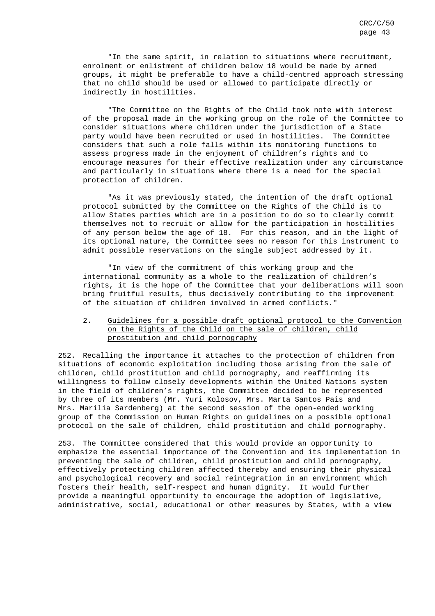"In the same spirit, in relation to situations where recruitment, enrolment or enlistment of children below 18 would be made by armed groups, it might be preferable to have a child-centred approach stressing that no child should be used or allowed to participate directly or indirectly in hostilities.

"The Committee on the Rights of the Child took note with interest of the proposal made in the working group on the role of the Committee to consider situations where children under the jurisdiction of a State party would have been recruited or used in hostilities. The Committee considers that such a role falls within its monitoring functions to assess progress made in the enjoyment of children's rights and to encourage measures for their effective realization under any circumstance and particularly in situations where there is a need for the special protection of children.

"As it was previously stated, the intention of the draft optional protocol submitted by the Committee on the Rights of the Child is to allow States parties which are in a position to do so to clearly commit themselves not to recruit or allow for the participation in hostilities of any person below the age of 18. For this reason, and in the light of its optional nature, the Committee sees no reason for this instrument to admit possible reservations on the single subject addressed by it.

"In view of the commitment of this working group and the international community as a whole to the realization of children's rights, it is the hope of the Committee that your deliberations will soon bring fruitful results, thus decisively contributing to the improvement of the situation of children involved in armed conflicts."

#### 2. Guidelines for a possible draft optional protocol to the Convention on the Rights of the Child on the sale of children, child prostitution and child pornography

252. Recalling the importance it attaches to the protection of children from situations of economic exploitation including those arising from the sale of children, child prostitution and child pornography, and reaffirming its willingness to follow closely developments within the United Nations system in the field of children's rights, the Committee decided to be represented by three of its members (Mr. Yuri Kolosov, Mrs. Marta Santos Pais and Mrs. Marilia Sardenberg) at the second session of the open-ended working group of the Commission on Human Rights on guidelines on a possible optional protocol on the sale of children, child prostitution and child pornography.

253. The Committee considered that this would provide an opportunity to emphasize the essential importance of the Convention and its implementation in preventing the sale of children, child prostitution and child pornography, effectively protecting children affected thereby and ensuring their physical and psychological recovery and social reintegration in an environment which fosters their health, self-respect and human dignity. It would further provide a meaningful opportunity to encourage the adoption of legislative, administrative, social, educational or other measures by States, with a view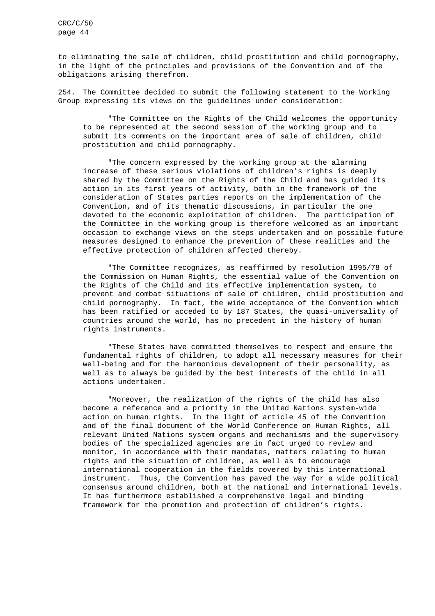to eliminating the sale of children, child prostitution and child pornography, in the light of the principles and provisions of the Convention and of the obligations arising therefrom.

254. The Committee decided to submit the following statement to the Working Group expressing its views on the guidelines under consideration:

"The Committee on the Rights of the Child welcomes the opportunity to be represented at the second session of the working group and to submit its comments on the important area of sale of children, child prostitution and child pornography.

"The concern expressed by the working group at the alarming increase of these serious violations of children's rights is deeply shared by the Committee on the Rights of the Child and has guided its action in its first years of activity, both in the framework of the consideration of States parties reports on the implementation of the Convention, and of its thematic discussions, in particular the one devoted to the economic exploitation of children. The participation of the Committee in the working group is therefore welcomed as an important occasion to exchange views on the steps undertaken and on possible future measures designed to enhance the prevention of these realities and the effective protection of children affected thereby.

"The Committee recognizes, as reaffirmed by resolution 1995/78 of the Commission on Human Rights, the essential value of the Convention on the Rights of the Child and its effective implementation system, to prevent and combat situations of sale of children, child prostitution and child pornography. In fact, the wide acceptance of the Convention which has been ratified or acceded to by 187 States, the quasi-universality of countries around the world, has no precedent in the history of human rights instruments.

"These States have committed themselves to respect and ensure the fundamental rights of children, to adopt all necessary measures for their well-being and for the harmonious development of their personality, as well as to always be guided by the best interests of the child in all actions undertaken.

"Moreover, the realization of the rights of the child has also become a reference and a priority in the United Nations system-wide action on human rights. In the light of article 45 of the Convention and of the final document of the World Conference on Human Rights, all relevant United Nations system organs and mechanisms and the supervisory bodies of the specialized agencies are in fact urged to review and monitor, in accordance with their mandates, matters relating to human rights and the situation of children, as well as to encourage international cooperation in the fields covered by this international instrument. Thus, the Convention has paved the way for a wide political consensus around children, both at the national and international levels. It has furthermore established a comprehensive legal and binding framework for the promotion and protection of children's rights.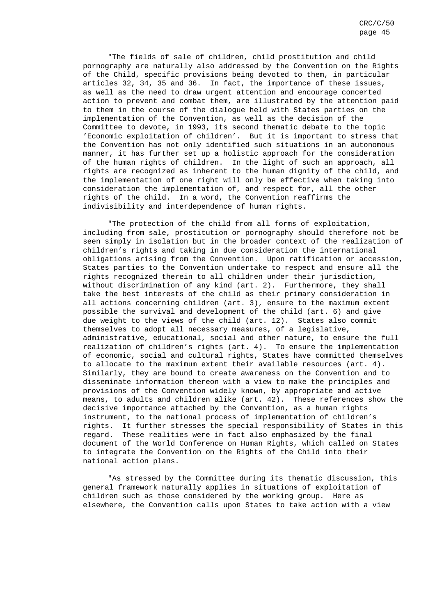"The fields of sale of children, child prostitution and child pornography are naturally also addressed by the Convention on the Rights of the Child, specific provisions being devoted to them, in particular articles 32, 34, 35 and 36. In fact, the importance of these issues, as well as the need to draw urgent attention and encourage concerted action to prevent and combat them, are illustrated by the attention paid to them in the course of the dialogue held with States parties on the implementation of the Convention, as well as the decision of the Committee to devote, in 1993, its second thematic debate to the topic 'Economic exploitation of children'. But it is important to stress that the Convention has not only identified such situations in an autonomous manner, it has further set up a holistic approach for the consideration of the human rights of children. In the light of such an approach, all rights are recognized as inherent to the human dignity of the child, and the implementation of one right will only be effective when taking into consideration the implementation of, and respect for, all the other rights of the child. In a word, the Convention reaffirms the indivisibility and interdependence of human rights.

"The protection of the child from all forms of exploitation, including from sale, prostitution or pornography should therefore not be seen simply in isolation but in the broader context of the realization of children's rights and taking in due consideration the international obligations arising from the Convention. Upon ratification or accession, States parties to the Convention undertake to respect and ensure all the rights recognized therein to all children under their jurisdiction, without discrimination of any kind (art. 2). Furthermore, they shall take the best interests of the child as their primary consideration in all actions concerning children (art. 3), ensure to the maximum extent possible the survival and development of the child (art. 6) and give due weight to the views of the child (art. 12). States also commit themselves to adopt all necessary measures, of a legislative, administrative, educational, social and other nature, to ensure the full realization of children's rights (art. 4). To ensure the implementation of economic, social and cultural rights, States have committed themselves to allocate to the maximum extent their available resources (art. 4). Similarly, they are bound to create awareness on the Convention and to disseminate information thereon with a view to make the principles and provisions of the Convention widely known, by appropriate and active means, to adults and children alike (art. 42). These references show the decisive importance attached by the Convention, as a human rights instrument, to the national process of implementation of children's rights. It further stresses the special responsibility of States in this regard. These realities were in fact also emphasized by the final document of the World Conference on Human Rights, which called on States to integrate the Convention on the Rights of the Child into their national action plans.

"As stressed by the Committee during its thematic discussion, this general framework naturally applies in situations of exploitation of children such as those considered by the working group. Here as elsewhere, the Convention calls upon States to take action with a view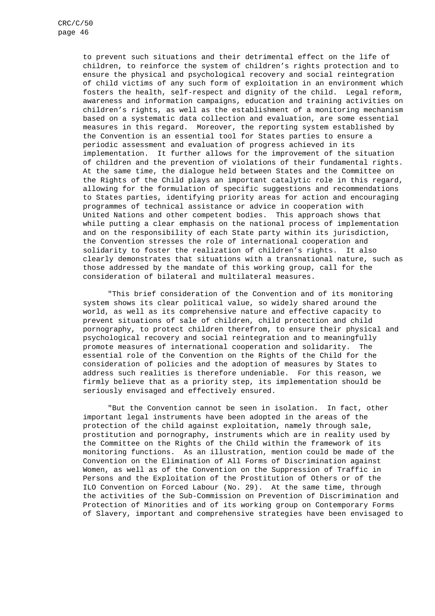to prevent such situations and their detrimental effect on the life of children, to reinforce the system of children's rights protection and to ensure the physical and psychological recovery and social reintegration of child victims of any such form of exploitation in an environment which fosters the health, self-respect and dignity of the child. Legal reform, awareness and information campaigns, education and training activities on children's rights, as well as the establishment of a monitoring mechanism based on a systematic data collection and evaluation, are some essential measures in this regard. Moreover, the reporting system established by the Convention is an essential tool for States parties to ensure a periodic assessment and evaluation of progress achieved in its implementation. It further allows for the improvement of the situation of children and the prevention of violations of their fundamental rights. At the same time, the dialogue held between States and the Committee on the Rights of the Child plays an important catalytic role in this regard, allowing for the formulation of specific suggestions and recommendations to States parties, identifying priority areas for action and encouraging programmes of technical assistance or advice in cooperation with United Nations and other competent bodies. This approach shows that while putting a clear emphasis on the national process of implementation and on the responsibility of each State party within its jurisdiction, the Convention stresses the role of international cooperation and solidarity to foster the realization of children's rights. It also clearly demonstrates that situations with a transnational nature, such as those addressed by the mandate of this working group, call for the consideration of bilateral and multilateral measures.

"This brief consideration of the Convention and of its monitoring system shows its clear political value, so widely shared around the world, as well as its comprehensive nature and effective capacity to prevent situations of sale of children, child protection and child pornography, to protect children therefrom, to ensure their physical and psychological recovery and social reintegration and to meaningfully promote measures of international cooperation and solidarity. The essential role of the Convention on the Rights of the Child for the consideration of policies and the adoption of measures by States to address such realities is therefore undeniable. For this reason, we firmly believe that as a priority step, its implementation should be seriously envisaged and effectively ensured.

"But the Convention cannot be seen in isolation. In fact, other important legal instruments have been adopted in the areas of the protection of the child against exploitation, namely through sale, prostitution and pornography, instruments which are in reality used by the Committee on the Rights of the Child within the framework of its monitoring functions. As an illustration, mention could be made of the Convention on the Elimination of All Forms of Discrimination against Women, as well as of the Convention on the Suppression of Traffic in Persons and the Exploitation of the Prostitution of Others or of the ILO Convention on Forced Labour (No. 29). At the same time, through the activities of the Sub-Commission on Prevention of Discrimination and Protection of Minorities and of its working group on Contemporary Forms of Slavery, important and comprehensive strategies have been envisaged to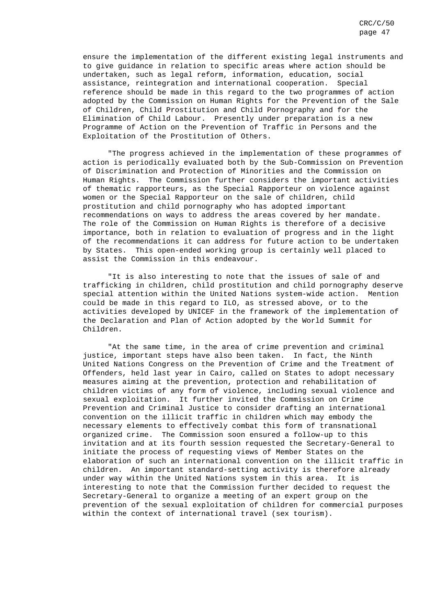ensure the implementation of the different existing legal instruments and to give guidance in relation to specific areas where action should be undertaken, such as legal reform, information, education, social assistance, reintegration and international cooperation. Special reference should be made in this regard to the two programmes of action adopted by the Commission on Human Rights for the Prevention of the Sale of Children, Child Prostitution and Child Pornography and for the Elimination of Child Labour. Presently under preparation is a new Programme of Action on the Prevention of Traffic in Persons and the Exploitation of the Prostitution of Others.

"The progress achieved in the implementation of these programmes of action is periodically evaluated both by the Sub-Commission on Prevention of Discrimination and Protection of Minorities and the Commission on Human Rights. The Commission further considers the important activities of thematic rapporteurs, as the Special Rapporteur on violence against women or the Special Rapporteur on the sale of children, child prostitution and child pornography who has adopted important recommendations on ways to address the areas covered by her mandate. The role of the Commission on Human Rights is therefore of a decisive importance, both in relation to evaluation of progress and in the light of the recommendations it can address for future action to be undertaken by States. This open-ended working group is certainly well placed to assist the Commission in this endeavour.

"It is also interesting to note that the issues of sale of and trafficking in children, child prostitution and child pornography deserve special attention within the United Nations system-wide action. Mention could be made in this regard to ILO, as stressed above, or to the activities developed by UNICEF in the framework of the implementation of the Declaration and Plan of Action adopted by the World Summit for Children.

"At the same time, in the area of crime prevention and criminal justice, important steps have also been taken. In fact, the Ninth United Nations Congress on the Prevention of Crime and the Treatment of Offenders, held last year in Cairo, called on States to adopt necessary measures aiming at the prevention, protection and rehabilitation of children victims of any form of violence, including sexual violence and sexual exploitation. It further invited the Commission on Crime Prevention and Criminal Justice to consider drafting an international convention on the illicit traffic in children which may embody the necessary elements to effectively combat this form of transnational organized crime. The Commission soon ensured a follow-up to this invitation and at its fourth session requested the Secretary-General to initiate the process of requesting views of Member States on the elaboration of such an international convention on the illicit traffic in children. An important standard-setting activity is therefore already under way within the United Nations system in this area. It is interesting to note that the Commission further decided to request the Secretary-General to organize a meeting of an expert group on the prevention of the sexual exploitation of children for commercial purposes within the context of international travel (sex tourism).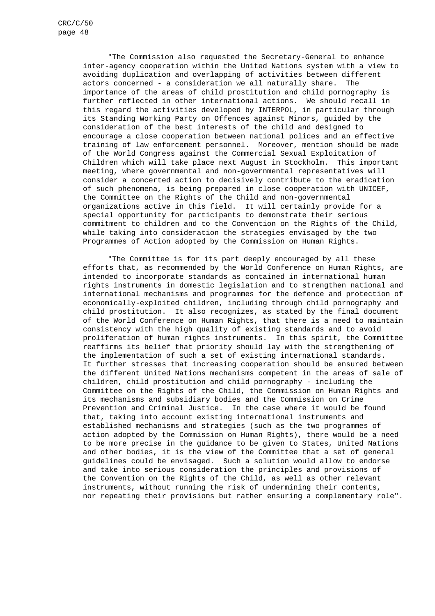"The Commission also requested the Secretary-General to enhance inter-agency cooperation within the United Nations system with a view to avoiding duplication and overlapping of activities between different actors concerned - a consideration we all naturally share. The importance of the areas of child prostitution and child pornography is further reflected in other international actions. We should recall in this regard the activities developed by INTERPOL, in particular through its Standing Working Party on Offences against Minors, guided by the consideration of the best interests of the child and designed to encourage a close cooperation between national polices and an effective training of law enforcement personnel. Moreover, mention should be made of the World Congress against the Commercial Sexual Exploitation of Children which will take place next August in Stockholm. This important meeting, where governmental and non-governmental representatives will consider a concerted action to decisively contribute to the eradication of such phenomena, is being prepared in close cooperation with UNICEF, the Committee on the Rights of the Child and non-governmental organizations active in this field. It will certainly provide for a special opportunity for participants to demonstrate their serious commitment to children and to the Convention on the Rights of the Child, while taking into consideration the strategies envisaged by the two Programmes of Action adopted by the Commission on Human Rights.

"The Committee is for its part deeply encouraged by all these efforts that, as recommended by the World Conference on Human Rights, are intended to incorporate standards as contained in international human rights instruments in domestic legislation and to strengthen national and international mechanisms and programmes for the defence and protection of economically-exploited children, including through child pornography and child prostitution. It also recognizes, as stated by the final document of the World Conference on Human Rights, that there is a need to maintain consistency with the high quality of existing standards and to avoid proliferation of human rights instruments. In this spirit, the Committee reaffirms its belief that priority should lay with the strengthening of the implementation of such a set of existing international standards. It further stresses that increasing cooperation should be ensured between the different United Nations mechanisms competent in the areas of sale of children, child prostitution and child pornography - including the Committee on the Rights of the Child, the Commission on Human Rights and its mechanisms and subsidiary bodies and the Commission on Crime Prevention and Criminal Justice. In the case where it would be found that, taking into account existing international instruments and established mechanisms and strategies (such as the two programmes of action adopted by the Commission on Human Rights), there would be a need to be more precise in the guidance to be given to States, United Nations and other bodies, it is the view of the Committee that a set of general guidelines could be envisaged. Such a solution would allow to endorse and take into serious consideration the principles and provisions of the Convention on the Rights of the Child, as well as other relevant instruments, without running the risk of undermining their contents, nor repeating their provisions but rather ensuring a complementary role".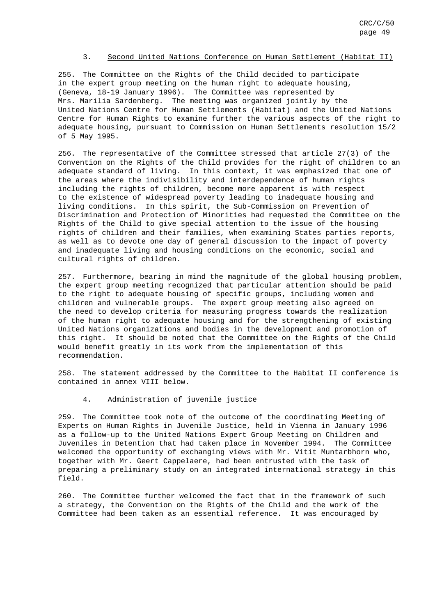#### 3. Second United Nations Conference on Human Settlement (Habitat II)

255. The Committee on the Rights of the Child decided to participate in the expert group meeting on the human right to adequate housing, (Geneva, 18-19 January 1996). The Committee was represented by Mrs. Marilia Sardenberg. The meeting was organized jointly by the United Nations Centre for Human Settlements (Habitat) and the United Nations Centre for Human Rights to examine further the various aspects of the right to adequate housing, pursuant to Commission on Human Settlements resolution 15/2 of 5 May 1995.

256. The representative of the Committee stressed that article 27(3) of the Convention on the Rights of the Child provides for the right of children to an adequate standard of living. In this context, it was emphasized that one of the areas where the indivisibility and interdependence of human rights including the rights of children, become more apparent is with respect to the existence of widespread poverty leading to inadequate housing and living conditions. In this spirit, the Sub-Commission on Prevention of Discrimination and Protection of Minorities had requested the Committee on the Rights of the Child to give special attention to the issue of the housing rights of children and their families, when examining States parties reports, as well as to devote one day of general discussion to the impact of poverty and inadequate living and housing conditions on the economic, social and cultural rights of children.

257. Furthermore, bearing in mind the magnitude of the global housing problem, the expert group meeting recognized that particular attention should be paid to the right to adequate housing of specific groups, including women and children and vulnerable groups. The expert group meeting also agreed on the need to develop criteria for measuring progress towards the realization of the human right to adequate housing and for the strengthening of existing United Nations organizations and bodies in the development and promotion of this right. It should be noted that the Committee on the Rights of the Child would benefit greatly in its work from the implementation of this recommendation.

258. The statement addressed by the Committee to the Habitat II conference is contained in annex VIII below.

#### 4. Administration of juvenile justice

259. The Committee took note of the outcome of the coordinating Meeting of Experts on Human Rights in Juvenile Justice, held in Vienna in January 1996 as a follow-up to the United Nations Expert Group Meeting on Children and Juveniles in Detention that had taken place in November 1994. The Committee welcomed the opportunity of exchanging views with Mr. Vitit Muntarbhorn who, together with Mr. Geert Cappelaere, had been entrusted with the task of preparing a preliminary study on an integrated international strategy in this field.

260. The Committee further welcomed the fact that in the framework of such a strategy, the Convention on the Rights of the Child and the work of the Committee had been taken as an essential reference. It was encouraged by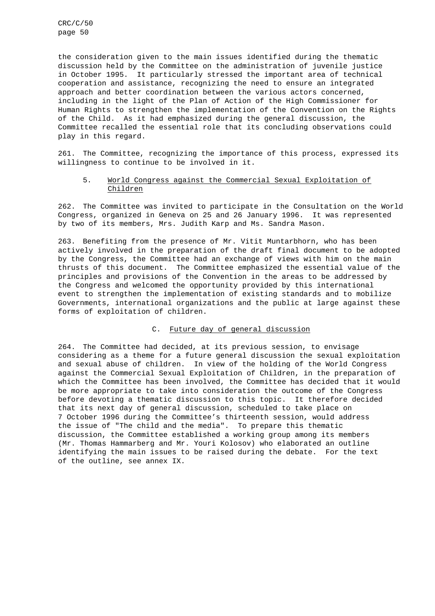the consideration given to the main issues identified during the thematic discussion held by the Committee on the administration of juvenile justice in October 1995. It particularly stressed the important area of technical cooperation and assistance, recognizing the need to ensure an integrated approach and better coordination between the various actors concerned, including in the light of the Plan of Action of the High Commissioner for Human Rights to strengthen the implementation of the Convention on the Rights of the Child. As it had emphasized during the general discussion, the Committee recalled the essential role that its concluding observations could play in this regard.

261. The Committee, recognizing the importance of this process, expressed its willingness to continue to be involved in it.

#### 5. World Congress against the Commercial Sexual Exploitation of Children

262. The Committee was invited to participate in the Consultation on the World Congress, organized in Geneva on 25 and 26 January 1996. It was represented by two of its members, Mrs. Judith Karp and Ms. Sandra Mason.

263. Benefiting from the presence of Mr. Vitit Muntarbhorn, who has been actively involved in the preparation of the draft final document to be adopted by the Congress, the Committee had an exchange of views with him on the main thrusts of this document. The Committee emphasized the essential value of the principles and provisions of the Convention in the areas to be addressed by the Congress and welcomed the opportunity provided by this international event to strengthen the implementation of existing standards and to mobilize Governments, international organizations and the public at large against these forms of exploitation of children.

## C. Future day of general discussion

264. The Committee had decided, at its previous session, to envisage considering as a theme for a future general discussion the sexual exploitation and sexual abuse of children. In view of the holding of the World Congress against the Commercial Sexual Exploitation of Children, in the preparation of which the Committee has been involved, the Committee has decided that it would be more appropriate to take into consideration the outcome of the Congress before devoting a thematic discussion to this topic. It therefore decided that its next day of general discussion, scheduled to take place on 7 October 1996 during the Committee's thirteenth session, would address the issue of "The child and the media". To prepare this thematic discussion, the Committee established a working group among its members (Mr. Thomas Hammarberg and Mr. Youri Kolosov) who elaborated an outline identifying the main issues to be raised during the debate. For the text of the outline, see annex IX.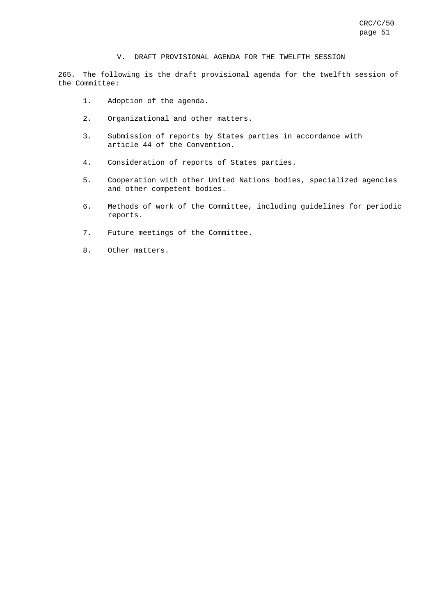#### V. DRAFT PROVISIONAL AGENDA FOR THE TWELFTH SESSION

265. The following is the draft provisional agenda for the twelfth session of the Committee:

- 1. Adoption of the agenda.
- 2. Organizational and other matters.
- 3. Submission of reports by States parties in accordance with article 44 of the Convention.
- 4. Consideration of reports of States parties.
- 5. Cooperation with other United Nations bodies, specialized agencies and other competent bodies.
- 6. Methods of work of the Committee, including guidelines for periodic reports.
- 7. Future meetings of the Committee.
- 8. Other matters.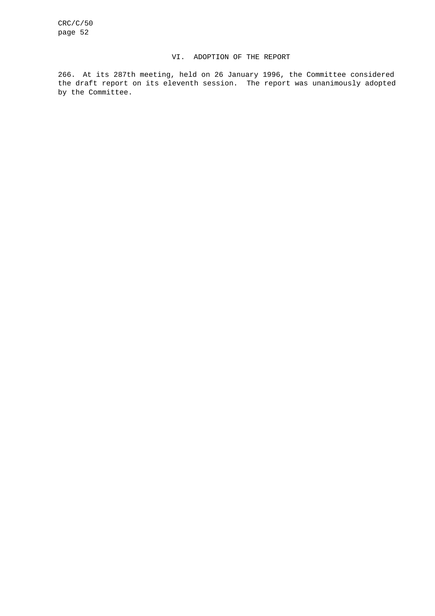#### VI. ADOPTION OF THE REPORT

266. At its 287th meeting, held on 26 January 1996, the Committee considered the draft report on its eleventh session. The report was unanimously adopted by the Committee.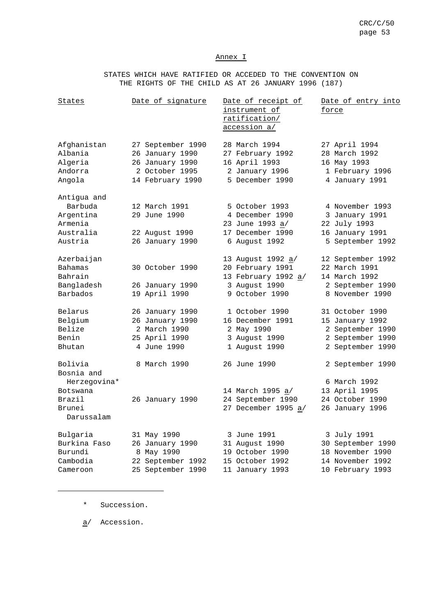#### Annex I

STATES WHICH HAVE RATIFIED OR ACCEDED TO THE CONVENTION ON THE RIGHTS OF THE CHILD AS AT 26 JANUARY 1996 (187)

| States                                                                              | Date of signature                                                                             | Date of receipt of<br>instrument of<br>ratification/<br>accession a/                            | Date of entry into<br><u>force</u>                                                             |
|-------------------------------------------------------------------------------------|-----------------------------------------------------------------------------------------------|-------------------------------------------------------------------------------------------------|------------------------------------------------------------------------------------------------|
| Afghanistan<br>Albania<br>Algeria<br>Andorra<br>Angola                              | 27 September 1990<br>26 January 1990<br>26 January 1990<br>2 October 1995<br>14 February 1990 | 28 March 1994<br>27 February 1992<br>16 April 1993<br>2 January 1996<br>5 December 1990         | 27 April 1994<br>28 March 1992<br>16 May 1993<br>1 February 1996<br>4 January 1991             |
| Antigua and<br>Barbuda<br>Argentina<br>Armenia<br>Australia<br>Austria              | 12 March 1991<br>29 June 1990<br>22 August 1990<br>26 January 1990                            | 5 October 1993<br>4 December 1990<br>23 June 1993 a/<br>17 December 1990<br>6 August 1992       | 4 November 1993<br>3 January 1991<br>22 July 1993<br>16 January 1991<br>5 September 1992       |
| Azerbaijan<br><b>Bahamas</b><br>Bahrain<br>Bangladesh<br>Barbados                   | 30 October 1990<br>26 January 1990<br>19 April 1990                                           | 13 August 1992 a/<br>20 February 1991<br>13 February 1992 a/<br>3 August 1990<br>9 October 1990 | 12 September 1992<br>22 March 1991<br>14 March 1992<br>2 September 1990<br>8 November 1990     |
| Belarus<br>Belgium<br>Belize<br>Benin<br>Bhutan                                     | 26 January 1990<br>26 January 1990<br>2 March 1990<br>25 April 1990<br>4 June 1990            | 1 October 1990<br>16 December 1991<br>2 May 1990<br>3 August 1990<br>1 August 1990              | 31 October 1990<br>15 January 1992<br>2 September 1990<br>2 September 1990<br>2 September 1990 |
| Bolivia<br>Bosnia and<br>Herzegovina*<br>Botswana<br>Brazil<br>Brunei<br>Darussalam | 8 March 1990<br>26 January 1990                                                               | 26 June 1990<br>14 March 1995 a/<br>24 September 1990<br>27 December 1995 a/                    | 2 September 1990<br>6 March 1992<br>13 April 1995<br>24 October 1990<br>26 January 1996        |
| Bulgaria<br>Burkina Faso<br>Burundi<br>Cambodia<br>Cameroon                         | 31 May 1990<br>26 January 1990<br>8 May 1990<br>22 September 1992<br>25 September 1990        | 3 June 1991<br>31 August 1990<br>19 October 1990<br>15 October 1992<br>11 January 1993          | 3 July 1991<br>30 September 1990<br>18 November 1990<br>14 November 1992<br>10 February 1993   |

\* Succession.

 $\overline{\phantom{a}}$ 

a/ Accession.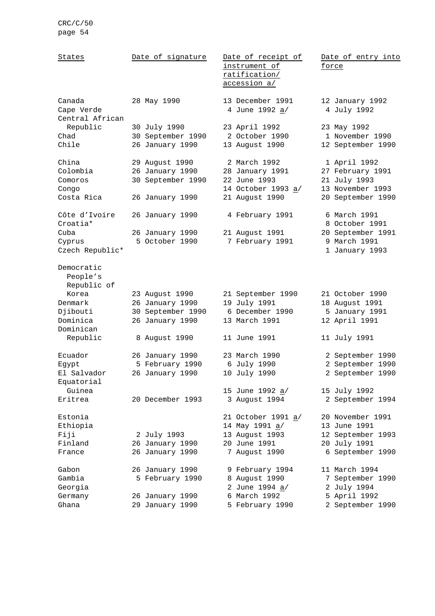| States                                  | Date of signature | Date of receipt of<br>instrument of | Date of entry into<br>force    |
|-----------------------------------------|-------------------|-------------------------------------|--------------------------------|
|                                         |                   | ratification/<br>accession a/       |                                |
| Canada<br>Cape Verde<br>Central African | 28 May 1990       | 13 December 1991<br>4 June 1992 a/  | 12 January 1992<br>4 July 1992 |
| Republic                                | 30 July 1990      | 23 April 1992                       | 23 May 1992                    |
| Chad                                    | 30 September 1990 | 2 October 1990                      | 1 November 1990                |
| Chile                                   | 26 January 1990   | 13 August 1990                      | 12 September 1990              |
| China                                   | 29 August 1990    | 2 March 1992                        | 1 April 1992                   |
| Colombia                                | 26 January 1990   | 28 January 1991                     | 27 February 1991               |
| Comoros                                 | 30 September 1990 | 22 June 1993                        | 21 July 1993                   |
| Congo                                   |                   | 14 October 1993 a/                  | 13 November 1993               |
| Costa Rica                              | 26 January 1990   | 21 August 1990                      | 20 September 1990              |
| Côte d'Ivoire<br>Croatia*               | 26 January 1990   | 4 February 1991                     | 6 March 1991<br>8 October 1991 |
| Cuba                                    | 26 January 1990   | 21 August 1991                      | 20 September 1991              |
| Cyprus                                  | 5 October 1990    | 7 February 1991                     | 9 March 1991                   |
| Czech Republic*                         |                   |                                     | 1 January 1993                 |
| Democratic<br>People's<br>Republic of   |                   |                                     |                                |
| Korea                                   | 23 August 1990    | 21 September 1990                   | 21 October 1990                |
| Denmark                                 | 26 January 1990   | 19 July 1991                        | 18 August 1991                 |
| Djibouti                                | 30 September 1990 | 6 December 1990                     | 5 January 1991                 |
| Dominica                                | 26 January 1990   | 13 March 1991                       | 12 April 1991                  |
| Dominican                               |                   |                                     |                                |
| Republic                                | 8 August 1990     | 11 June 1991                        | 11 July 1991                   |
| Ecuador                                 | 26 January 1990   | 23 March 1990                       | 2 September 1990               |
| Egypt                                   | 5 February 1990   | 6 July 1990                         | 2 September 1990               |
| El Salvador                             | 26 January 1990   | 10 July 1990                        | 2 September 1990               |
| Equatorial                              |                   |                                     |                                |
| Guinea                                  |                   | 15 June 1992 <u>a</u> /             | 15 July 1992                   |
| Eritrea                                 | 20 December 1993  | 3 August 1994                       | 2 September 1994               |
| Estonia                                 |                   | 21 October 1991 a/                  | 20 November 1991               |
| Ethiopia                                |                   | 14 May 1991 a/                      | 13 June 1991                   |
| Fiji                                    | 2 July 1993       | 13 August 1993                      | 12 September 1993              |
| Finland                                 | 26 January 1990   | 20 June 1991                        | 20 July 1991                   |
| France                                  | 26 January 1990   | 7 August 1990                       | 6 September 1990               |
| Gabon                                   | 26 January 1990   | 9 February 1994                     | 11 March 1994                  |
| Gambia                                  | 5 February 1990   | 8 August 1990                       | 7 September 1990               |
| Georgia                                 |                   | 2 June 1994 a/                      | 2 July 1994                    |
| Germany                                 | 26 January 1990   | 6 March 1992                        | 5 April 1992                   |
| Ghana                                   | 29 January 1990   | 5 February 1990                     | 2 September 1990               |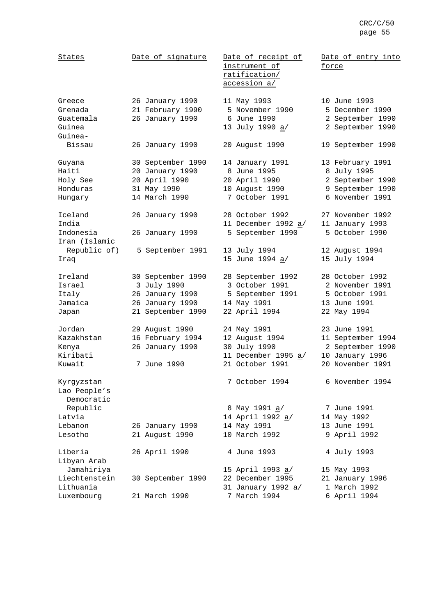| States                                                 | Date of signature                                                                           | Date of receipt of<br>instrument of<br>ratification/<br>accession a/                    | Date of entry into<br>force                                                                  |
|--------------------------------------------------------|---------------------------------------------------------------------------------------------|-----------------------------------------------------------------------------------------|----------------------------------------------------------------------------------------------|
| Greece<br>Grenada<br>Guatemala<br>Guinea<br>Guinea-    | 26 January 1990<br>21 February 1990<br>26 January 1990                                      | 11 May 1993<br>5 November 1990<br>6 June 1990<br>13 July 1990 a/                        | 10 June 1993<br>5 December 1990<br>2 September 1990<br>2 September 1990                      |
| Bissau                                                 | 26 January 1990                                                                             | 20 August 1990                                                                          | 19 September 1990                                                                            |
| Guyana<br>Haiti<br>Holy See<br>Honduras<br>Hungary     | 30 September 1990<br>20 January 1990<br>20 April 1990<br>31 May 1990<br>14 March 1990       | 14 January 1991<br>8 June 1995<br>20 April 1990<br>10 August 1990<br>7 October 1991     | 13 February 1991<br>8 July 1995<br>2 September 1990<br>9 September 1990<br>6 November 1991   |
| Iceland<br>India<br>Indonesia                          | 26 January 1990<br>26 January 1990                                                          | 28 October 1992<br>11 December 1992 a/<br>5 September 1990                              | 27 November 1992<br>11 January 1993<br>5 October 1990                                        |
| Iran (Islamic<br>Republic of)<br>Iraq                  | 5 September 1991                                                                            | 13 July 1994<br>15 June 1994 a/                                                         | 12 August 1994<br>15 July 1994                                                               |
| Ireland<br>Israel<br>Italy<br>Jamaica<br>Japan         | 30 September 1990<br>3 July 1990<br>26 January 1990<br>26 January 1990<br>21 September 1990 | 28 September 1992<br>3 October 1991<br>5 September 1991<br>14 May 1991<br>22 April 1994 | 28 October 1992<br>2 November 1991<br>5 October 1991<br>13 June 1991<br>22 May 1994          |
| Jordan<br>Kazakhstan<br>Kenya<br>Kiribati<br>Kuwait    | 29 August 1990<br>16 February 1994<br>26 January 1990<br>7 June 1990                        | 24 May 1991<br>12 August 1994<br>30 July 1990<br>11 December 1995 a/<br>21 October 1991 | 23 June 1991<br>11 September 1994<br>2 September 1990<br>10 January 1996<br>20 November 1991 |
| Kyrgyzstan<br>Lao People's<br>Democratic<br>Republic   |                                                                                             | 7 October 1994<br>8 May 1991 <u>a</u> /                                                 | 6 November 1994<br>7 June 1991                                                               |
| Latvia<br>Lebanon<br>Lesotho                           | 26 January 1990<br>21 August 1990                                                           | 14 April 1992 <u>a</u> /<br>14 May 1991<br>10 March 1992                                | 14 May 1992<br>13 June 1991<br>9 April 1992                                                  |
| Liberia<br>Libyan Arab                                 | 26 April 1990                                                                               | 4 June 1993                                                                             | 4 July 1993                                                                                  |
| Jamahiriya<br>Liechtenstein<br>Lithuania<br>Luxembourg | 30 September 1990<br>21 March 1990                                                          | 15 April 1993 a/<br>22 December 1995<br>31 January 1992 a/<br>7 March 1994              | 15 May 1993<br>21 January 1996<br>1 March 1992<br>6 April 1994                               |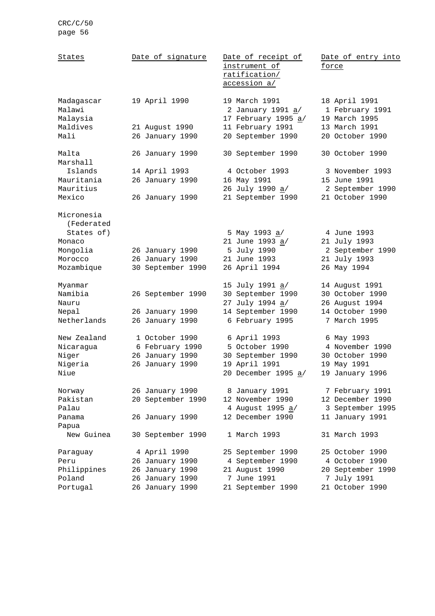| States                           | Date of signature                 | Date of receipt of<br>instrument of<br>ratification/<br>accession a/ | Date of entry into<br>force                       |
|----------------------------------|-----------------------------------|----------------------------------------------------------------------|---------------------------------------------------|
| Madagascar<br>Malawi<br>Malaysia | 19 April 1990                     | 19 March 1991<br>2 January 1991 <u>a</u> /<br>17 February 1995 a/    | 18 April 1991<br>1 February 1991<br>19 March 1995 |
| Maldives<br>Mali                 | 21 August 1990<br>26 January 1990 | 11 February 1991<br>20 September 1990                                | 13 March 1991<br>20 October 1990                  |
| Malta<br>Marshall                | 26 January 1990                   | 30 September 1990                                                    | 30 October 1990                                   |
| Islands                          | 14 April 1993                     | 4 October 1993                                                       | 3 November 1993                                   |
| Mauritania                       | 26 January 1990                   | 16 May 1991                                                          | 15 June 1991                                      |
| Mauritius                        |                                   | 26 July 1990 a/                                                      | 2 September 1990                                  |
| Mexico                           | 26 January 1990                   | 21 September 1990                                                    | 21 October 1990                                   |
| Micronesia<br>(Federated         |                                   |                                                                      |                                                   |
| States of)                       |                                   | 5 May 1993 a/                                                        | 4 June 1993                                       |
| Monaco                           |                                   | 21 June 1993 a/                                                      | 21 July 1993                                      |
| Mongolia                         | 26 January 1990                   | 5 July 1990                                                          | 2 September 1990                                  |
| Morocco                          | 26 January 1990                   | 21 June 1993                                                         | 21 July 1993                                      |
| Mozambique                       | 30 September 1990                 | 26 April 1994                                                        | 26 May 1994                                       |
| Myanmar                          |                                   | 15 July 1991 a/                                                      | 14 August 1991                                    |
| Namibia                          | 26 September 1990                 | 30 September 1990                                                    | 30 October 1990                                   |
| Nauru                            |                                   | 27 July 1994 a/                                                      | 26 August 1994                                    |
| Nepal                            | 26 January 1990                   | 14 September 1990                                                    | 14 October 1990                                   |
| Netherlands                      | 26 January 1990                   | 6 February 1995                                                      | 7 March 1995                                      |
| New Zealand                      | 1 October 1990                    | 6 April 1993                                                         | 6 May 1993                                        |
| Nicaragua                        | 6 February 1990                   | 5 October 1990                                                       | 4 November 1990                                   |
| Niger                            | 26 January 1990                   | 30 September 1990                                                    | 30 October 1990                                   |
| Nigeria                          | 26 January 1990                   | 19 April 1991                                                        | 19 May 1991                                       |
| Niue                             |                                   | 20 December 1995 a/                                                  | 19 January 1996                                   |
| Norway                           | 26 January 1990                   | 8 January 1991                                                       | 7 February 1991                                   |
| Pakistan                         | 20 September 1990                 | 12 November 1990                                                     | 12 December 1990                                  |
| Palau                            |                                   | 4 August 1995 a/                                                     | 3 September 1995                                  |
| Panama                           | 26 January 1990                   | 12 December 1990                                                     | 11 January 1991                                   |
| Papua                            |                                   |                                                                      |                                                   |
| New Guinea                       | 30 September 1990                 | 1 March 1993                                                         | 31 March 1993                                     |
| Paraguay                         | 4 April 1990                      | 25 September 1990                                                    | 25 October 1990                                   |
| Peru                             | 26 January 1990                   | 4 September 1990                                                     | 4 October 1990                                    |
| Philippines                      | 26 January 1990                   | 21 August 1990                                                       | 20 September 1990                                 |
| Poland                           | 26 January 1990                   | 7 June 1991                                                          | 7 July 1991                                       |
| Portugal                         | 26 January 1990                   | 21 September 1990                                                    | 21 October 1990                                   |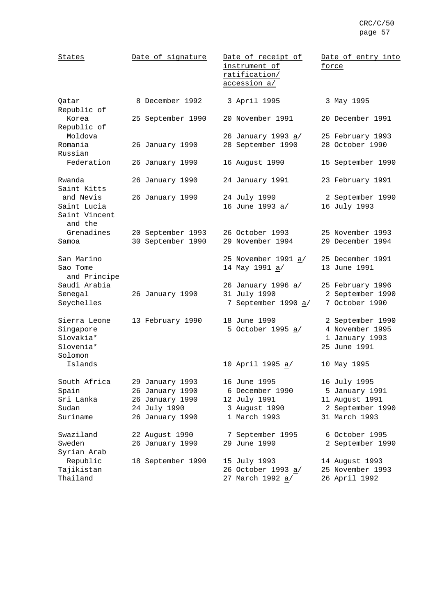| States                                                         | Date of signature                                                                        | Date of receipt of<br>instrument of<br>ratification/<br>accession a/             | Date of entry into<br>force                                                           |
|----------------------------------------------------------------|------------------------------------------------------------------------------------------|----------------------------------------------------------------------------------|---------------------------------------------------------------------------------------|
| Qatar<br>Republic of                                           | 8 December 1992                                                                          | 3 April 1995                                                                     | 3 May 1995                                                                            |
| Korea<br>Republic of                                           | 25 September 1990                                                                        | 20 November 1991                                                                 | 20 December 1991                                                                      |
| Moldova<br>Romania<br>Russian                                  | 26 January 1990                                                                          | 26 January 1993 <u>a</u> /<br>28 September 1990                                  | 25 February 1993<br>28 October 1990                                                   |
| Federation                                                     | 26 January 1990                                                                          | 16 August 1990                                                                   | 15 September 1990                                                                     |
| Rwanda<br>Saint Kitts                                          | 26 January 1990                                                                          | 24 January 1991                                                                  | 23 February 1991                                                                      |
| and Nevis<br>Saint Lucia<br>Saint Vincent<br>and the           | 26 January 1990                                                                          | 24 July 1990<br>16 June 1993 a/                                                  | 2 September 1990<br>16 July 1993                                                      |
| Grenadines<br>Samoa                                            | 20 September 1993<br>30 September 1990                                                   | 26 October 1993<br>29 November 1994                                              | 25 November 1993<br>29 December 1994                                                  |
| San Marino<br>Sao Tome<br>and Principe                         |                                                                                          | 25 November 1991 a/<br>14 May 1991 a/                                            | 25 December 1991<br>13 June 1991                                                      |
| Saudi Arabia<br>Senegal<br>Seychelles                          | 26 January 1990                                                                          | 26 January 1996 a/<br>31 July 1990<br>7 September 1990 a/                        | 25 February 1996<br>2 September 1990<br>7 October 1990                                |
| Sierra Leone<br>Singapore<br>Slovakia*<br>Slovenia*<br>Solomon | 13 February 1990                                                                         | 18 June 1990<br>5 October 1995 a/                                                | 2 September 1990<br>4 November 1995<br>1 January 1993<br>25 June 1991                 |
| Islands                                                        |                                                                                          | 10 April 1995 a/                                                                 | 10 May 1995                                                                           |
| South Africa<br>Spain<br>Sri Lanka<br>Sudan<br>Suriname        | 29 January 1993<br>26 January 1990<br>26 January 1990<br>24 July 1990<br>26 January 1990 | 16 June 1995<br>6 December 1990<br>12 July 1991<br>3 August 1990<br>1 March 1993 | 16 July 1995<br>5 January 1991<br>11 August 1991<br>2 September 1990<br>31 March 1993 |
| Swaziland<br>Sweden<br>Syrian Arab                             | 22 August 1990<br>26 January 1990                                                        | 7 September 1995<br>29 June 1990                                                 | 6 October 1995<br>2 September 1990                                                    |
| Republic<br>Tajikistan<br>Thailand                             | 18 September 1990                                                                        | 15 July 1993<br>26 October 1993 a/<br>27 March 1992 a/                           | 14 August 1993<br>25 November 1993<br>26 April 1992                                   |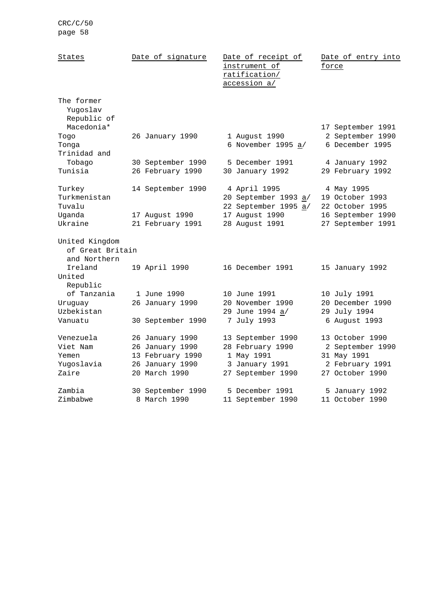| States                                                | Date of signature                                                                          | Date of receipt of<br>instrument of<br>ratification/<br>accession a/                       | Date of entry into<br>force                                                              |
|-------------------------------------------------------|--------------------------------------------------------------------------------------------|--------------------------------------------------------------------------------------------|------------------------------------------------------------------------------------------|
| The former<br>Yugoslav<br>Republic of<br>Macedonia*   |                                                                                            |                                                                                            | 17 September 1991                                                                        |
| Togo<br>Tonga<br>Trinidad and                         | 26 January 1990                                                                            | 1 August 1990<br>6 November 1995 a/                                                        | 2 September 1990<br>6 December 1995                                                      |
| Tobago<br>Tunisia                                     | 30 September 1990<br>26 February 1990                                                      | 5 December 1991<br>30 January 1992                                                         | 4 January 1992<br>29 February 1992                                                       |
| Turkey<br>Turkmenistan<br>Tuvalu                      | 14 September 1990                                                                          | 4 April 1995<br>20 September 1993 a/<br>22 September 1995 a/                               | 4 May 1995<br>19 October 1993<br>22 October 1995                                         |
| Uganda<br>Ukraine                                     | 17 August 1990<br>21 February 1991                                                         | 17 August 1990<br>28 August 1991                                                           | 16 September 1990<br>27 September 1991                                                   |
| United Kingdom<br>of Great Britain<br>and Northern    |                                                                                            |                                                                                            |                                                                                          |
| Ireland<br>United<br>Republic                         | 19 April 1990                                                                              | 16 December 1991                                                                           | 15 January 1992                                                                          |
| of Tanzania<br>Uruguay<br>Uzbekistan<br>Vanuatu       | 1 June 1990<br>26 January 1990<br>30 September 1990                                        | 10 June 1991<br>20 November 1990<br>29 June 1994 a/<br>7 July 1993                         | 10 July 1991<br>20 December 1990<br>29 July 1994<br>6 August 1993                        |
|                                                       |                                                                                            |                                                                                            |                                                                                          |
| Venezuela<br>Viet Nam<br>Yemen<br>Yuqoslavia<br>Zaire | 26 January 1990<br>26 January 1990<br>13 February 1990<br>26 January 1990<br>20 March 1990 | 13 September 1990<br>28 February 1990<br>1 May 1991<br>3 January 1991<br>27 September 1990 | 13 October 1990<br>2 September 1990<br>31 May 1991<br>2 February 1991<br>27 October 1990 |
| Zambia<br>Zimbabwe                                    | 30 September 1990<br>8 March 1990                                                          | 5 December 1991<br>11 September 1990                                                       | 5 January 1992<br>11 October 1990                                                        |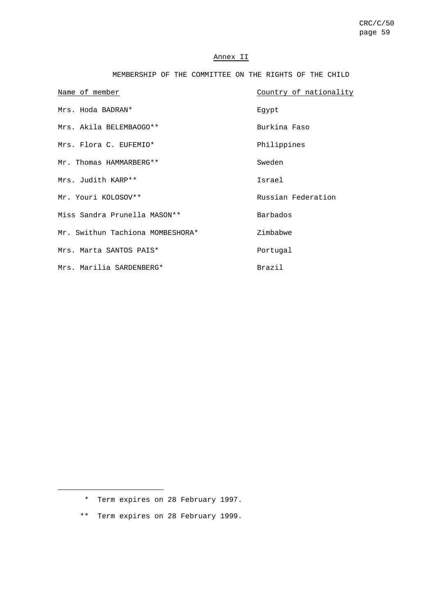## Annex II

| MEMBERSHIP OF THE COMMITTEE ON THE RIGHTS OF THE CHILD |  |
|--------------------------------------------------------|--|
|--------------------------------------------------------|--|

| Name of member                   | Country of nationality |
|----------------------------------|------------------------|
| Mrs. Hoda BADRAN*                | Eqypt                  |
| Mrs. Akila BELEMBAOGO**          | Burkina Faso           |
| Mrs. Flora C. EUFEMIO*           | Philippines            |
| Mr. Thomas HAMMARBERG**          | Sweden                 |
| Mrs. Judith KARP**               | Israel                 |
| Mr. Youri KOLOSOV**              | Russian Federation     |
| Miss Sandra Prunella MASON **    | Barbados               |
| Mr. Swithun Tachiona MOMBESHORA* | Zimbabwe               |
| Mrs. Marta SANTOS PAIS*          | Portugal               |
| Mrs. Marilia SARDENBERG*         | <b>Brazil</b>          |

\*\* Term expires on 28 February 1999.

<sup>\*</sup> Term expires on 28 February 1997.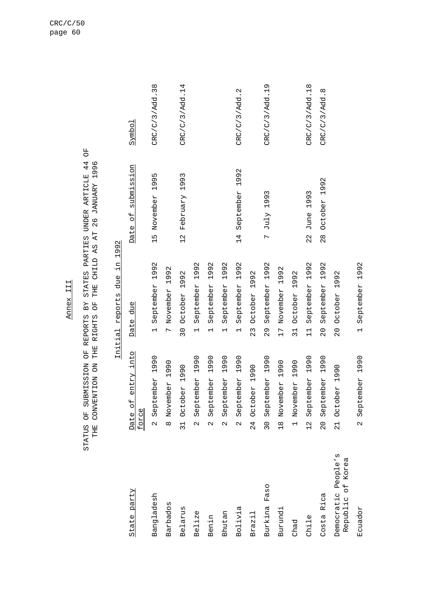|                                             |                                            | Initial reports due in 1992                   |                                   |                |
|---------------------------------------------|--------------------------------------------|-----------------------------------------------|-----------------------------------|----------------|
| State party                                 | Date of entry into<br>force                | Date due                                      | Date of submission                | Symbol         |
| Bangladesh                                  | 1990<br>September<br>$\sim$                | 1992<br>September<br>$\overline{\phantom{0}}$ | 1995<br>15 November               | CRC/C/3/Add.38 |
| Barbados                                    | 1990<br>November<br>$\infty$               | 1992<br>November<br>$\overline{r}$            |                                   |                |
| Belarus                                     | 1990<br>October<br>$\overline{31}$         | 1992<br>October<br>$\overline{30}$            | 1993<br>February<br>$\frac{2}{1}$ | CRC/C/3/Add.14 |
| Belize                                      | 1990<br>September<br>$\alpha$              | 1992<br>September<br>$\overline{\phantom{0}}$ |                                   |                |
| Benin                                       | 1990<br>September<br>$\mathbf{\Omega}$     | 1992<br>September<br>$\overline{\phantom{0}}$ |                                   |                |
| Bhutan                                      | 1990<br>September<br>$\mathbf{\Omega}$     | 1992<br>September<br>$\overline{\phantom{0}}$ |                                   |                |
| Bolivia                                     | 1990<br>September<br>$\mathbf{\Omega}$     | 1992<br>September<br>$\overline{\phantom{0}}$ | September 1992<br>14              | CRC/C/3/Add.2  |
| Brazil                                      | 24 October 1990                            | 1992<br>October<br>23                         |                                   |                |
| Faso<br>Burkina                             | September 1990<br>30                       | 1992<br>September<br>29                       | 7 July 1993                       | CRC/C/3/Add.19 |
| Burundi                                     | 1990<br>November<br>$\frac{8}{1}$          | 1992<br>November<br>$\overline{L}$            |                                   |                |
| Chad                                        | 1990<br>November<br>$\overline{a}$         | 1992<br>October<br>$\overline{31}$            |                                   |                |
| Chile                                       | 1990<br>September<br>12                    | 1992<br>September<br>$\frac{1}{1}$            | 1993<br>June<br>$\frac{2}{3}$     | CRC/C/3/Add.18 |
| Rica<br>Costa                               | 1990<br>September<br>$\overline{0}$        | 1992<br>September<br>$\overline{0}$           | 1992<br>October<br>$\frac{8}{2}$  | CRC/C/3/Add.8  |
| People's<br>Republic of Korea<br>Democratic | October 1990<br>$\overline{21}$            | 1992<br>October<br>$\frac{0}{2}$              |                                   |                |
| Ecuador                                     | September 1990<br>$\overline{\mathcal{C}}$ | 1992<br>September<br>$\overline{a}$           |                                   |                |

Annex III Annex III

STATUS OF SUBMISSION OF REPORTS BY STATES PARTIES UNDER ARTICLE 44 OF<br>THE CONVENTION ON THE RIGHTS OF THE CHILD AS AT 26 JANUARY 1996 STATUS OF SUBMISSION OF REPORTS BY STATES PARTIES UNDER ARTICLE 44 OF THE CONVENTION ON THE RIGHTS OF THE CHILD AS AT 26 JANUARY 1996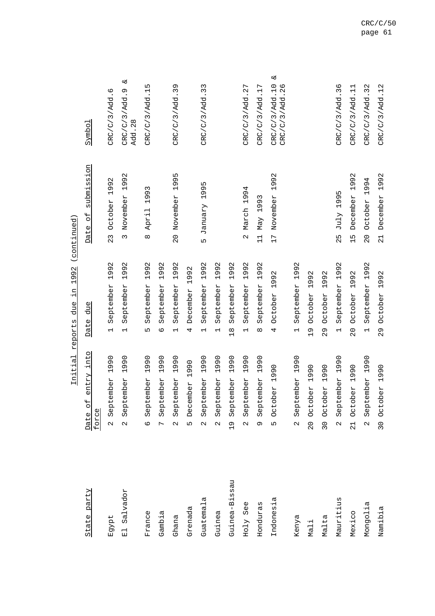| State party   | entry into<br>Date of<br>force                                 | due<br>Date                                   | submission<br>$\overline{\mathsf{d}}$<br>Date | Symbol                                 |
|---------------|----------------------------------------------------------------|-----------------------------------------------|-----------------------------------------------|----------------------------------------|
| Egypt         | 1990<br>ember<br>Sept.<br>$\mathbf{\Omega}$                    | 1992<br>September<br>$\overline{\phantom{0}}$ | October 1992<br>23                            | CRC/C/3/Add.6                          |
| El Salvador   | 1990<br>ember<br>Sept <sub>r</sub><br>$\overline{\mathcal{C}}$ | 1992<br>September<br>$\overline{\phantom{0}}$ | 1992<br>November<br>$\infty$                  | ىئ<br>CRC/C/3/Add.9<br>Add. 28         |
| France        | 1990<br>ember<br>Sept.<br>$\circ$                              | 1992<br>September<br>Ь٦                       | 1993<br>April<br>$\infty$                     | CRC/C/3/Add.15                         |
| Gambia        | 1990<br>ember<br>Sept.<br>$\overline{r}$                       | 1992<br>September<br>9                        |                                               |                                        |
| Ghana         | 1990<br>ember<br>Sept.<br>$\alpha$                             | 1992<br>September<br>$\overline{\phantom{0}}$ | 20 November 1995                              | CRC/C/3/Add.39                         |
| Grenada       | 1990<br>December<br>$\overline{5}$                             | 1992<br>December<br>4                         |                                               |                                        |
| Guatemala     | 1990<br>ember<br>Sept <sub>1</sub><br>$\mathbf{\Omega}$        | 1992<br>September<br>$\overline{\phantom{0}}$ | 1995<br>January<br>۱                          | CRC/C/3/Add.33                         |
| Guinea        | 1990<br>ember<br>Sept.<br>$\mathbf{\Omega}$                    | 1992<br>September<br>$\overline{\phantom{0}}$ |                                               |                                        |
| Guinea-Bissau | 1990<br>ember<br>Sept.<br>$\frac{9}{1}$                        | 1992<br>September<br>$\frac{8}{1}$            |                                               |                                        |
| Holy See      | 1990<br>ember<br>Sept.<br>$\sim$                               | 1992<br>September<br>$\overline{\phantom{0}}$ | March 1994<br>$\alpha$                        | CRC/C/3/Add. 27                        |
| Honduras      | 1990<br>ember<br>Sept.<br>Ō                                    | 1992<br>September<br>${}^{\infty}$            | May 1993<br>$\frac{1}{1}$                     | CRC/C/3/Add.17                         |
| Indonesia     | 1990<br>October<br>$\overline{5}$                              | 1992<br>October<br>4                          | 1992<br>17 November                           | ىخ<br>CRC/C/3/Add.10<br>CRC/C/3/Add.26 |
| Kenya         | 1990<br>ember<br>Sept.<br>$\mathbf{\Omega}$                    | 1992<br>September<br>$\overline{\phantom{0}}$ |                                               |                                        |
| Mali          | 1990<br>October<br>20                                          | 1992<br>October<br>$\frac{1}{2}$              |                                               |                                        |
| Malta         | 1990<br>October<br>$\frac{0}{2}$                               | 1992<br>October<br>29                         |                                               |                                        |
| Mauritius     | 1990<br>ember<br>Sept.<br>$\mathbf{\Omega}$                    | 1992<br>September<br>$\overline{\phantom{0}}$ | 1995<br>$J$ uly<br>25                         | CRC/C/3/Add.36                         |
| Mexico        | 1990<br>October<br>$\frac{1}{2}$                               | 1992<br>October<br>$\overline{0}$             | 1992<br>December<br>$\frac{15}{1}$            | CRC/C/3/Add.11                         |
| Mongolia      | 1990<br>ember<br>Sept.<br>$\mathbf{\Omega}$                    | 1992<br>September<br>$\overline{a}$           | October 1994<br>$\overline{0}$                | CRC/C/3/Add.32                         |
| Namibia       | 1990<br>30 October                                             | October 1992<br>$\frac{8}{2}$                 | December 1992<br>$\frac{1}{2}$                | CRC/C/3/Add.12                         |

Initial reports due in 1992 (continued) Initial reports due in 1992 (continued)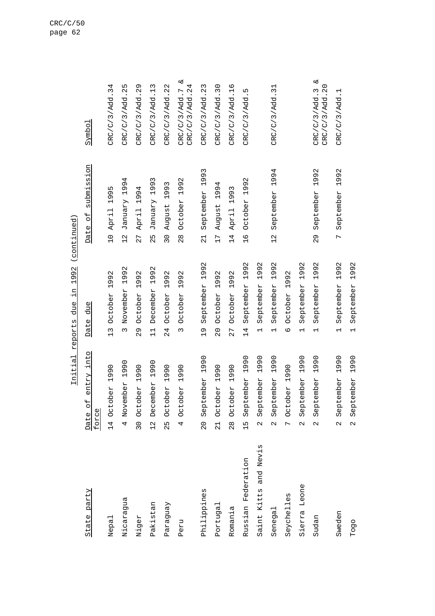| State party              | of entry into<br>force<br>Date                                                    | due<br>Date                                   | submission<br>Date of                                             | Symbol                                 |
|--------------------------|-----------------------------------------------------------------------------------|-----------------------------------------------|-------------------------------------------------------------------|----------------------------------------|
| Nepal                    | October 1990<br>$\frac{14}{1}$                                                    | 1992<br>October<br>$\frac{3}{1}$              | Б<br>199!<br>10 April                                             | CRC/C/3/Add.34                         |
| Nicaragua                | 1990<br>November<br>4                                                             | 1992<br>November<br>$\infty$                  | 4<br>199.<br><b>January</b><br>$\frac{2}{1}$                      | CRC/C/3/Add. 25                        |
| Niger                    | 1990<br>October<br>30                                                             | 1992<br>October<br>29                         | 4<br>1994<br>April<br>77                                          | CRC/C/3/Add. 29                        |
| Pakistan                 | 1990<br>December<br>$\frac{2}{1}$                                                 | 1992<br>December<br>$\overline{1}$            | $\infty$<br>199<br>January<br>$\overline{5}$<br>$\mathbf{\Omega}$ | CRC/C/3/Add.13                         |
| Paraguay                 | 1990<br>tober<br>Ö<br>25                                                          | 1992<br>October<br>24                         | 1993<br>August<br>30                                              | CRC/C/3/Add. 22                        |
| Peru                     | 1990<br>tober<br>$\frac{1}{2}$<br>4                                               | 1992<br>October<br>$\infty$                   | 1992<br>October<br>$\frac{8}{2}$                                  | لا<br>CRC/C/3/Add. 24<br>CRC/C/3/Add.7 |
| Philippines              | 1990<br>September<br>$\overline{0}$                                               | 1992<br>September<br>$\frac{0}{1}$            | 1993<br>September<br>$\frac{1}{2}$                                | CRC/C/3/Add. 23                        |
| Portugal                 | $\overline{0}$<br>$\frac{9}{1}$<br>tober<br>OO<br>$\overline{21}$                 | 1992<br>October<br>$\overline{0}$             | 4<br>199 <sup></sup><br>August<br>17                              | CRC/C/3/Add.30                         |
| Romania                  | $\overline{0}$<br>Ō<br>$\blacksquare$<br>tober<br>$\rm ^{C}_{O}$<br>$\frac{8}{2}$ | 1992<br>October<br>27                         | 3<br>199<br>April<br>14                                           | CRC/C/3/Add.16                         |
| Federation<br>Russian    | 1990<br>September<br>$\frac{15}{1}$                                               | 1992<br>September<br>14                       | $\mathcal{C}$<br>1992<br>October<br>$\frac{9}{1}$                 | CRC/C/3/Add.5                          |
| and Nevis<br>Saint Kitts | 1990<br>September<br>$\mathcal{L}$                                                | 1992<br>September<br>$\overline{\phantom{0}}$ |                                                                   |                                        |
| Senegal                  | 1990<br>September<br>$\mathbf{\Omega}$                                            | 1992<br>September<br>$\overline{\phantom{0}}$ | 1994<br>September<br>$\frac{2}{1}$                                | CRC/C/3/Add.31                         |
| Seychelles               | tober 1990<br>$\overline{O}$<br>$\overline{C}$                                    | 1992<br>October<br>$\circ$                    |                                                                   |                                        |
| Sierra Leone             | 1990<br>September<br>$\mathbf{\Omega}$                                            | 1992<br>September<br>$\overline{\phantom{0}}$ |                                                                   |                                        |
| Sudan                    | 1990<br>ptember<br>ତ<br>ଓ<br>$\mathbf{\Omega}$                                    | 1992<br>September<br>$\overline{\phantom{0}}$ | 1992<br>September<br>29                                           | ట<br>CRC/C/3/Add.20<br>CRC/C/3/Add.3   |
| Sweden                   | 1990<br>September<br>$\mathbf{\Omega}$                                            | 1992<br>September                             | September 1992<br>$\overline{r}$                                  | CRC/C/3/Add.1                          |
| Togo                     | 1990<br>September<br>$\mathbf{\Omega}$                                            | 1992<br>September<br>$\overline{\phantom{0}}$ |                                                                   |                                        |

Initial reports due in 1992 (continued) Initial reports due in 1992 (continued)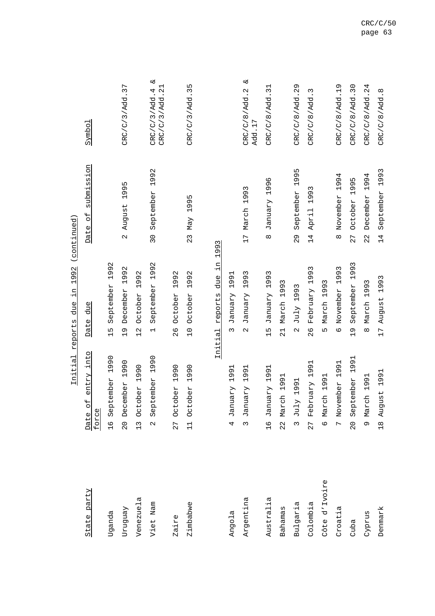|               |                          | Initial                          | 1992<br>цĻ.<br>due<br>reports                 | (continued)                          |                                      |
|---------------|--------------------------|----------------------------------|-----------------------------------------------|--------------------------------------|--------------------------------------|
| State party   | Date of<br>force         | entry into                       | due<br>Date                                   | submission<br>$\overline{d}$<br>Date | Symbol                               |
| Uganda        | $\frac{9}{1}$            | 1990<br>September                | 1992<br>September<br>15                       |                                      |                                      |
| Venguay       | $\frac{0}{2}$            | 1990<br>December                 | 1992<br>December<br>$\frac{1}{2}$             | 1995<br>August<br>$\sim$             | CRC/C/3/Add.37                       |
| Venezuela     | $\frac{13}{1}$           | October 1990                     | 1992<br>October<br>$\frac{2}{1}$              |                                      |                                      |
| Viet Nam      | $\overline{\mathcal{C}}$ | 1990<br>September                | 1992<br>September<br>$\overline{\phantom{0}}$ | 1992<br>September<br>$\overline{30}$ | ట<br>CRC/C/3/Add.21<br>CRC/C/3/Add.4 |
| Zaire         | 27                       | 990<br>$\overline{ }$<br>October | 1992<br>October<br>26                         |                                      |                                      |
| Zimbabwe      | $\frac{1}{11}$           | 1990<br>October                  | 1992<br>October<br>$\overline{C}$             | 1995<br>May<br>23                    | CRC/C/3/Add.35                       |
|               |                          | Initial                          | μ.<br>due<br>reports                          | 1993                                 |                                      |
| Angola        | 4                        | 1991<br>January                  | 1991<br>January<br>3                          |                                      |                                      |
| Argentina     | $\infty$                 | 1991<br>January                  | 1993<br>January<br>$\mathbf{\Omega}$          | 1993<br>March<br>17                  | $\infty$<br>CRC/C/8/Add.2<br>Add.17  |
| Australia     | $\frac{9}{10}$           | 1991<br><b>January</b>           | 1993<br>January<br>$\frac{15}{1}$             | 1996<br>January<br>$\infty$          | CRC/C/8/Add.31                       |
| Bahamas       |                          | 1991<br>22 March                 | March 1993<br>$\overline{21}$                 |                                      |                                      |
| Bulgaria      | $3$ July                 | 1991                             | 1993<br>July<br>$\mathbf{\Omega}$             | 1995<br>September<br>$\frac{8}{2}$   | CRC/C/8/Add. 29                      |
| Colombia      | 27                       | 1991<br>February                 | 1993<br>February<br>26                        | 1993<br>April<br>14                  | Σ<br>CRC/C/8/Add.                    |
| Côte d'Ivoire |                          | 6 March 1991                     | March 1993<br>LN.                             |                                      |                                      |
| Croatia       |                          | 1991<br>7 November               | 1993<br>November<br>$\circ$                   | 1994<br>November<br>$\infty$         | CRC/C/8/Add.19                       |
| Cuba          | $\overline{0}$           | 1991<br>September                | 1993<br>September<br>$\frac{1}{2}$            | LN,<br>199<br>October<br>27          | CRC/C/8/Add.30                       |
| Cyprus        |                          | 9 March 1991                     | March 1993<br>$\infty$                        | 1994<br>December<br>22               | CRC/C/8/Add.24                       |
| Denmark       |                          | 1991<br>18 August                | 1993<br>August<br>17                          | 1993<br>September<br>$\overline{14}$ | CRC/C/8/Add.8                        |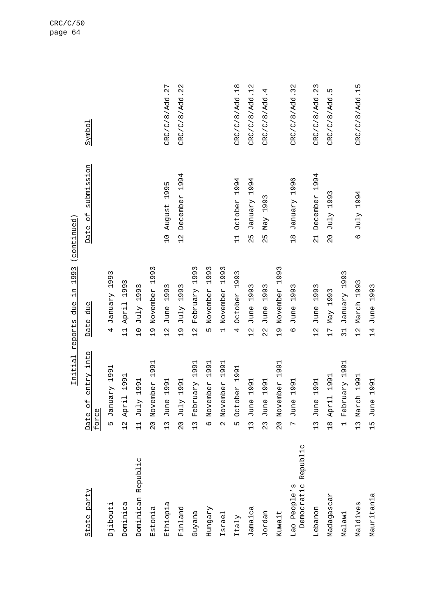| State party                            | entry into<br>$\overline{+}$<br>$\circ$<br>force<br>Date                    | due<br>Date                                       | submission<br>$\overline{a}$<br>Date | Symbol          |
|----------------------------------------|-----------------------------------------------------------------------------|---------------------------------------------------|--------------------------------------|-----------------|
| Djibouti                               | 1991<br><b>January</b><br>LN                                                | 1993<br>January<br>4                              |                                      |                 |
| Dominica                               | 1991<br>12 April                                                            | 1993<br>April<br>$\overline{1}$                   |                                      |                 |
| Dominican Republic                     | 1991<br>$J$ uly<br>$\overline{11}$                                          | 1993<br>JulY<br>$\overline{C}$                    |                                      |                 |
| Estonia                                | 1991<br>ember<br>Nov<br>$\frac{0}{2}$                                       | 1993<br>November<br>Ō<br>$\overline{\phantom{0}}$ |                                      |                 |
| Ethiopia                               | 1991<br>$\mathbb U$<br>Jun<br>13                                            | 3<br>199<br>June<br>$\frac{2}{1}$                 | 1995<br>August<br>$\overline{C}$     | CRC/C/8/Add. 27 |
| Finland                                | 1991<br>July<br>$\overline{0}$                                              | 1993<br>July<br>$\frac{1}{2}$                     | 1994<br>December<br>$\frac{2}{1}$    | CRC/C/8/Add. 22 |
| Guyana                                 | $\overline{9}$<br>$\frac{9}{1}$<br>February<br>$\frac{13}{1}$               | 1993<br>February<br>$\frac{1}{2}$                 |                                      |                 |
| Hungary                                | $\overline{91}$<br>Ō<br>$\overline{\phantom{0}}$<br>ember<br>Nov<br>$\circ$ | 1993<br>November<br>LΩ                            |                                      |                 |
| Israel                                 | 1991<br>ember<br>Nov<br>$\sim$                                              | 1993<br>November<br>$\overline{ }$                |                                      |                 |
| Italy                                  | 1991<br>October<br>Ln                                                       | 1993<br>October<br>4                              | 1994<br>October<br>$\frac{1}{1}$     | CRC/C/8/Add.18  |
| Jamaica                                | 1991<br>$\mathbb{O}$<br>Jun<br>$\frac{13}{1}$                               | 1993<br>June<br>$\frac{1}{2}$                     | 1994<br>January<br>52                | CRC/C/8/Add.12  |
| Jordan                                 | $\overline{91}$<br>$\frac{9}{1}$<br>$\mathbf{0}$<br>Jun<br>$\frac{2}{3}$    | 1993<br>June<br>22                                | 1993<br>Max<br>52                    | CRC/C/8/Add.4   |
| Kuwait                                 | 1991<br>ember<br>20 Nov                                                     | 1993<br>November<br>$\frac{1}{2}$                 |                                      |                 |
| Republic<br>Democratic<br>Lao People's | 1991<br>$\mathbb{Q}$<br>Jun<br>$\overline{a}$                               | 1993<br>June<br>$\circ$                           | 1996<br>January<br>$\frac{8}{10}$    | CRC/C/8/Add.32  |
| Lebanon                                | 1991<br>$\Phi$<br>Jun<br>$\frac{13}{1}$                                     | 1993<br>June<br>$\frac{2}{1}$                     | 1994<br>December<br>$\frac{1}{2}$    | CRC/C/8/Add. 23 |
| Madagascar                             | 1991<br>H.<br>18 Apr                                                        | 1993<br>May<br>$\overline{C}$                     | July 1993<br>$\frac{0}{2}$           | CRC/C/8/Add.5   |
| Malawi                                 | 1991<br>February<br>$\overline{a}$                                          | 1993<br>January<br>$\overline{31}$                |                                      |                 |
| Maldives                               | 1991<br>ch<br>C<br>13 Mar                                                   | 1993<br>March<br>$\frac{2}{1}$                    | 1994<br>$J$ uly<br>$\circ$           | CRC/C/8/Add.15  |
| Mauritania                             | 1991<br>$\omega$<br>Jun<br>$\frac{5}{1}$                                    | 1993<br>June<br>$\overline{14}$                   |                                      |                 |

Initial reports due in 1993 (continued) Initial reports due in 1993 (continued)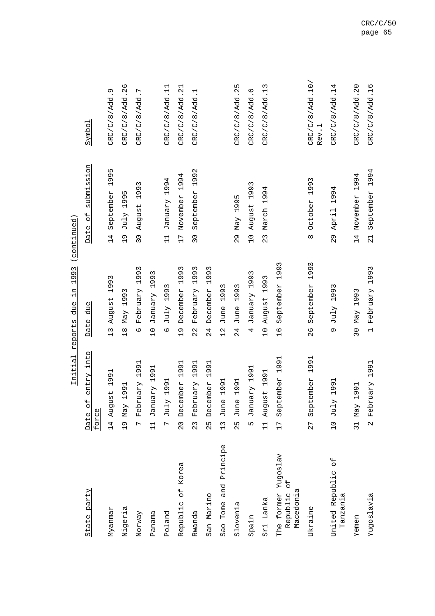|                                                              | ᆂᅹᅺᅶᅺ                                                     | י<br>ר<br>$\frac{1}{1}$<br>リコフ<br>פה דמם ד                    | Antronic Article                        |                          |
|--------------------------------------------------------------|-----------------------------------------------------------|---------------------------------------------------------------|-----------------------------------------|--------------------------|
| State party                                                  | entry into<br>$\overline{C}$<br>force<br>Date             | due<br>Date                                                   | submission<br>$\overline{a}$<br>Date    | Symbo <sub>1</sub>       |
| Nyanmar                                                      | 1991<br>ugust<br>Au<br>$\overline{14}$                    | 1993<br>August<br>$\frac{1}{2}$                               | Б<br>199!<br>September<br>14            | CRC/C/8/Add.9            |
| Nigeria                                                      | 1991<br>May<br>$\frac{1}{2}$                              | May 1993<br>$\frac{8}{10}$                                    | Б<br>July 199<br>$\frac{1}{2}$          | CRC/C/8/Add.26           |
| Norway                                                       | 1991<br>February<br>$\overline{C}$                        | 1993<br>February<br>$\circ$                                   | August 1993<br>$\overline{30}$          | CRC/C/8/Add.7            |
| Panama                                                       | 1991<br>January<br>$\overline{11}$                        | 1993<br>January<br>$\frac{1}{2}$                              |                                         |                          |
| Poland                                                       | 1991<br>July<br>$\overline{C}$                            | Σ<br>1993<br>July<br>$\mathbf{Q}$                             | 1994<br>January<br>$\frac{1}{1}$        | CRC/C/8/Add.11           |
| Republic of Korea                                            | 1991<br>cember<br>$\mathbb{Q}^{\oplus}$<br>$\overline{0}$ | 1993<br>December<br>$\frac{1}{2}$                             | 4<br>199.<br>November<br>$\overline{L}$ | CRC/C/8/Add. 21          |
| Rwanda                                                       | 1991<br>February<br>23                                    | 1993<br>February<br>22                                        | 1992<br>September<br>$\frac{1}{2}$      | CRC/C/8/Add.1            |
| San Marino                                                   | 1991<br>December<br>25                                    | 1993<br>December<br>24                                        |                                         |                          |
| Tome and Principe<br>Sao                                     | 1991<br>June<br>$\frac{13}{1}$                            | Σ<br>oo.<br>$\overline{\phantom{0}}$<br>June<br>$\frac{2}{1}$ |                                         |                          |
| Slovenia                                                     | 1991<br>June<br>25                                        | Σ<br>1993<br>June<br>24                                       | 1995<br>Max<br>29                       | CRC/C/8/Add. 25          |
| Spain                                                        | 1991<br><b>January</b><br>Ь٥                              | 1993<br>January<br>4                                          | 1993<br>August<br>$\frac{0}{1}$         | CRC/C/8/Add.6            |
| Sri Lanka                                                    | 1991<br>tgust<br>Au<br>$\overline{1}$                     | 1993<br>August<br>$\overline{C}$                              | 4<br>March 199<br>23                    | CRC/C/8/Add.13           |
| Yugoslav<br><b>HO</b><br>Macedonia<br>Republic<br>The former | 1991<br>September<br>17                                   | 1993<br>September<br>$\frac{9}{1}$                            |                                         |                          |
| Ukraine                                                      | 1991<br>ptember<br>es<br>S<br>77                          | 1993<br>September<br>26                                       | 1993<br>October<br>$\infty$             | CRC/C/8/Add.10/<br>Rev.1 |
| $\overline{a}$<br>United Republic<br>Tanzania                | 1991<br>JulY<br>$\overline{C}$                            | July 1993<br>Ō                                                | 1994<br>April<br>29                     | CRC/C/8/Add.14           |
| Yemen                                                        | 1991<br>Max<br>$\overline{31}$                            | 30 May 1993                                                   | 14 November 1994                        | CRC/C/8/Add.20           |
| Yugoslavia                                                   | 1991<br>February<br>$\mathbf{\Omega}$                     | February 1993<br>$\overline{a}$                               | 1994<br>September<br>$\overline{21}$    | CRC/C/8/Add.16           |

Initial reports due in 1993 (continued) Initial reports due in 1993 (continued)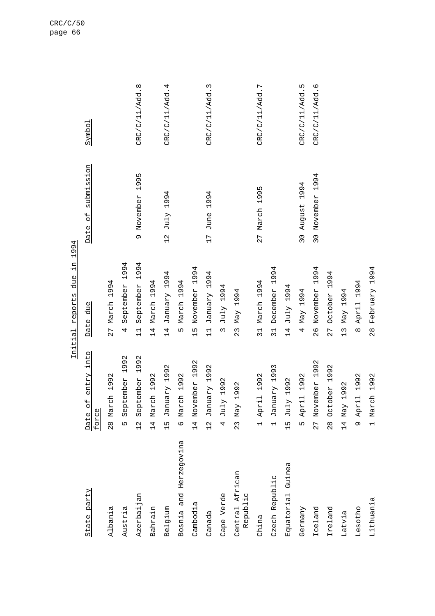| State party                 | of entry into<br>force<br>Date              | Date due                               | Date of submission                | Symbo <sub>1</sub> |
|-----------------------------|---------------------------------------------|----------------------------------------|-----------------------------------|--------------------|
| Albania                     | 28 March 1992                               | 27 March 1994                          |                                   |                    |
| Austria                     | 1992<br>September<br>Ln                     | 1994<br>September<br>4                 |                                   |                    |
| Azerbaijan                  | 1992<br>September<br>12                     | 1994<br>September<br>$\overline{11}$   | 1995<br>9 November                | CRC/C/11/Add.8     |
| Bahrain                     | March 1992<br>$\frac{1}{4}$                 | 4<br>March 199<br>14                   |                                   |                    |
| Belgium                     | January 1992<br>$\frac{5}{1}$               | January 1994<br>$\overline{14}$        | P66I AInl<br>$\frac{2}{1}$        | CRC/C/11/Add.4     |
| Bosnia and Herzegovina      | 6 March 1992                                | March 1994<br>LN                       |                                   |                    |
| Cambodia                    | 1992<br>14 November                         | 4<br>199.<br>November<br>$\frac{5}{1}$ |                                   |                    |
| Canada                      | 1992<br><b>January</b><br>$\frac{2}{1}$     | January 1994<br>$\frac{1}{1}$          | 1994<br>June<br>17                | CRC/C/11/Add.3     |
| Cape Verde                  | 4 July 1992                                 | P66I AInl<br>3                         |                                   |                    |
| Central African<br>Republic | 1992<br>$23$ May                            | May 1994<br>$\frac{2}{3}$              |                                   |                    |
| China                       | 1992<br>1 April                             | March 1994<br>$\overline{31}$          | 1995<br>27 March                  | CRC/C/11/Add.7     |
| Czech Republic              | 1993<br>January<br>$\overline{\phantom{0}}$ | December 1994<br>$\overline{31}$       |                                   |                    |
| Equatorial Guinea           | 15 July 1992                                | P66I AInl<br>$\overline{14}$           |                                   |                    |
| Germany                     | April 1992<br><u>ທ</u>                      | May 1994<br>4                          | 1994<br>August<br>$\overline{30}$ | CRC/C/11/Add.5     |
| Iceland                     | 1992<br>27 November                         | 1994<br>November<br>26                 | 1994<br>30 November               | CRC/C/11/Add.6     |
| Ireland                     | 1992<br>October<br>$\frac{8}{2}$            | 1994<br>October<br>27                  |                                   |                    |
| Latvia                      | 1992<br>14 May                              | May 1994<br>$\frac{1}{2}$              |                                   |                    |
| Lesotho                     | 1992<br>9 April                             | April 1994<br>$\infty$                 |                                   |                    |
| Lithuania                   | 1 March 1992                                | February 1994<br>$\frac{8}{2}$         |                                   |                    |

Initial reports due in 1994 Initial reports due in 1994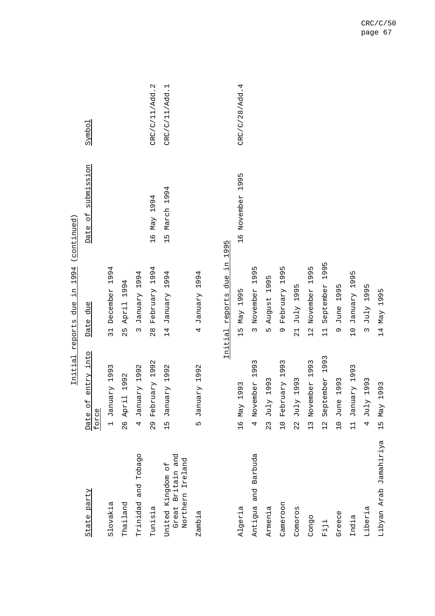|                                                               |                                             | Initial reports due in 1994 (continued                            |                                                 |                |
|---------------------------------------------------------------|---------------------------------------------|-------------------------------------------------------------------|-------------------------------------------------|----------------|
| State party                                                   | into<br>entry<br>Date of<br>force           | due<br>Date                                                       | submission<br>$\overline{\overline{a}}$<br>Date | Symbol         |
| Slovakia                                                      | 1993<br>January<br>$\overline{a}$           | 1994<br>December<br>$\overline{31}$                               |                                                 |                |
| Thailand                                                      | 1992<br>$\overline{\phantom{0}}$<br>26 Apri | 1994<br>April<br>25                                               |                                                 |                |
| Trinidad and Tobago                                           | 1992<br>January<br>4                        | 1994<br>January<br>$\infty$                                       |                                                 |                |
| Tunisia                                                       | 1992<br>February<br>$\frac{8}{2}$           | 1994<br>February<br>$\frac{8}{2}$                                 | 1994<br>Max<br>$\frac{9}{1}$                    | CRC/C/11/Add.2 |
| and<br>Northern Ireland<br>United Kingdom of<br>Great Britain | 1992<br>January<br>$\frac{5}{1}$            | 1994<br>January<br>$\overline{14}$                                | March 1994<br>ς<br>Η                            | CRC/C/11/Add.1 |
| Zambia                                                        | 1992<br>January<br>$\overline{c}$           | 1994<br>January<br>4                                              |                                                 |                |
| Algeria                                                       | 1993<br>16 May                              | цĻ.<br>due<br>1995<br>reports<br>Max<br>$\frac{15}{1}$<br>Initial | 1995<br>November<br>$\frac{9}{1}$<br>1995       | CRC/C/28/Add.4 |
| Antigua and Barbuda                                           | 1993<br>November<br>4                       | 1995<br>November<br>$\tilde{c}$                                   |                                                 |                |
| Armenia                                                       | 1993<br>July<br>$\frac{2}{3}$               | 1995<br>August<br>LN                                              |                                                 |                |
| Cameroon                                                      | 1993<br>February<br>$\overline{C}$          | 1995<br>February<br>Q                                             |                                                 |                |
| Comoros                                                       | 1993<br>$J$ uly<br>$\frac{2}{3}$            | 1995<br>July<br>$\overline{21}$                                   |                                                 |                |
| Congo                                                         | 1993<br>November<br>$\frac{13}{1}$          | 1995<br>November<br>$\frac{2}{1}$                                 |                                                 |                |
| $F\dot{1}\dot{J}\dot{1}$                                      | 1993<br>September<br>$\frac{2}{1}$          | 1995<br>September<br>$\frac{1}{1}$                                |                                                 |                |
| Greece                                                        | 1993<br>June<br>$\overline{C}$              | 1995<br>June<br>Ō                                                 |                                                 |                |
| India                                                         | 1993<br><b>January</b><br>$\frac{1}{11}$    | 1995<br>January<br>$\overline{1}0$                                |                                                 |                |
| Liberia                                                       | 1993<br>July<br>4                           | 1995<br>July<br>$\infty$                                          |                                                 |                |
| Libyan Arab Jamahiriya                                        | 1993<br>15 May                              | 1995<br>Max<br>14                                                 |                                                 |                |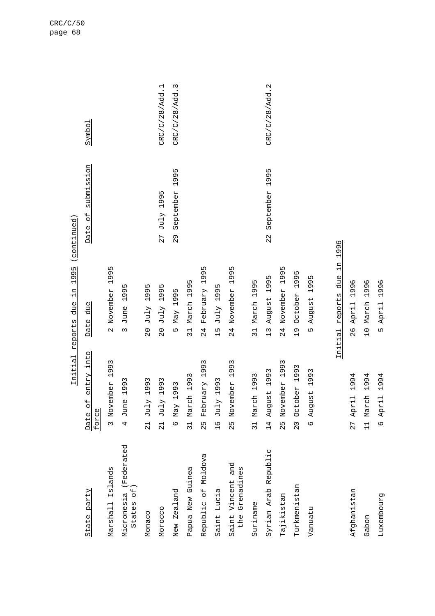| State party                         | entry into<br>$\overline{a}$<br>force<br>Date | due<br>Date                                        | submission<br>$\overline{d}$<br>Date | Symbol         |
|-------------------------------------|-----------------------------------------------|----------------------------------------------------|--------------------------------------|----------------|
| Marshall Islands                    | ember 1993<br>3 Nov                           | 1995<br>November<br>$\sim$                         |                                      |                |
| Micronesia (Federated<br>States of) | 1993<br>4 June                                | 1995<br>June<br>$\sim$                             |                                      |                |
| Monaco                              | 1993<br>$21$ July                             | 1995<br>July<br>$\frac{0}{2}$                      |                                      |                |
| Morocco                             | 1993<br>$21$ July                             | 1995<br>$J$ uly<br>$\frac{0}{2}$                   | July 1995<br>27                      | CRC/C/28/Add.1 |
| New Zealand                         | 1993<br>6 May                                 | May 1995<br>LN                                     | 1995<br>September<br>29              | CRC/C/28/Add.3 |
| Papua New Guinea                    | ch 1993<br>31 Mar                             | 1995<br>March<br>$\frac{1}{3}$                     |                                      |                |
| Republic of Moldova                 | February 1993<br>25                           | 1995<br>February<br>24                             |                                      |                |
| Saint Lucia                         | 1993<br>Te July                               | ١Л<br>199<br>July<br>$\frac{5}{1}$                 |                                      |                |
| Saint Vincent and<br>the Grenadines | 1993<br>25 November                           | 1995<br>November<br>24                             |                                      |                |
| Suriname                            | ch 1993<br>31 Mar                             | 1995<br>March<br>$\overline{31}$                   |                                      |                |
| Syrian Arab Republic                | 1993<br>14 August                             | m<br>Ō<br>$\frac{1}{2}$<br>August<br>$\frac{1}{3}$ | 1995<br>September<br>22              | CRC/C/28/Add.2 |
| Tajikistan                          | 1993<br>25 November                           | m<br>199<br>November<br>24<br>21                   |                                      |                |
| Turkmenistan                        | 20 October 1993                               | 1995<br>October<br>$\frac{1}{2}$                   |                                      |                |
| Vanuatu                             | 6 August 1993                                 | 1995<br>August<br>Ln                               |                                      |                |
|                                     |                                               |                                                    |                                      |                |
|                                     | Initial                                       | цİ.<br>due<br>reports                              | 1996                                 |                |
| Afghanistan                         | 1994<br>27 April                              | 1996<br>April<br>$\frac{8}{2}$                     |                                      |                |

Gabon 11 March 1994 10 March 1996 Luxembourg 6 April 1994 5 April 1996

Luxembourg

Gabon

10 March 1996

5 April 1996

Initial reports due in 1995 (continued) Initial reports due in 1995 (continued)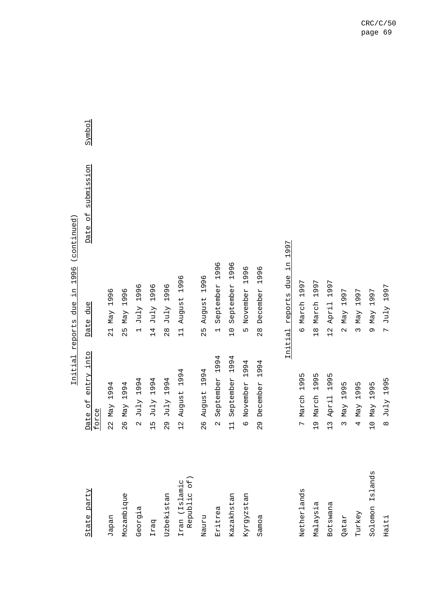| State party                  | entry into<br>Date of<br>force         | due<br>Date                                   | submission<br>$\overline{\mathsf{d}}$<br>Date | Symbo1 |
|------------------------------|----------------------------------------|-----------------------------------------------|-----------------------------------------------|--------|
| Japan                        | 1994<br>Max<br>2<br>2                  | 1996<br>Max<br>$\frac{1}{2}$                  |                                               |        |
| Mozambique                   | 1994<br>Max<br>26                      | 1996<br>Max<br>52                             |                                               |        |
| Georgia                      | 1994<br>July<br>$\alpha$               | 1996<br>July<br>$\overline{\phantom{0}}$      |                                               |        |
| Iraq                         | 1994<br>July<br>$\frac{5}{1}$          | 1996<br>July<br>14                            |                                               |        |
| Uzbekistan                   | 1994<br>July<br>$\frac{9}{2}$          | 1996<br>July<br>$\frac{8}{2}$                 |                                               |        |
| Republic of<br>Iran (Islamic | 1994<br>August<br>$\frac{2}{1}$        | 1996<br>August<br>$\overline{11}$             |                                               |        |
| Nauru                        | 1994<br>August<br>26                   | 1996<br>August<br>25                          |                                               |        |
| Eritrea                      | 1994<br>September<br>$\mathbf{\Omega}$ | 1996<br>September<br>$\overline{\phantom{0}}$ |                                               |        |
| Kazakhstan                   | 1994<br>September<br>$\frac{1}{1}$     | 1996<br>September<br>$\overline{C}$           |                                               |        |
| Kyrgyzstan                   | 1994<br>November<br>$\circ$            | 1996<br>November<br>Ln                        |                                               |        |
| Samoa                        | 1994<br>December<br>29                 | 1996<br>December<br>$\frac{8}{2}$             |                                               |        |
|                              |                                        |                                               |                                               |        |
|                              |                                        | цĻ.<br>due<br>Initial reports                 | 1997                                          |        |
| Netherlands                  | 1995<br>7 March                        | 1997<br>March<br>$\circ$                      |                                               |        |
| Malaysia                     | 1995<br>March<br>$\frac{1}{2}$         | 1997<br>March<br>$\frac{8}{10}$               |                                               |        |
| Botswana                     | 1995<br>13 April                       | 1997<br>April<br>$\frac{2}{1}$                |                                               |        |

Initial reports due in 1996 (continued) Initial reports due in 1996 (continued)

Qatar 3 May 1995 2 May 1997 Turkey  $\gamma$  4 May 1995  $\gamma$  1995 3 May 1997 Solomon Islands 10 May 1995 9 May 1997 Haiti 8 July 1995 7 July 1997

7 July 1997

8 July 1995

Solomon Islands

Haiti

Turkey Qatar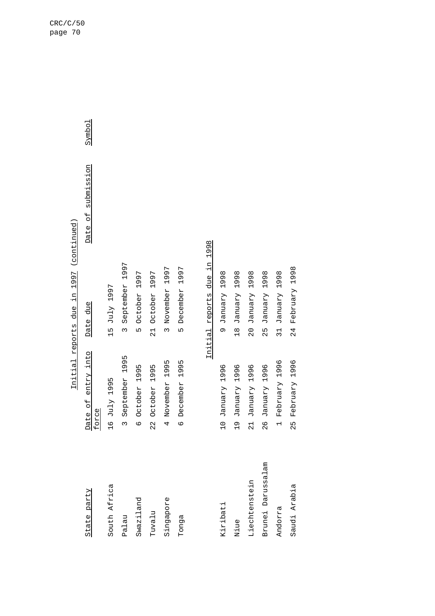| State party  | Date of entry into<br>force   | Date due         | Date of submission | Symbol |
|--------------|-------------------------------|------------------|--------------------|--------|
| South Africa | 16 July 1995                  | 15 July 1997     |                    |        |
| Palau        | 3 September 1995              | 3 September 1997 |                    |        |
| Swaziland    | 6 October 1995                | 5 October 1997   |                    |        |
| ruvalu       | October 1995<br>$\frac{1}{2}$ | 21 October 1997  |                    |        |
| Singapore    | 4 November 1995               | 3 November 1997  |                    |        |
| Tonga        | 1995<br>6 December            | 5 December 1997  |                    |        |
|              |                               |                  |                    |        |

Initial reports due in 1997 (continued) Initial reports due in 1997 (continued)

Initial reports due in 1998 Initial reports due in 1998

| Kiribati          | 10 January 1996  | 865 Arenuel 6               |
|-------------------|------------------|-----------------------------|
| Niue              | 19 January 1996  | 18 January 1998             |
| Liechtenstein     | 21 January 1996  | 20 January 1998             |
| Brunei Darussalam | 26 January 1996  | January 1998<br>-<br>מ<br>מ |
| Andorra           | 1 February 1996  | 31 January 1998             |
| Saudi Arabia      | 25 February 1996 | 24 February 1998            |

Symbol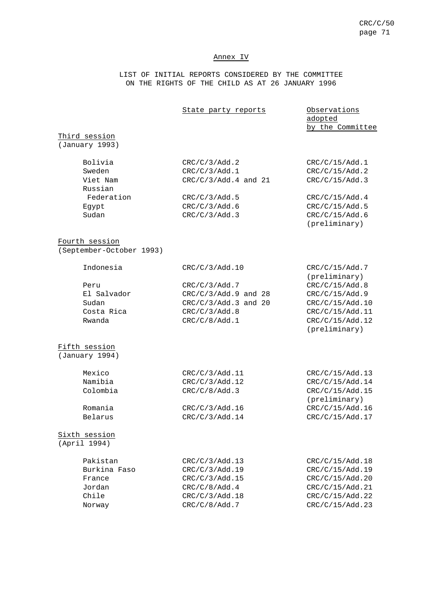#### Annex IV

LIST OF INITIAL REPORTS CONSIDERED BY THE COMMITTEE ON THE RIGHTS OF THE CHILD AS AT 26 JANUARY 1996

State party reports Observations adopted by the Committee Third session (January 1993) Bolivia  $CRC/C/3/Add.2$   $CRC/C/15/Add.1$ Sweden CRC/C/3/Add.1 CRC/C/15/Add.2 Viet Nam CRC/C/3/Add.4 and 21 CRC/C/15/Add.3 Russian Federation CRC/C/3/Add.5 CRC/C/15/Add.4 Egypt CRC/C/3/Add.6 CRC/C/15/Add.5 Sudan CRC/C/3/Add.3 CRC/C/15/Add.6 (preliminary) Fourth session (September-October 1993) Indonesia CRC/C/3/Add.10 CRC/C/15/Add.7 (preliminary) Peru CRC/C/3/Add.7 CRC/C/15/Add.8 El Salvador CRC/C/3/Add.9 and 28 CRC/C/15/Add.9 Sudan CRC/C/3/Add.3 and 20 CRC/C/15/Add.10 Costa Rica CRC/C/3/Add.8 CRC/C/15/Add.11 Rwanda CRC/C/8/Add.1 CRC/C/8/Adders CRC/C/15/Add.12 (preliminary) Fifth session (January 1994) Mexico CRC/C/3/Add.11 CRC/C/15/Add.13 Namibia  $CRC/C/3/Add.12$   $CRC/C/15/Add.14$ Colombia CRC/C/8/Add.3 CRC/C/15/Add.15 (preliminary) Romania  $CRC/C/3/Add.16$  CRC/C/15/Add.16 Belarus CRC/C/3/Add.14 CRC/C/15/Add.17 Sixth session (April 1994) Pakistan CRC/C/3/Add.13 CRC/C/15/Add.18 Burkina Faso  $CRC/C/3/Add.19$   $CRC/C/15/Add.19$ France CRC/C/3/Add.15 CRC/C/15/Add.20 Jordan CRC/C/8/Add.4 CRC/C/15/Add.21

Chile CRC/C/3/Add.18 CRC/C/15/Add.22 Norway CRC/C/8/Add.7 CRC/C/15/Add.23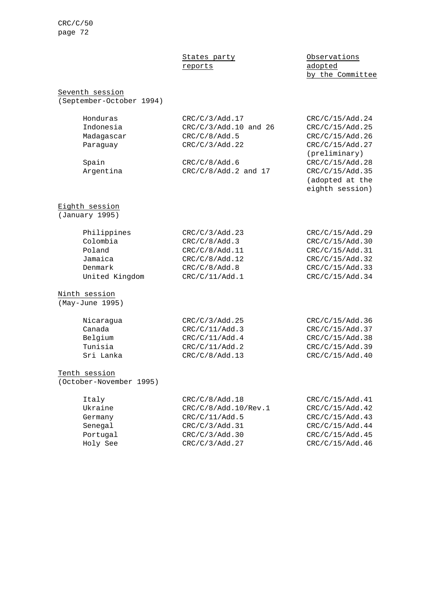# reports adopted

## States party **Observations** by the Committee

(adopted at the eighth session)

## Seventh session

(September-October 1994)

| CRC/C/3/Add.17          | CRC/C/15/Add.24 |
|-------------------------|-----------------|
| $CRC/C/3/Add.10$ and 26 | CRC/C/15/Add.25 |
| CRC/C/8/Add.5           | CRC/C/15/Add.26 |
| CRC/C/3/Add.22          | CRC/C/15/Add.27 |
|                         | (preliminary)   |
| CRC/C/8/Add.6           | CRC/C/15/Add.28 |
| $CRC/C/8/Add.2$ and 17  | CRC/C/15/Add.35 |
|                         |                 |

## Eighth session

(January 1995)

| Philippines    | CRC/C/3/Add.23 | CRC/C/15/Add.29 |
|----------------|----------------|-----------------|
| Colombia       | CRC/C/8/Add.3  | CRC/C/15/Add.30 |
| Poland         | CRC/C/8/Add.11 | CRC/C/15/Add.31 |
| Jamaica        | CRC/C/8/Add.12 | CRC/C/15/Add.32 |
| Denmark        | CRC/C/8/Add.8  | CRC/C/15/Add.33 |
| United Kingdom | CRC/C/11/Add.1 | CRC/C/15/Add.34 |
|                |                |                 |

## Ninth session

(May-June 1995)

| Nicaraqua | CRC/C/3/Add.25 | CRC/C/15/Add.36 |
|-----------|----------------|-----------------|
| Canada    | CRC/C/11/Add.3 | CRC/C/15/Add.37 |
| Belgium   | CRC/C/11/Add.4 | CRC/C/15/Add.38 |
| Tunisia   | CRC/C/11/Add.2 | CRC/C/15/Add.39 |
| Sri Lanka | CRC/C/8/Add.13 | CRC/C/15/Add.40 |
|           |                |                 |

### Tenth session

(October-November 1995)

| Italy    | CRC/C/8/Add.18       | CRC/C/15/Add.41 |
|----------|----------------------|-----------------|
| Ukraine  | CRC/C/8/Add.10/Rev.1 | CRC/C/15/Add.42 |
| Germany  | CRC/C/11/Add.5       | CRC/C/15/Add.43 |
| Senegal  | CRC/C/3/Add.31       | CRC/C/15/Add.44 |
| Portugal | CRC/C/3/Add.30       | CRC/C/15/Add.45 |
| Holy See | CRC/C/3/Add.27       | CRC/C/15/Add.46 |
|          |                      |                 |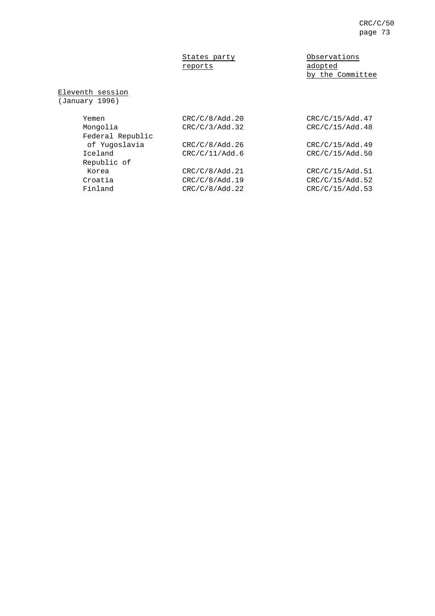# reports adopted

States party **Observations** by the Committee

Eleventh session

(January 1996)

| Yemen            | CRC/C/8/Add.20 | CRC/C/15/Add.47 |
|------------------|----------------|-----------------|
| Mongolia         | CRC/C/3/Add.32 | CRC/C/15/Add.48 |
| Federal Republic |                |                 |
| of Yugoslavia    | CRC/C/8/Add.26 | CRC/C/15/Add.49 |
| Iceland          | CRC/C/11/Add.6 | CRC/C/15/Add.50 |
| Republic of      |                |                 |
| Korea            | CRC/C/8/Add.21 | CRC/C/15/Add.51 |
| Croatia          | CRC/C/8/Add.19 | CRC/C/15/Add.52 |
| Finland          | CRC/C/8/Add.22 | CRC/C/15/Add.53 |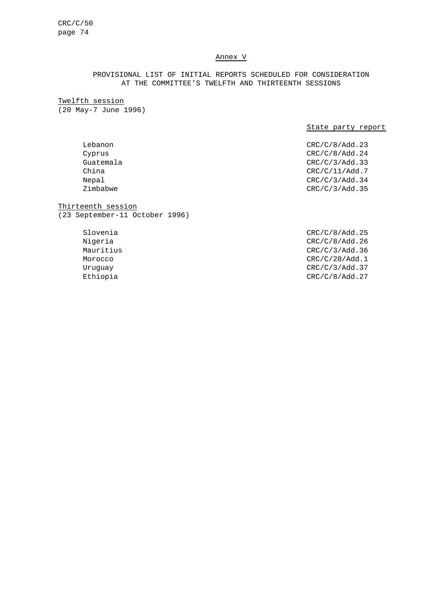## Annex V

# PROVISIONAL LIST OF INITIAL REPORTS SCHEDULED FOR CONSIDERATION AT THE COMMITTEE'S TWELFTH AND THIRTEENTH SESSIONS

Twelfth session (20 May-7 June 1996)

## State party report

Lebanon CRC/C/8/Add.23 Cyprus CRC/C/8/Add.24 Guatemala CRC/C/3/Add.33 China CRC/C/11/Add.7 Nepal CRC/C/3/Add.34 Zimbabwe CRC/C/3/Add.35

Thirteenth session (23 September-11 October 1996)

> Slovenia CRC/C/8/Add.25 Nigeria CRC/C/8/Add.26 Mauritius CRC/C/3/Add.36 Morocco CRC/C/28/Add.1 Uruguay CRC/C/3/Add.37 Ethiopia CRC/C/8/Add.27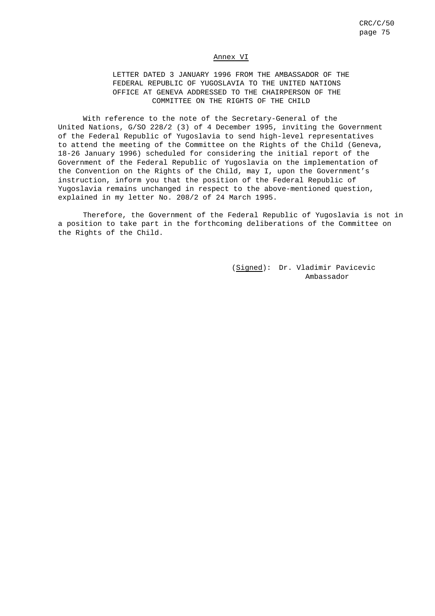#### Annex VI

LETTER DATED 3 JANUARY 1996 FROM THE AMBASSADOR OF THE FEDERAL REPUBLIC OF YUGOSLAVIA TO THE UNITED NATIONS OFFICE AT GENEVA ADDRESSED TO THE CHAIRPERSON OF THE COMMITTEE ON THE RIGHTS OF THE CHILD

With reference to the note of the Secretary-General of the United Nations, G/SO 228/2 (3) of 4 December 1995, inviting the Government of the Federal Republic of Yugoslavia to send high-level representatives to attend the meeting of the Committee on the Rights of the Child (Geneva, 18-26 January 1996) scheduled for considering the initial report of the Government of the Federal Republic of Yugoslavia on the implementation of the Convention on the Rights of the Child, may I, upon the Government's instruction, inform you that the position of the Federal Republic of Yugoslavia remains unchanged in respect to the above-mentioned question, explained in my letter No. 208/2 of 24 March 1995.

Therefore, the Government of the Federal Republic of Yugoslavia is not in a position to take part in the forthcoming deliberations of the Committee on the Rights of the Child.

> (Signed): Dr. Vladimir Pavicevic Ambassador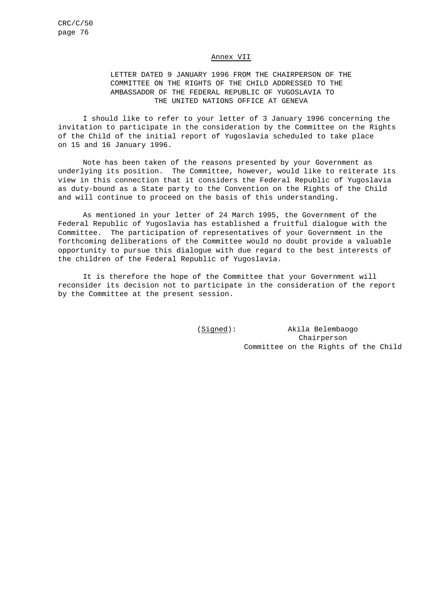## Annex VII

# LETTER DATED 9 JANUARY 1996 FROM THE CHAIRPERSON OF THE COMMITTEE ON THE RIGHTS OF THE CHILD ADDRESSED TO THE AMBASSADOR OF THE FEDERAL REPUBLIC OF YUGOSLAVIA TO THE UNITED NATIONS OFFICE AT GENEVA

I should like to refer to your letter of 3 January 1996 concerning the invitation to participate in the consideration by the Committee on the Rights of the Child of the initial report of Yugoslavia scheduled to take place on 15 and 16 January 1996.

Note has been taken of the reasons presented by your Government as underlying its position. The Committee, however, would like to reiterate its view in this connection that it considers the Federal Republic of Yugoslavia as duty-bound as a State party to the Convention on the Rights of the Child and will continue to proceed on the basis of this understanding.

As mentioned in your letter of 24 March 1995, the Government of the Federal Republic of Yugoslavia has established a fruitful dialogue with the Committee. The participation of representatives of your Government in the forthcoming deliberations of the Committee would no doubt provide a valuable opportunity to pursue this dialogue with due regard to the best interests of the children of the Federal Republic of Yugoslavia.

It is therefore the hope of the Committee that your Government will reconsider its decision not to participate in the consideration of the report by the Committee at the present session.

> (Signed): Akila Belembaogo Chairperson Committee on the Rights of the Child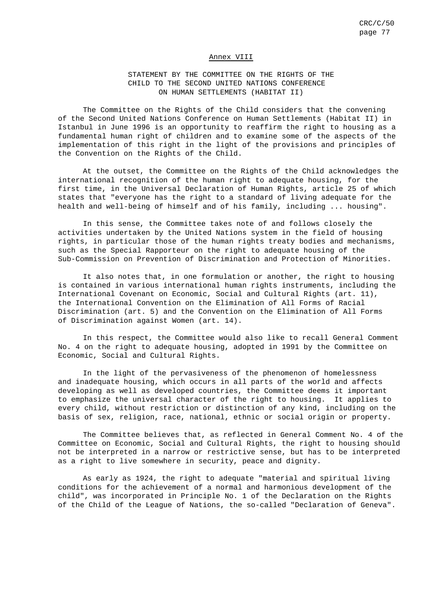#### Annex VIII

## STATEMENT BY THE COMMITTEE ON THE RIGHTS OF THE CHILD TO THE SECOND UNITED NATIONS CONFERENCE ON HUMAN SETTLEMENTS (HABITAT II)

The Committee on the Rights of the Child considers that the convening of the Second United Nations Conference on Human Settlements (Habitat II) in Istanbul in June 1996 is an opportunity to reaffirm the right to housing as a fundamental human right of children and to examine some of the aspects of the implementation of this right in the light of the provisions and principles of the Convention on the Rights of the Child.

At the outset, the Committee on the Rights of the Child acknowledges the international recognition of the human right to adequate housing, for the first time, in the Universal Declaration of Human Rights, article 25 of which states that "everyone has the right to a standard of living adequate for the health and well-being of himself and of his family, including ... housing".

In this sense, the Committee takes note of and follows closely the activities undertaken by the United Nations system in the field of housing rights, in particular those of the human rights treaty bodies and mechanisms, such as the Special Rapporteur on the right to adequate housing of the Sub-Commission on Prevention of Discrimination and Protection of Minorities.

It also notes that, in one formulation or another, the right to housing is contained in various international human rights instruments, including the International Covenant on Economic, Social and Cultural Rights (art. 11), the International Convention on the Elimination of All Forms of Racial Discrimination (art. 5) and the Convention on the Elimination of All Forms of Discrimination against Women (art. 14).

In this respect, the Committee would also like to recall General Comment No. 4 on the right to adequate housing, adopted in 1991 by the Committee on Economic, Social and Cultural Rights.

In the light of the pervasiveness of the phenomenon of homelessness and inadequate housing, which occurs in all parts of the world and affects developing as well as developed countries, the Committee deems it important to emphasize the universal character of the right to housing. It applies to every child, without restriction or distinction of any kind, including on the basis of sex, religion, race, national, ethnic or social origin or property.

The Committee believes that, as reflected in General Comment No. 4 of the Committee on Economic, Social and Cultural Rights, the right to housing should not be interpreted in a narrow or restrictive sense, but has to be interpreted as a right to live somewhere in security, peace and dignity.

As early as 1924, the right to adequate "material and spiritual living conditions for the achievement of a normal and harmonious development of the child", was incorporated in Principle No. 1 of the Declaration on the Rights of the Child of the League of Nations, the so-called "Declaration of Geneva".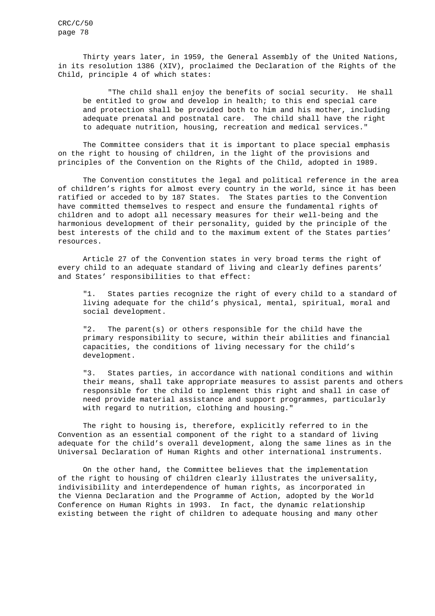Thirty years later, in 1959, the General Assembly of the United Nations, in its resolution 1386 (XIV), proclaimed the Declaration of the Rights of the Child, principle 4 of which states:

"The child shall enjoy the benefits of social security. He shall be entitled to grow and develop in health; to this end special care and protection shall be provided both to him and his mother, including adequate prenatal and postnatal care. The child shall have the right to adequate nutrition, housing, recreation and medical services."

The Committee considers that it is important to place special emphasis on the right to housing of children, in the light of the provisions and principles of the Convention on the Rights of the Child, adopted in 1989.

The Convention constitutes the legal and political reference in the area of children's rights for almost every country in the world, since it has been ratified or acceded to by 187 States. The States parties to the Convention have committed themselves to respect and ensure the fundamental rights of children and to adopt all necessary measures for their well-being and the harmonious development of their personality, guided by the principle of the best interests of the child and to the maximum extent of the States parties' resources.

Article 27 of the Convention states in very broad terms the right of every child to an adequate standard of living and clearly defines parents' and States' responsibilities to that effect:

"1. States parties recognize the right of every child to a standard of living adequate for the child's physical, mental, spiritual, moral and social development.

"2. The parent(s) or others responsible for the child have the primary responsibility to secure, within their abilities and financial capacities, the conditions of living necessary for the child's development.

"3. States parties, in accordance with national conditions and within their means, shall take appropriate measures to assist parents and others responsible for the child to implement this right and shall in case of need provide material assistance and support programmes, particularly with regard to nutrition, clothing and housing."

The right to housing is, therefore, explicitly referred to in the Convention as an essential component of the right to a standard of living adequate for the child's overall development, along the same lines as in the Universal Declaration of Human Rights and other international instruments.

On the other hand, the Committee believes that the implementation of the right to housing of children clearly illustrates the universality, indivisibility and interdependence of human rights, as incorporated in the Vienna Declaration and the Programme of Action, adopted by the World Conference on Human Rights in 1993. In fact, the dynamic relationship existing between the right of children to adequate housing and many other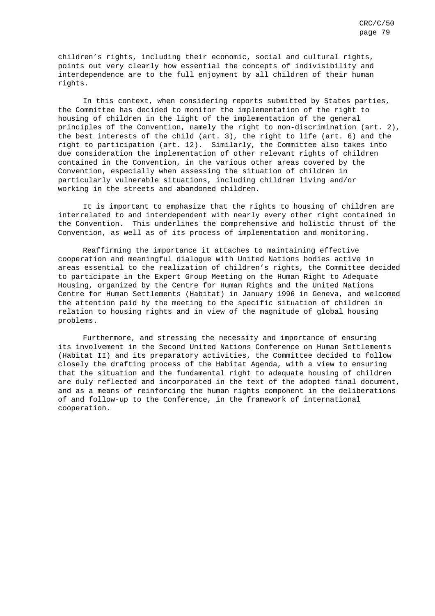children's rights, including their economic, social and cultural rights, points out very clearly how essential the concepts of indivisibility and interdependence are to the full enjoyment by all children of their human rights.

In this context, when considering reports submitted by States parties, the Committee has decided to monitor the implementation of the right to housing of children in the light of the implementation of the general principles of the Convention, namely the right to non-discrimination (art. 2), the best interests of the child (art. 3), the right to life (art. 6) and the right to participation (art. 12). Similarly, the Committee also takes into due consideration the implementation of other relevant rights of children contained in the Convention, in the various other areas covered by the Convention, especially when assessing the situation of children in particularly vulnerable situations, including children living and/or working in the streets and abandoned children.

It is important to emphasize that the rights to housing of children are interrelated to and interdependent with nearly every other right contained in the Convention. This underlines the comprehensive and holistic thrust of the Convention, as well as of its process of implementation and monitoring.

Reaffirming the importance it attaches to maintaining effective cooperation and meaningful dialogue with United Nations bodies active in areas essential to the realization of children's rights, the Committee decided to participate in the Expert Group Meeting on the Human Right to Adequate Housing, organized by the Centre for Human Rights and the United Nations Centre for Human Settlements (Habitat) in January 1996 in Geneva, and welcomed the attention paid by the meeting to the specific situation of children in relation to housing rights and in view of the magnitude of global housing problems.

Furthermore, and stressing the necessity and importance of ensuring its involvement in the Second United Nations Conference on Human Settlements (Habitat II) and its preparatory activities, the Committee decided to follow closely the drafting process of the Habitat Agenda, with a view to ensuring that the situation and the fundamental right to adequate housing of children are duly reflected and incorporated in the text of the adopted final document, and as a means of reinforcing the human rights component in the deliberations of and follow-up to the Conference, in the framework of international cooperation.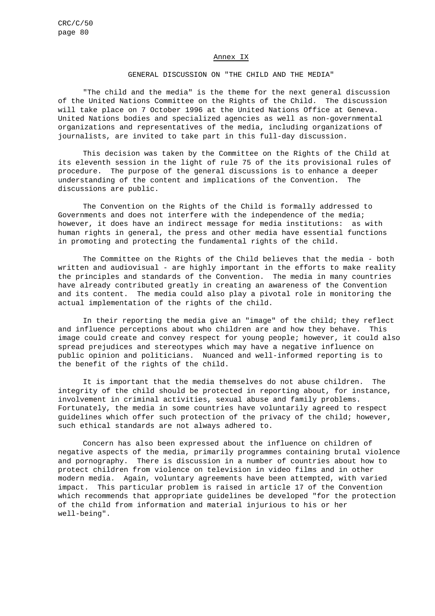### Annex IX

### GENERAL DISCUSSION ON "THE CHILD AND THE MEDIA"

"The child and the media" is the theme for the next general discussion of the United Nations Committee on the Rights of the Child. The discussion will take place on 7 October 1996 at the United Nations Office at Geneva. United Nations bodies and specialized agencies as well as non-governmental organizations and representatives of the media, including organizations of journalists, are invited to take part in this full-day discussion.

This decision was taken by the Committee on the Rights of the Child at its eleventh session in the light of rule 75 of the its provisional rules of procedure. The purpose of the general discussions is to enhance a deeper understanding of the content and implications of the Convention. The discussions are public.

The Convention on the Rights of the Child is formally addressed to Governments and does not interfere with the independence of the media; however, it does have an indirect message for media institutions: as with human rights in general, the press and other media have essential functions in promoting and protecting the fundamental rights of the child.

The Committee on the Rights of the Child believes that the media - both written and audiovisual - are highly important in the efforts to make reality the principles and standards of the Convention. The media in many countries have already contributed greatly in creating an awareness of the Convention and its content. The media could also play a pivotal role in monitoring the actual implementation of the rights of the child.

In their reporting the media give an "image" of the child; they reflect and influence perceptions about who children are and how they behave. This image could create and convey respect for young people; however, it could also spread prejudices and stereotypes which may have a negative influence on public opinion and politicians. Nuanced and well-informed reporting is to the benefit of the rights of the child.

It is important that the media themselves do not abuse children. The integrity of the child should be protected in reporting about, for instance, involvement in criminal activities, sexual abuse and family problems. Fortunately, the media in some countries have voluntarily agreed to respect guidelines which offer such protection of the privacy of the child; however, such ethical standards are not always adhered to.

Concern has also been expressed about the influence on children of negative aspects of the media, primarily programmes containing brutal violence and pornography. There is discussion in a number of countries about how to protect children from violence on television in video films and in other modern media. Again, voluntary agreements have been attempted, with varied impact. This particular problem is raised in article 17 of the Convention which recommends that appropriate guidelines be developed "for the protection of the child from information and material injurious to his or her well-being".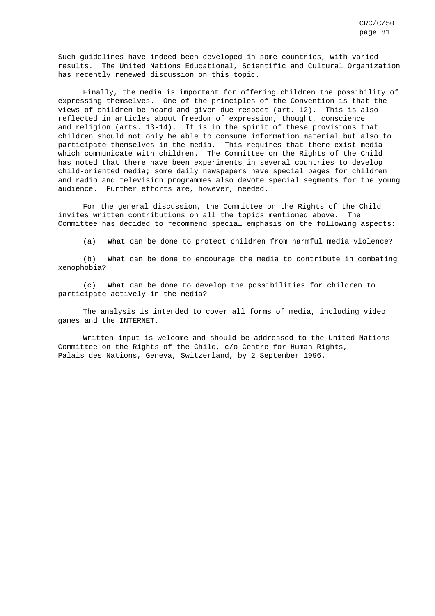Such guidelines have indeed been developed in some countries, with varied results. The United Nations Educational, Scientific and Cultural Organization has recently renewed discussion on this topic.

Finally, the media is important for offering children the possibility of expressing themselves. One of the principles of the Convention is that the views of children be heard and given due respect (art. 12). This is also reflected in articles about freedom of expression, thought, conscience and religion (arts. 13-14). It is in the spirit of these provisions that children should not only be able to consume information material but also to participate themselves in the media. This requires that there exist media which communicate with children. The Committee on the Rights of the Child has noted that there have been experiments in several countries to develop child-oriented media; some daily newspapers have special pages for children and radio and television programmes also devote special segments for the young audience. Further efforts are, however, needed.

For the general discussion, the Committee on the Rights of the Child invites written contributions on all the topics mentioned above. The Committee has decided to recommend special emphasis on the following aspects:

(a) What can be done to protect children from harmful media violence?

(b) What can be done to encourage the media to contribute in combating xenophobia?

(c) What can be done to develop the possibilities for children to participate actively in the media?

The analysis is intended to cover all forms of media, including video games and the INTERNET.

Written input is welcome and should be addressed to the United Nations Committee on the Rights of the Child, c/o Centre for Human Rights, Palais des Nations, Geneva, Switzerland, by 2 September 1996.